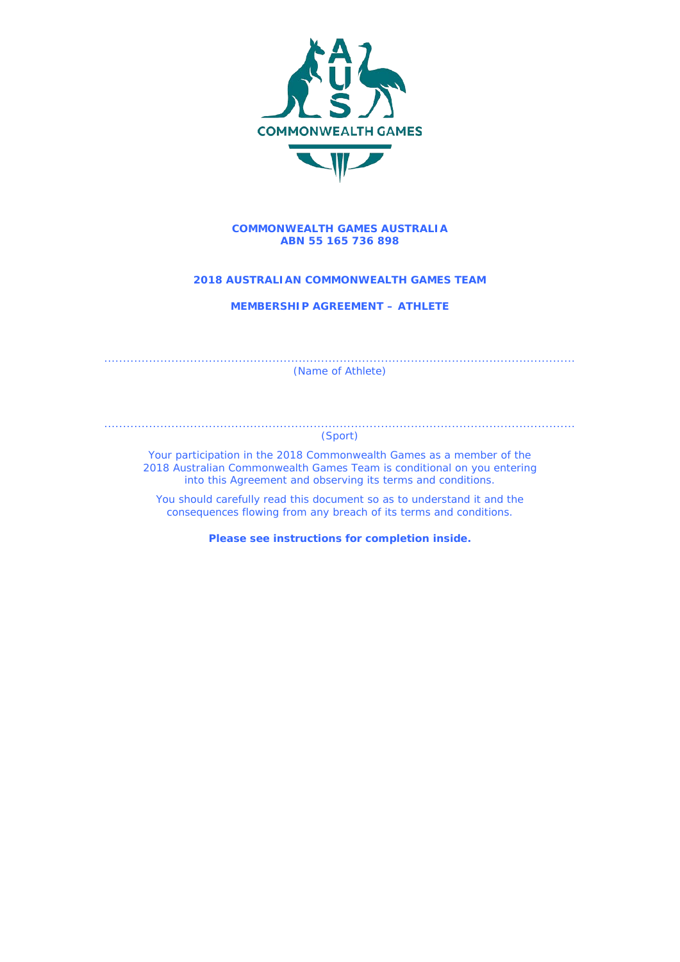

#### **COMMONWEALTH GAMES AUSTRALIA ABN 55 165 736 898**

# **2018 AUSTRALIAN COMMONWEALTH GAMES TEAM**

**MEMBERSHIP AGREEMENT – ATHLETE**

.............................................................................................................................. (Name of Athlete)

#### .............................................................................................................................. (Sport)

Your participation in the 2018 Commonwealth Games as a member of the 2018 Australian Commonwealth Games Team is conditional on you entering into this Agreement and observing its terms and conditions.

You should carefully read this document so as to understand it and the consequences flowing from any breach of its terms and conditions.

**Please see instructions for completion inside.**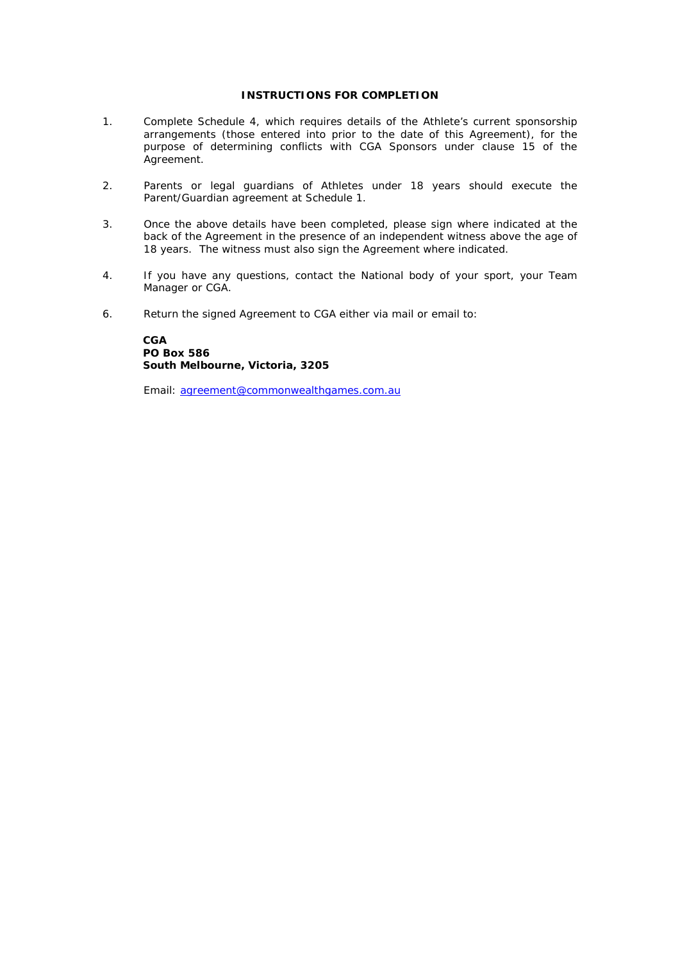# **INSTRUCTIONS FOR COMPLETION**

- 1. Complete Schedule 4, which requires details of the Athlete's current sponsorship arrangements (those entered into prior to the date of this Agreement), for the purpose of determining conflicts with CGA Sponsors under clause 15 of the Agreement.
- 2. Parents or legal guardians of Athletes under 18 years should execute the Parent/Guardian agreement at Schedule 1.
- 3. Once the above details have been completed, please sign where indicated at the back of the Agreement in the presence of an independent witness above the age of 18 years. The witness must also sign the Agreement where indicated.
- 4. If you have any questions, contact the National body of your sport, your Team Manager or CGA.
- 6. Return the signed Agreement to CGA either via mail or email to:

**CGA PO Box 586 South Melbourne, Victoria, 3205**

Email: [agreement@commonwealthgames.com.au](mailto:agreement@commonwealthgames.com.au)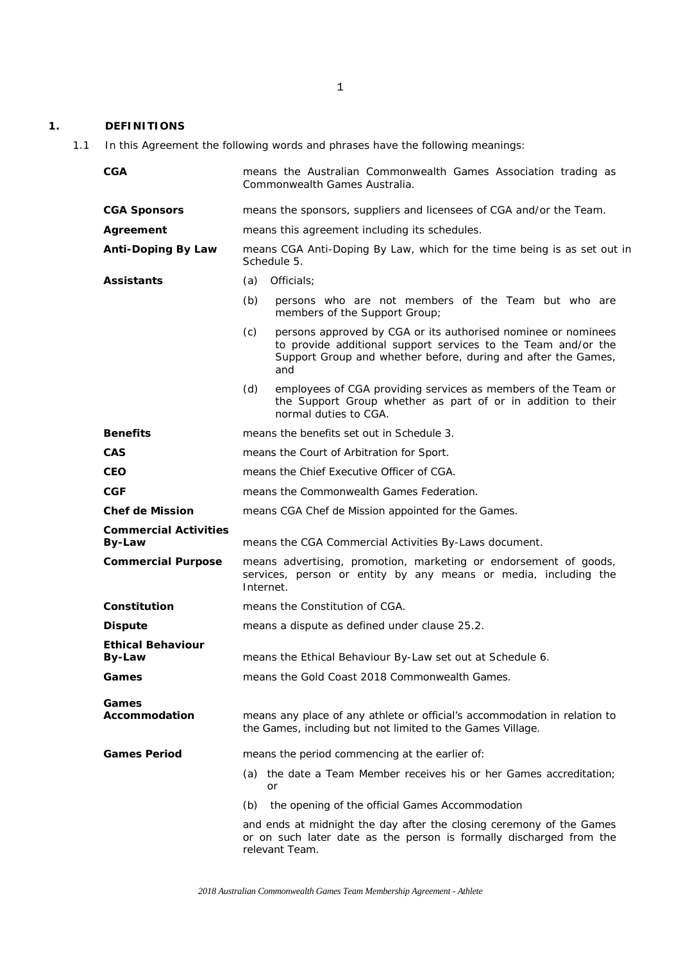# **1. DEFINITIONS**

1.1 In this Agreement the following words and phrases have the following meanings:

| <b>CGA</b>                                | means the Australian Commonwealth Games Association trading as<br>Commonwealth Games Australia.                                                                                                               |  |
|-------------------------------------------|---------------------------------------------------------------------------------------------------------------------------------------------------------------------------------------------------------------|--|
| <b>CGA Sponsors</b>                       | means the sponsors, suppliers and licensees of CGA and/or the Team.                                                                                                                                           |  |
| Agreement                                 | means this agreement including its schedules.                                                                                                                                                                 |  |
| <b>Anti-Doping By Law</b>                 | means CGA Anti-Doping By Law, which for the time being is as set out in<br>Schedule 5.                                                                                                                        |  |
| <b>Assistants</b>                         | Officials:<br>(a)                                                                                                                                                                                             |  |
|                                           | (b)<br>persons who are not members of the Team but who are<br>members of the Support Group;                                                                                                                   |  |
|                                           | (c)<br>persons approved by CGA or its authorised nominee or nominees<br>to provide additional support services to the Team and/or the<br>Support Group and whether before, during and after the Games,<br>and |  |
|                                           | (d)<br>employees of CGA providing services as members of the Team or<br>the Support Group whether as part of or in addition to their<br>normal duties to CGA.                                                 |  |
| <b>Benefits</b>                           | means the benefits set out in Schedule 3.                                                                                                                                                                     |  |
| <b>CAS</b>                                | means the Court of Arbitration for Sport.                                                                                                                                                                     |  |
| <b>CEO</b>                                | means the Chief Executive Officer of CGA.                                                                                                                                                                     |  |
| <b>CGF</b>                                | means the Commonwealth Games Federation.                                                                                                                                                                      |  |
| <b>Chef de Mission</b>                    | means CGA Chef de Mission appointed for the Games.                                                                                                                                                            |  |
| <b>Commercial Activities</b><br>By-Law    | means the CGA Commercial Activities By-Laws document.                                                                                                                                                         |  |
| <b>Commercial Purpose</b>                 | means advertising, promotion, marketing or endorsement of goods,<br>services, person or entity by any means or media, including the<br>Internet.                                                              |  |
| Constitution                              | means the Constitution of CGA.                                                                                                                                                                                |  |
| <b>Dispute</b>                            | means a dispute as defined under clause 25.2.                                                                                                                                                                 |  |
| <b>Ethical Behaviour</b><br><b>By-Law</b> | means the Ethical Behaviour By-Law set out at Schedule 6.                                                                                                                                                     |  |
| Games                                     | means the Gold Coast 2018 Commonwealth Games.                                                                                                                                                                 |  |
| Games<br>Accommodation                    | means any place of any athlete or official's accommodation in relation to<br>the Games, including but not limited to the Games Village.                                                                       |  |
| <b>Games Period</b>                       | means the period commencing at the earlier of:                                                                                                                                                                |  |
|                                           | the date a Team Member receives his or her Games accreditation:<br>(a)<br>or                                                                                                                                  |  |
|                                           | the opening of the official Games Accommodation<br>(b)                                                                                                                                                        |  |
|                                           | and ends at midnight the day after the closing ceremony of the Games<br>or on such later date as the person is formally discharged from the<br>relevant Team.                                                 |  |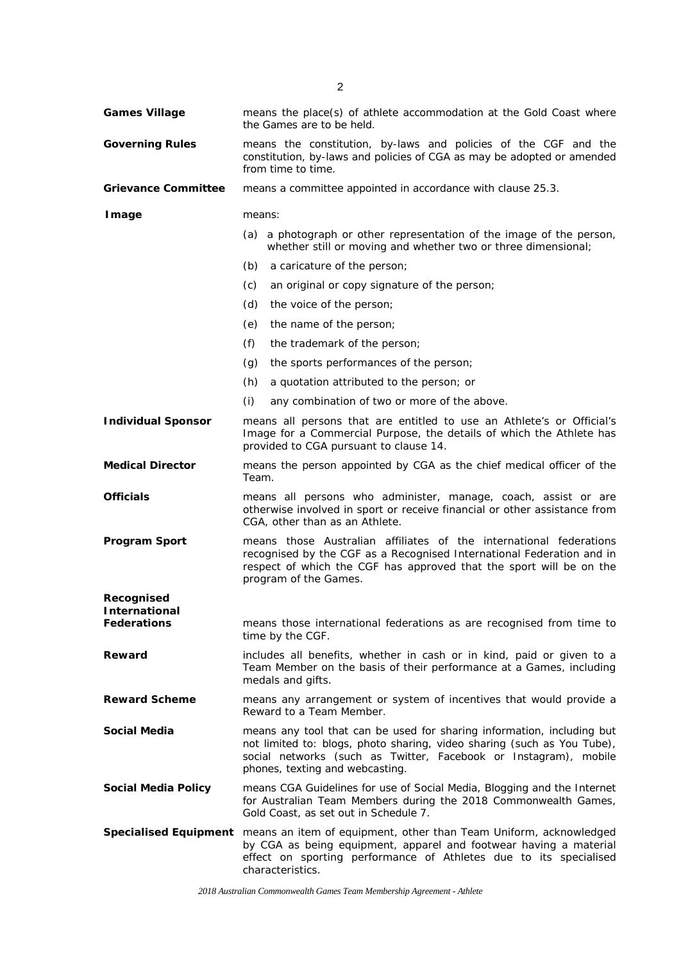| <b>Games Village</b>                | means the place(s) of athlete accommodation at the Gold Coast where<br>the Games are to be held.                                                                                                                                                         |  |
|-------------------------------------|----------------------------------------------------------------------------------------------------------------------------------------------------------------------------------------------------------------------------------------------------------|--|
| <b>Governing Rules</b>              | means the constitution, by-laws and policies of the CGF and the<br>constitution, by-laws and policies of CGA as may be adopted or amended<br>from time to time.                                                                                          |  |
| <b>Grievance Committee</b>          | means a committee appointed in accordance with clause 25.3.                                                                                                                                                                                              |  |
| <b>I</b> mage                       | means:                                                                                                                                                                                                                                                   |  |
|                                     | (a) a photograph or other representation of the image of the person,<br>whether still or moving and whether two or three dimensional;                                                                                                                    |  |
|                                     | (b)<br>a caricature of the person;                                                                                                                                                                                                                       |  |
|                                     | (c)<br>an original or copy signature of the person;                                                                                                                                                                                                      |  |
|                                     | (d)<br>the voice of the person;                                                                                                                                                                                                                          |  |
|                                     | (e)<br>the name of the person;                                                                                                                                                                                                                           |  |
|                                     | (f)<br>the trademark of the person;                                                                                                                                                                                                                      |  |
|                                     | (g)<br>the sports performances of the person;                                                                                                                                                                                                            |  |
|                                     | (h)<br>a quotation attributed to the person; or                                                                                                                                                                                                          |  |
|                                     | (i)<br>any combination of two or more of the above.                                                                                                                                                                                                      |  |
| <b>Individual Sponsor</b>           | means all persons that are entitled to use an Athlete's or Official's<br>Image for a Commercial Purpose, the details of which the Athlete has<br>provided to CGA pursuant to clause 14.                                                                  |  |
| <b>Medical Director</b>             | means the person appointed by CGA as the chief medical officer of the<br>Team.                                                                                                                                                                           |  |
| <b>Officials</b>                    | means all persons who administer, manage, coach, assist or are<br>otherwise involved in sport or receive financial or other assistance from<br>CGA, other than as an Athlete.                                                                            |  |
| <b>Program Sport</b>                | means those Australian affiliates of the international federations<br>recognised by the CGF as a Recognised International Federation and in<br>respect of which the CGF has approved that the sport will be on the<br>program of the Games.              |  |
| Recognised                          |                                                                                                                                                                                                                                                          |  |
| International<br><b>Federations</b> | means those international federations as are recognised from time to<br>time by the CGF.                                                                                                                                                                 |  |
| Reward                              | includes all benefits, whether in cash or in kind, paid or given to a<br>Team Member on the basis of their performance at a Games, including<br>medals and gifts.                                                                                        |  |
| <b>Reward Scheme</b>                | means any arrangement or system of incentives that would provide a<br>Reward to a Team Member.                                                                                                                                                           |  |
| <b>Social Media</b>                 | means any tool that can be used for sharing information, including but<br>not limited to: blogs, photo sharing, video sharing (such as You Tube),<br>social networks (such as Twitter, Facebook or Instagram), mobile<br>phones, texting and webcasting. |  |
| <b>Social Media Policy</b>          | means CGA Guidelines for use of Social Media, Blogging and the Internet<br>for Australian Team Members during the 2018 Commonwealth Games,<br>Gold Coast, as set out in Schedule 7.                                                                      |  |
|                                     | Specialised Equipment means an item of equipment, other than Team Uniform, acknowledged<br>by CGA as being equipment, apparel and footwear having a material<br>effect on sporting performance of Athletes due to its specialised<br>characteristics.    |  |

*2018 Australian Commonwealth Games Team Membership Agreement - Athlete*

2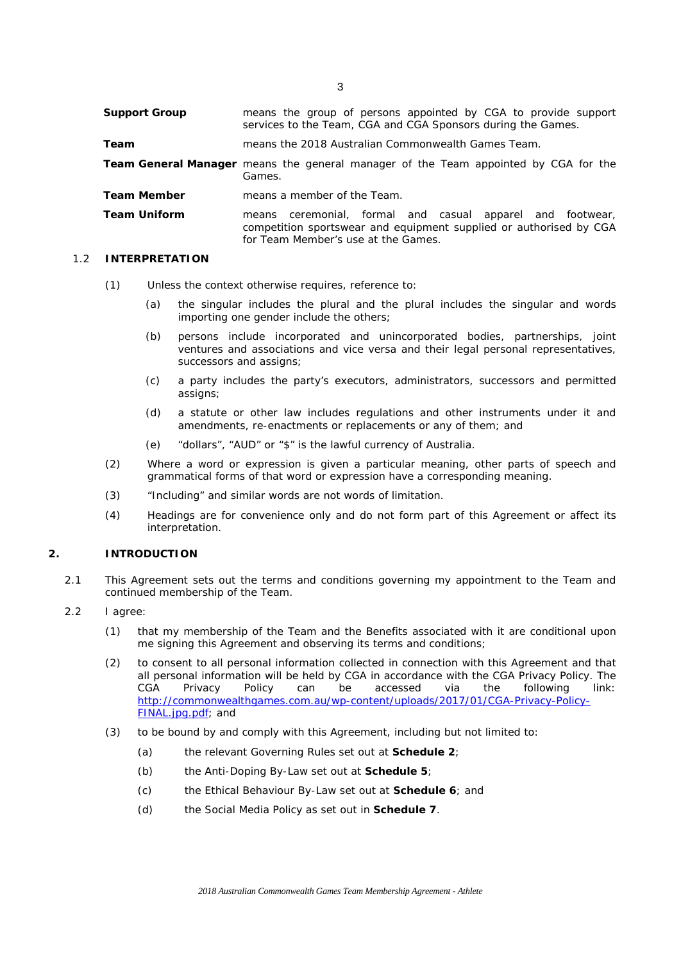**Support Group** means the group of persons appointed by CGA to provide support services to the Team, CGA and CGA Sponsors during the Games. **Team** means the 2018 Australian Commonwealth Games Team. **Team General Manager** means the general manager of the Team appointed by CGA for the Games. **Team Member** means a member of the Team. **Team Uniform** means ceremonial, formal and casual apparel and footwear, competition sportswear and equipment supplied or authorised by CGA for Team Member's use at the Games.

### 1.2 **INTERPRETATION**

- (1) Unless the context otherwise requires, reference to:
	- (a) the singular includes the plural and the plural includes the singular and words importing one gender include the others;
	- (b) persons include incorporated and unincorporated bodies, partnerships, joint ventures and associations and vice versa and their legal personal representatives, successors and assigns;
	- (c) a party includes the party's executors, administrators, successors and permitted assigns;
	- (d) a statute or other law includes regulations and other instruments under it and amendments, re-enactments or replacements or any of them; and
	- (e) "dollars", "AUD" or "\$" is the lawful currency of Australia.
- (2) Where a word or expression is given a particular meaning, other parts of speech and grammatical forms of that word or expression have a corresponding meaning.
- (3) "Including" and similar words are not words of limitation.
- (4) Headings are for convenience only and do not form part of this Agreement or affect its interpretation.

#### **2. INTRODUCTION**

- 2.1 This Agreement sets out the terms and conditions governing my appointment to the Team and continued membership of the Team.
- 2.2 I agree:
	- (1) that my membership of the Team and the Benefits associated with it are conditional upon me signing this Agreement and observing its terms and conditions;
	- (2) to consent to all personal information collected in connection with this Agreement and that all personal information will be held by CGA in accordance with the CGA Privacy Policy. The CGA Privacy Policy can be accessed via the following link: CGA Privacy Policy can be accessed via the following link: [http://commonwealthgames.com.au/wp-content/uploads/2017/01/CGA-Privacy-Policy-](http://commonwealthgames.com.au/wp-content/uploads/2017/01/CGA-Privacy-Policy-FINAL.jpg.pdf)[FINAL.jpg.pdf;](http://commonwealthgames.com.au/wp-content/uploads/2017/01/CGA-Privacy-Policy-FINAL.jpg.pdf) and
	- (3) to be bound by and comply with this Agreement, including but not limited to:
		- (a) the relevant Governing Rules set out at **Schedule 2**;
		- (b) the Anti-Doping By-Law set out at **Schedule 5**;
		- (c) the Ethical Behaviour By-Law set out at **Schedule 6**; and
		- (d) the Social Media Policy as set out in **Schedule 7**.

*2018 Australian Commonwealth Games Team Membership Agreement - Athlete*

3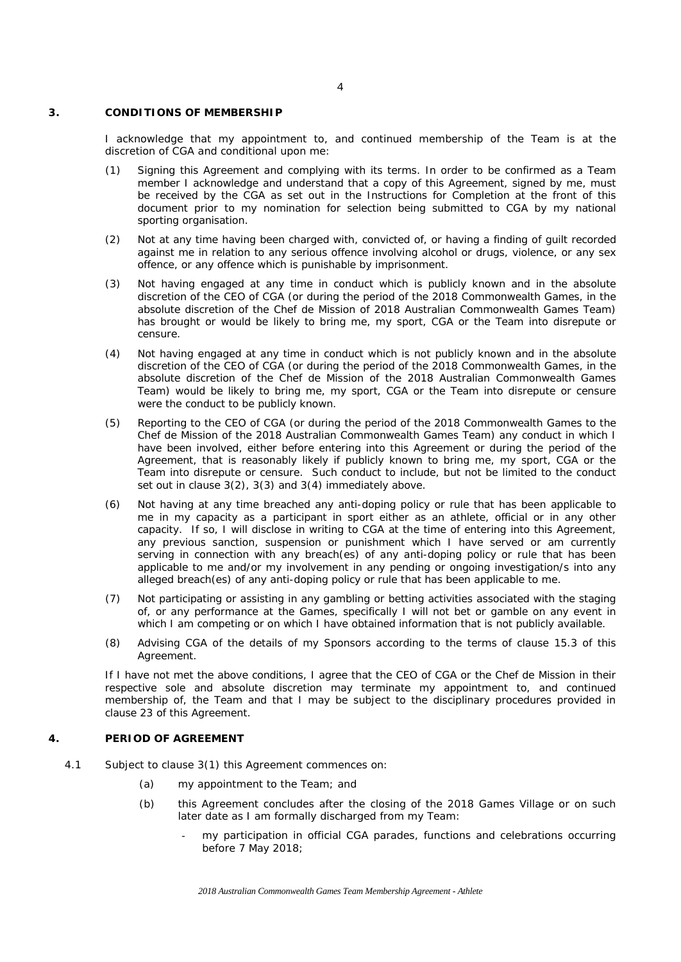#### **3. CONDITIONS OF MEMBERSHIP**

I acknowledge that my appointment to, and continued membership of the Team is at the discretion of CGA and conditional upon me:

- (1) Signing this Agreement and complying with its terms. In order to be confirmed as a Team member I acknowledge and understand that a copy of this Agreement, signed by me, must be received by the CGA as set out in the Instructions for Completion at the front of this document prior to my nomination for selection being submitted to CGA by my national sporting organisation.
- (2) Not at any time having been charged with, convicted of, or having a finding of guilt recorded against me in relation to any serious offence involving alcohol or drugs, violence, or any sex offence, or any offence which is punishable by imprisonment.
- (3) Not having engaged at any time in conduct which is publicly known and in the absolute discretion of the CEO of CGA (or during the period of the 2018 Commonwealth Games, in the absolute discretion of the Chef de Mission of 2018 Australian Commonwealth Games Team) has brought or would be likely to bring me, my sport, CGA or the Team into disrepute or censure.
- (4) Not having engaged at any time in conduct which is not publicly known and in the absolute discretion of the CEO of CGA (or during the period of the 2018 Commonwealth Games, in the absolute discretion of the Chef de Mission of the 2018 Australian Commonwealth Games Team) would be likely to bring me, my sport, CGA or the Team into disrepute or censure were the conduct to be publicly known.
- (5) Reporting to the CEO of CGA (or during the period of the 2018 Commonwealth Games to the Chef de Mission of the 2018 Australian Commonwealth Games Team) any conduct in which I have been involved, either before entering into this Agreement or during the period of the Agreement, that is reasonably likely if publicly known to bring me, my sport, CGA or the Team into disrepute or censure. Such conduct to include, but not be limited to the conduct set out in clause 3(2), 3(3) and 3(4) immediately above.
- (6) Not having at any time breached any anti-doping policy or rule that has been applicable to me in my capacity as a participant in sport either as an athlete, official or in any other capacity. If so, I will disclose in writing to CGA at the time of entering into this Agreement, any previous sanction, suspension or punishment which I have served or am currently serving in connection with any breach(es) of any anti-doping policy or rule that has been applicable to me and/or my involvement in any pending or ongoing investigation/s into any alleged breach(es) of any anti-doping policy or rule that has been applicable to me.
- (7) Not participating or assisting in any gambling or betting activities associated with the staging of, or any performance at the Games, specifically I will not bet or gamble on any event in which I am competing or on which I have obtained information that is not publicly available.
- (8) Advising CGA of the details of my Sponsors according to the terms of clause 15.3 of this Agreement.

If I have not met the above conditions, I agree that the CEO of CGA or the Chef de Mission in their respective sole and absolute discretion may terminate my appointment to, and continued membership of, the Team and that I may be subject to the disciplinary procedures provided in clause 23 of this Agreement.

#### **4. PERIOD OF AGREEMENT**

- 4.1 Subject to clause 3(1) this Agreement commences on:
	- (a) my appointment to the Team; and
	- (b) this Agreement concludes after the closing of the 2018 Games Village or on such later date as I am formally discharged from my Team:
		- my participation in official CGA parades, functions and celebrations occurring before 7 May 2018;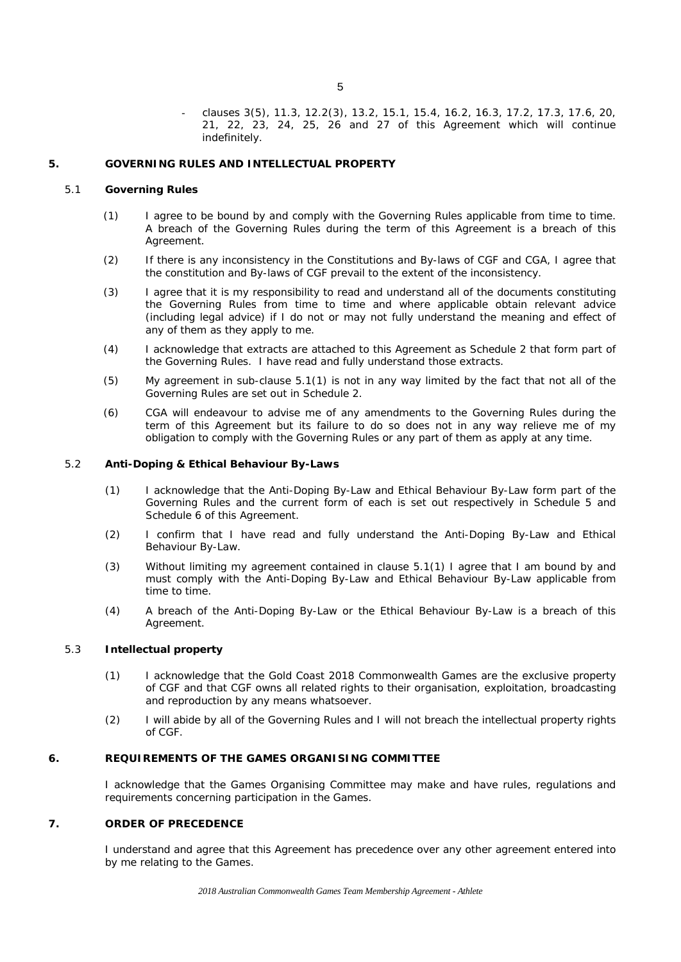clauses 3(5), 11.3, 12.2(3), 13.2, 15.1, 15.4, 16.2, 16.3, 17.2, 17.3, 17.6, 20, 21, 22, 23, 24, 25, 26 and 27 of this Agreement which will continue indefinitely.

#### **5. GOVERNING RULES AND INTELLECTUAL PROPERTY**

#### <span id="page-6-0"></span>5.1 **Governing Rules**

- (1) I agree to be bound by and comply with the Governing Rules applicable from time to time. A breach of the Governing Rules during the term of this Agreement is a breach of this Agreement.
- (2) If there is any inconsistency in the Constitutions and By-laws of CGF and CGA, I agree that the constitution and By-laws of CGF prevail to the extent of the inconsistency.
- (3) I agree that it is my responsibility to read and understand all of the documents constituting the Governing Rules from time to time and where applicable obtain relevant advice (including legal advice) if I do not or may not fully understand the meaning and effect of any of them as they apply to me.
- (4) I acknowledge that extracts are attached to this Agreement as Schedule 2 that form part of the Governing Rules. I have read and fully understand those extracts.
- (5) My agreement in sub-clause 5.[1\(1\)](#page-6-0) is not in any way limited by the fact that not all of the Governing Rules are set out in Schedule 2.
- (6) CGA will endeavour to advise me of any amendments to the Governing Rules during the term of this Agreement but its failure to do so does not in any way relieve me of my obligation to comply with the Governing Rules or any part of them as apply at any time.

#### 5.2 **Anti-Doping & Ethical Behaviour By-Laws**

- (1) I acknowledge that the Anti-Doping By-Law and Ethical Behaviour By-Law form part of the Governing Rules and the current form of each is set out respectively in Schedule 5 and Schedule 6 of this Agreement.
- (2) I confirm that I have read and fully understand the Anti-Doping By-Law and Ethical Behaviour By-Law.
- (3) Without limiting my agreement contained in clause 5.1(1) I agree that I am bound by and must comply with the Anti-Doping By-Law and Ethical Behaviour By-Law applicable from time to time.
- (4) A breach of the Anti-Doping By-Law or the Ethical Behaviour By-Law is a breach of this Agreement.

# 5.3 **Intellectual property**

- (1) I acknowledge that the Gold Coast 2018 Commonwealth Games are the exclusive property of CGF and that CGF owns all related rights to their organisation, exploitation, broadcasting and reproduction by any means whatsoever.
- (2) I will abide by all of the Governing Rules and I will not breach the intellectual property rights of CGF.

# **6. REQUIREMENTS OF THE GAMES ORGANISING COMMITTEE**

I acknowledge that the Games Organising Committee may make and have rules, regulations and requirements concerning participation in the Games.

## **7. ORDER OF PRECEDENCE**

I understand and agree that this Agreement has precedence over any other agreement entered into by me relating to the Games.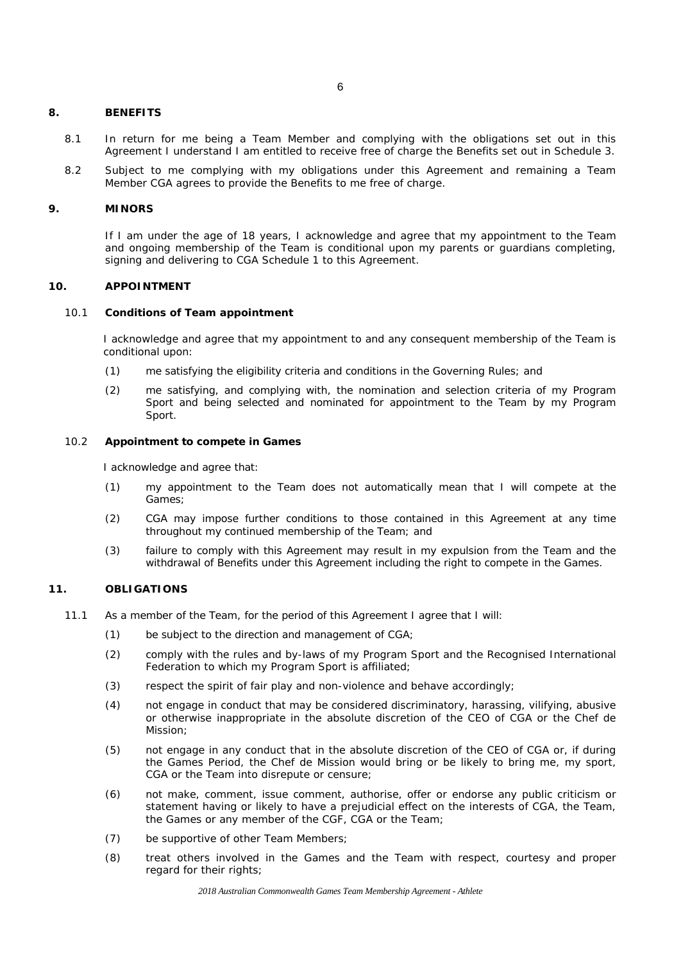#### **8. BENEFITS**

- 8.1 In return for me being a Team Member and complying with the obligations set out in this Agreement I understand I am entitled to receive free of charge the Benefits set out in Schedule 3.
- 8.2 Subject to me complying with my obligations under this Agreement and remaining a Team Member CGA agrees to provide the Benefits to me free of charge.

# **9. MINORS**

If I am under the age of 18 years, I acknowledge and agree that my appointment to the Team and ongoing membership of the Team is conditional upon my parents or guardians completing, signing and delivering to CGA Schedule 1 to this Agreement.

## **10. APPOINTMENT**

#### 10.1 **Conditions of Team appointment**

I acknowledge and agree that my appointment to and any consequent membership of the Team is conditional upon:

- (1) me satisfying the eligibility criteria and conditions in the Governing Rules; and
- (2) me satisfying, and complying with, the nomination and selection criteria of my Program Sport and being selected and nominated for appointment to the Team by my Program Sport.

#### 10.2 **Appointment to compete in Games**

I acknowledge and agree that:

- (1) my appointment to the Team does not automatically mean that I will compete at the Games;
- (2) CGA may impose further conditions to those contained in this Agreement at any time throughout my continued membership of the Team; and
- (3) failure to comply with this Agreement may result in my expulsion from the Team and the withdrawal of Benefits under this Agreement including the right to compete in the Games.

# **11. OBLIGATIONS**

- 11.1 As a member of the Team, for the period of this Agreement I agree that I will:
	- (1) be subject to the direction and management of CGA;
	- (2) comply with the rules and by-laws of my Program Sport and the Recognised International Federation to which my Program Sport is affiliated;
	- (3) respect the spirit of fair play and non-violence and behave accordingly;
	- (4) not engage in conduct that may be considered discriminatory, harassing, vilifying, abusive or otherwise inappropriate in the absolute discretion of the CEO of CGA or the Chef de Mission;
	- (5) not engage in any conduct that in the absolute discretion of the CEO of CGA or, if during the Games Period, the Chef de Mission would bring or be likely to bring me, my sport, CGA or the Team into disrepute or censure;
	- (6) not make, comment, issue comment, authorise, offer or endorse any public criticism or statement having or likely to have a prejudicial effect on the interests of CGA, the Team, the Games or any member of the CGF, CGA or the Team;
	- (7) be supportive of other Team Members;
	- (8) treat others involved in the Games and the Team with respect, courtesy and proper regard for their rights;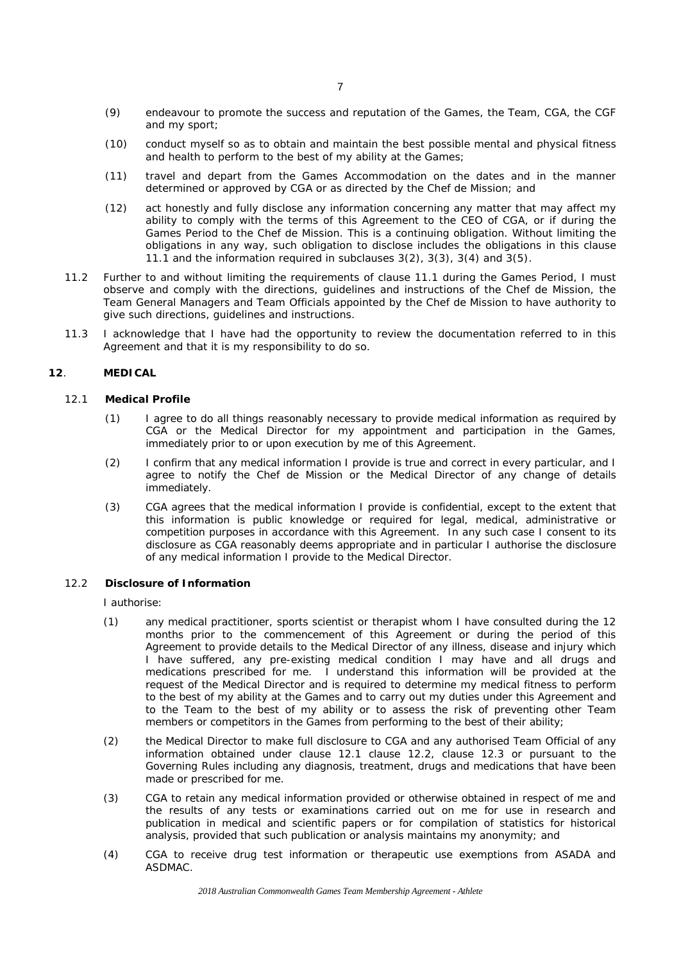- (9) endeavour to promote the success and reputation of the Games, the Team, CGA, the CGF and my sport;
- (10) conduct myself so as to obtain and maintain the best possible mental and physical fitness and health to perform to the best of my ability at the Games;
- (11) travel and depart from the Games Accommodation on the dates and in the manner determined or approved by CGA or as directed by the Chef de Mission; and
- (12) act honestly and fully disclose any information concerning any matter that may affect my ability to comply with the terms of this Agreement to the CEO of CGA, or if during the Games Period to the Chef de Mission. This is a continuing obligation. Without limiting the obligations in any way, such obligation to disclose includes the obligations in this clause 11.1 and the information required in subclauses 3(2), 3(3), 3(4) and 3(5).
- 11.2 Further to and without limiting the requirements of clause 11.1 during the Games Period, I must observe and comply with the directions, guidelines and instructions of the Chef de Mission, the Team General Managers and Team Officials appointed by the Chef de Mission to have authority to give such directions, guidelines and instructions.
- 11.3 I acknowledge that I have had the opportunity to review the documentation referred to in this Agreement and that it is my responsibility to do so.

# **12**. **MEDICAL**

#### 12.1 **Medical Profile**

- (1) I agree to do all things reasonably necessary to provide medical information as required by CGA or the Medical Director for my appointment and participation in the Games, immediately prior to or upon execution by me of this Agreement.
- (2) I confirm that any medical information I provide is true and correct in every particular, and I agree to notify the Chef de Mission or the Medical Director of any change of details immediately.
- (3) CGA agrees that the medical information I provide is confidential, except to the extent that this information is public knowledge or required for legal, medical, administrative or competition purposes in accordance with this Agreement. In any such case I consent to its disclosure as CGA reasonably deems appropriate and in particular I authorise the disclosure of any medical information I provide to the Medical Director.

# 12.2 **Disclosure of Information**

I authorise:

- (1) any medical practitioner, sports scientist or therapist whom I have consulted during the 12 months prior to the commencement of this Agreement or during the period of this Agreement to provide details to the Medical Director of any illness, disease and injury which I have suffered, any pre-existing medical condition I may have and all drugs and medications prescribed for me. I understand this information will be provided at the request of the Medical Director and is required to determine my medical fitness to perform to the best of my ability at the Games and to carry out my duties under this Agreement and to the Team to the best of my ability or to assess the risk of preventing other Team members or competitors in the Games from performing to the best of their ability;
- (2) the Medical Director to make full disclosure to CGA and any authorised Team Official of any information obtained under clause 12.1 clause 12.2, clause 12.3 or pursuant to the Governing Rules including any diagnosis, treatment, drugs and medications that have been made or prescribed for me.
- (3) CGA to retain any medical information provided or otherwise obtained in respect of me and the results of any tests or examinations carried out on me for use in research and publication in medical and scientific papers or for compilation of statistics for historical analysis, provided that such publication or analysis maintains my anonymity; and
- (4) CGA to receive drug test information or therapeutic use exemptions from ASADA and ASDMAC.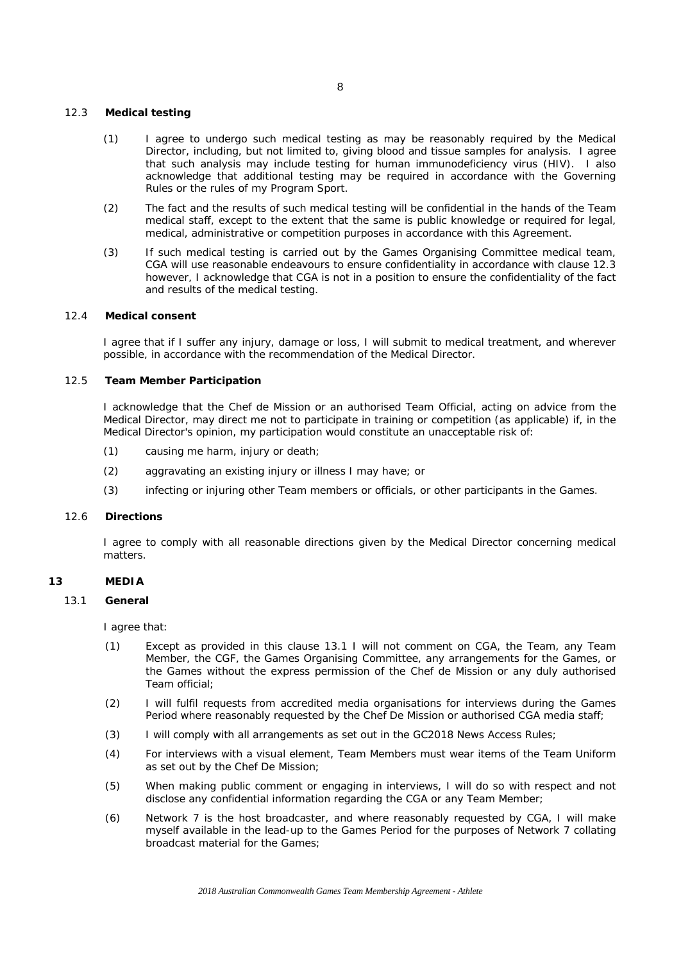# 12.3 **Medical testing**

- (1) I agree to undergo such medical testing as may be reasonably required by the Medical Director, including, but not limited to, giving blood and tissue samples for analysis. I agree that such analysis may include testing for human immunodeficiency virus (HIV). I also acknowledge that additional testing may be required in accordance with the Governing Rules or the rules of my Program Sport.
- (2) The fact and the results of such medical testing will be confidential in the hands of the Team medical staff, except to the extent that the same is public knowledge or required for legal, medical, administrative or competition purposes in accordance with this Agreement.
- (3) If such medical testing is carried out by the Games Organising Committee medical team, CGA will use reasonable endeavours to ensure confidentiality in accordance with clause 12.3 however, I acknowledge that CGA is not in a position to ensure the confidentiality of the fact and results of the medical testing.

#### 12.4 **Medical consent**

I agree that if I suffer any injury, damage or loss, I will submit to medical treatment, and wherever possible, in accordance with the recommendation of the Medical Director.

# 12.5 **Team Member Participation**

I acknowledge that the Chef de Mission or an authorised Team Official, acting on advice from the Medical Director, may direct me not to participate in training or competition (as applicable) if, in the Medical Director's opinion, my participation would constitute an unacceptable risk of:

- (1) causing me harm, injury or death;
- (2) aggravating an existing injury or illness I may have; or
- (3) infecting or injuring other Team members or officials, or other participants in the Games.

#### 12.6 **Directions**

I agree to comply with all reasonable directions given by the Medical Director concerning medical matters.

## **13 MEDIA**

#### 13.1 **General**

I agree that:

- (1) Except as provided in this clause 13.1 I will not comment on CGA, the Team, any Team Member, the CGF, the Games Organising Committee, any arrangements for the Games, or the Games without the express permission of the Chef de Mission or any duly authorised Team official;
- (2) I will fulfil requests from accredited media organisations for interviews during the Games Period where reasonably requested by the Chef De Mission or authorised CGA media staff;
- (3) I will comply with all arrangements as set out in the GC2018 News Access Rules;
- (4) For interviews with a visual element, Team Members must wear items of the Team Uniform as set out by the Chef De Mission;
- (5) When making public comment or engaging in interviews, I will do so with respect and not disclose any confidential information regarding the CGA or any Team Member;
- (6) Network 7 is the host broadcaster, and where reasonably requested by CGA, I will make myself available in the lead-up to the Games Period for the purposes of Network 7 collating broadcast material for the Games;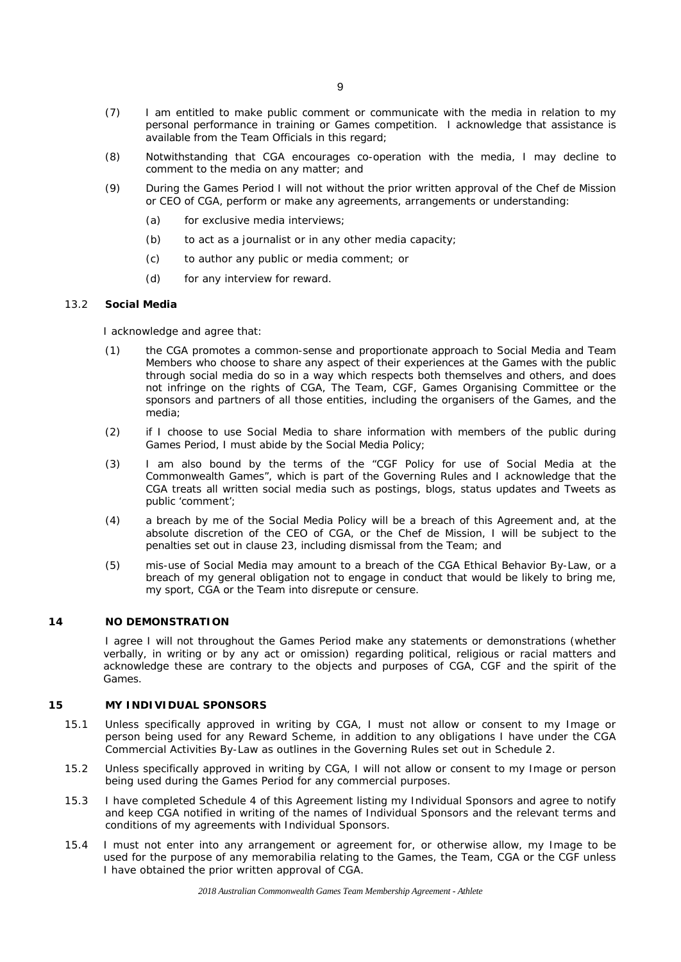- (7) I am entitled to make public comment or communicate with the media in relation to my personal performance in training or Games competition. I acknowledge that assistance is available from the Team Officials in this regard;
- (8) Notwithstanding that CGA encourages co-operation with the media, I may decline to comment to the media on any matter; and
- (9) During the Games Period I will not without the prior written approval of the Chef de Mission or CEO of CGA, perform or make any agreements, arrangements or understanding:
	- (a) for exclusive media interviews;
	- (b) to act as a journalist or in any other media capacity;
	- (c) to author any public or media comment; or
	- (d) for any interview for reward.

#### 13.2 **Social Media**

I acknowledge and agree that:

- (1) the CGA promotes a common-sense and proportionate approach to Social Media and Team Members who choose to share any aspect of their experiences at the Games with the public through social media do so in a way which respects both themselves and others, and does not infringe on the rights of CGA, The Team, CGF, Games Organising Committee or the sponsors and partners of all those entities, including the organisers of the Games, and the media;
- (2) if I choose to use Social Media to share information with members of the public during Games Period, I must abide by the Social Media Policy;
- (3) I am also bound by the terms of the "CGF Policy for use of Social Media at the Commonwealth Games", which is part of the Governing Rules and I acknowledge that the CGA treats all written social media such as postings, blogs, status updates and Tweets as public 'comment';
- (4) a breach by me of the Social Media Policy will be a breach of this Agreement and, at the absolute discretion of the CEO of CGA, or the Chef de Mission, I will be subject to the penalties set out in clause 23, including dismissal from the Team; and
- (5) mis-use of Social Media may amount to a breach of the CGA Ethical Behavior By-Law, or a breach of my general obligation not to engage in conduct that would be likely to bring me, my sport, CGA or the Team into disrepute or censure.

# **14 NO DEMONSTRATION**

I agree I will not throughout the Games Period make any statements or demonstrations (whether verbally, in writing or by any act or omission) regarding political, religious or racial matters and acknowledge these are contrary to the objects and purposes of CGA, CGF and the spirit of the Games.

#### <span id="page-10-0"></span>**15 MY INDIVIDUAL SPONSORS**

- 15.1 Unless specifically approved in writing by CGA, I must not allow or consent to my Image or person being used for any Reward Scheme, in addition to any obligations I have under the CGA Commercial Activities By-Law as outlines in the Governing Rules set out in Schedule 2.
- 15.2 Unless specifically approved in writing by CGA, I will not allow or consent to my Image or person being used during the Games Period for any commercial purposes.
- 15.3 I have completed Schedule 4 of this Agreement listing my Individual Sponsors and agree to notify and keep CGA notified in writing of the names of Individual Sponsors and the relevant terms and conditions of my agreements with Individual Sponsors.
- 15.4 I must not enter into any arrangement or agreement for, or otherwise allow, my Image to be used for the purpose of any memorabilia relating to the Games, the Team, CGA or the CGF unless I have obtained the prior written approval of CGA.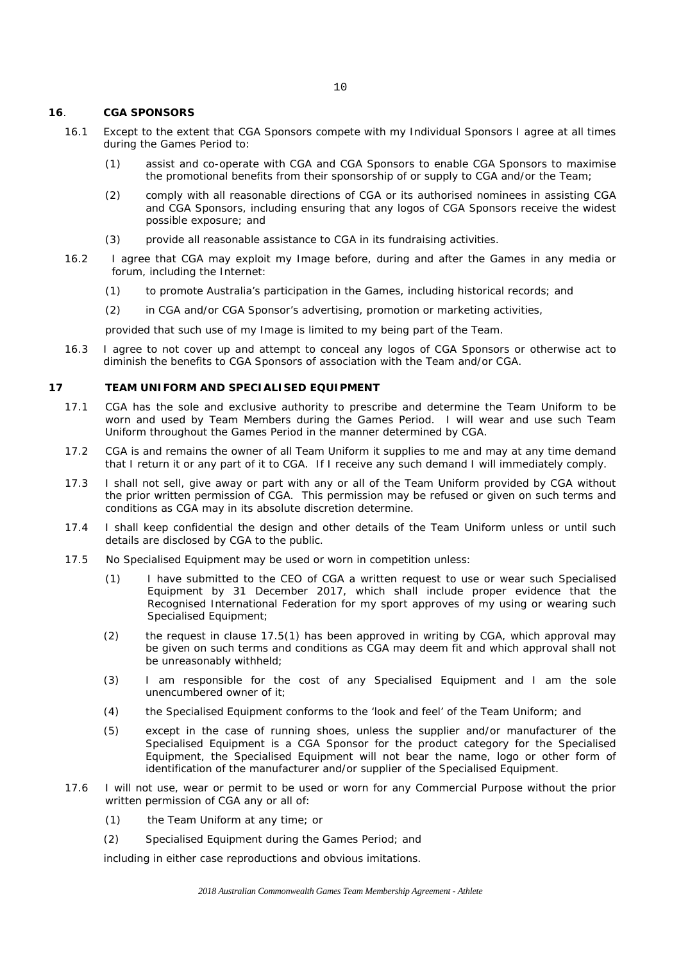#### **16**. **CGA SPONSORS**

- 16.1 Except to the extent that CGA Sponsors compete with my Individual Sponsors I agree at all times during the Games Period to:
	- (1) assist and co-operate with CGA and CGA Sponsors to enable CGA Sponsors to maximise the promotional benefits from their sponsorship of or supply to CGA and/or the Team;
	- (2) comply with all reasonable directions of CGA or its authorised nominees in assisting CGA and CGA Sponsors, including ensuring that any logos of CGA Sponsors receive the widest possible exposure; and
	- (3) provide all reasonable assistance to CGA in its fundraising activities.
- 16.2 I agree that CGA may exploit my Image before, during and after the Games in any media or forum, including the Internet:
	- (1) to promote Australia's participation in the Games, including historical records; and
	- (2) in CGA and/or CGA Sponsor's advertising, promotion or marketing activities,

provided that such use of my Image is limited to my being part of the Team.

16.3 I agree to not cover up and attempt to conceal any logos of CGA Sponsors or otherwise act to diminish the benefits to CGA Sponsors of association with the Team and/or CGA.

### **17 TEAM UNIFORM AND SPECIALISED EQUIPMENT**

- 17.1 CGA has the sole and exclusive authority to prescribe and determine the Team Uniform to be worn and used by Team Members during the Games Period. I will wear and use such Team Uniform throughout the Games Period in the manner determined by CGA.
- 17.2 CGA is and remains the owner of all Team Uniform it supplies to me and may at any time demand that I return it or any part of it to CGA. If I receive any such demand I will immediately comply.
- 17.3 I shall not sell, give away or part with any or all of the Team Uniform provided by CGA without the prior written permission of CGA. This permission may be refused or given on such terms and conditions as CGA may in its absolute discretion determine.
- 17.4 I shall keep confidential the design and other details of the Team Uniform unless or until such details are disclosed by CGA to the public.
- <span id="page-11-0"></span>17.5 No Specialised Equipment may be used or worn in competition unless:
	- (1) I have submitted to the CEO of CGA a written request to use or wear such Specialised Equipment by 31 December 2017, which shall include proper evidence that the Recognised International Federation for my sport approves of my using or wearing such Specialised Equipment;
	- (2) the request in clause 17.[5\(1\)](#page-11-0) has been approved in writing by CGA, which approval may be given on such terms and conditions as CGA may deem fit and which approval shall not be unreasonably withheld;
	- (3) I am responsible for the cost of any Specialised Equipment and I am the sole unencumbered owner of it;
	- (4) the Specialised Equipment conforms to the 'look and feel' of the Team Uniform; and
	- (5) except in the case of running shoes, unless the supplier and/or manufacturer of the Specialised Equipment is a CGA Sponsor for the product category for the Specialised Equipment, the Specialised Equipment will not bear the name, logo or other form of identification of the manufacturer and/or supplier of the Specialised Equipment.
- 17.6 I will not use, wear or permit to be used or worn for any Commercial Purpose without the prior written permission of CGA any or all of:
	- (1) the Team Uniform at any time; or
	- (2) Specialised Equipment during the Games Period; and

including in either case reproductions and obvious imitations.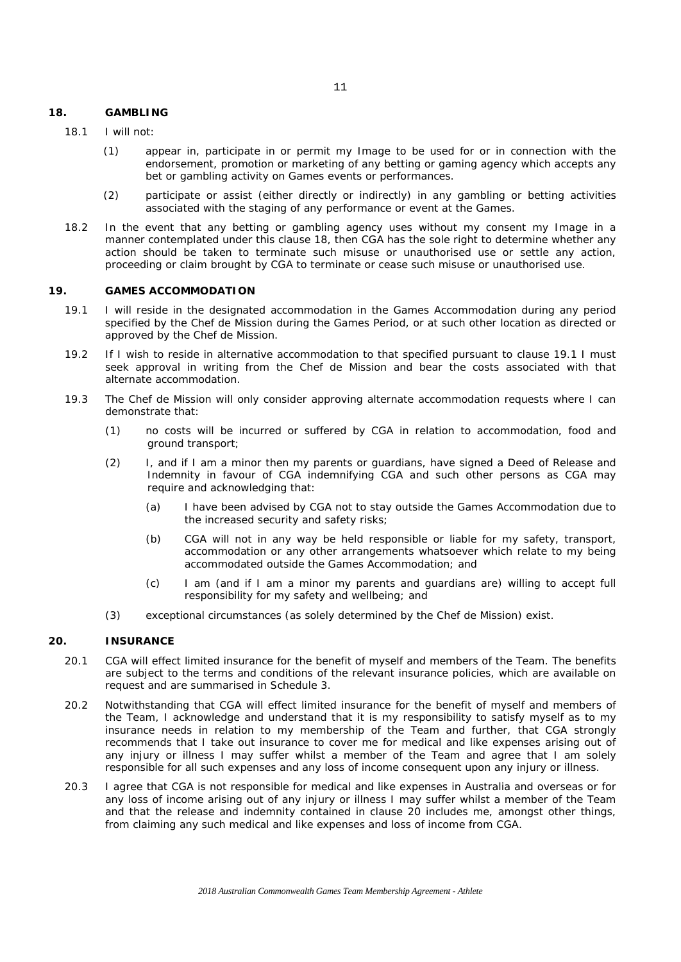#### <span id="page-12-0"></span>**18. GAMBLING**

- (1) appear in, participate in or permit my Image to be used for or in connection with the endorsement, promotion or marketing of any betting or gaming agency which accepts any bet or gambling activity on Games events or performances.
- (2) participate or assist (either directly or indirectly) in any gambling or betting activities associated with the staging of any performance or event at the Games.
- 18.2 In the event that any betting or gambling agency uses without my consent my Image in a manner contemplated under this clause [18,](#page-12-0) then CGA has the sole right to determine whether any action should be taken to terminate such misuse or unauthorised use or settle any action, proceeding or claim brought by CGA to terminate or cease such misuse or unauthorised use.

# **19. GAMES ACCOMMODATION**

- <span id="page-12-1"></span>19.1 I will reside in the designated accommodation in the Games Accommodation during any period specified by the Chef de Mission during the Games Period, or at such other location as directed or approved by the Chef de Mission.
- 19.2 If I wish to reside in alternative accommodation to that specified pursuant to clause [19.1](#page-12-1) I must seek approval in writing from the Chef de Mission and bear the costs associated with that alternate accommodation.
- 19.3 The Chef de Mission will only consider approving alternate accommodation requests where I can demonstrate that:
	- (1) no costs will be incurred or suffered by CGA in relation to accommodation, food and ground transport;
	- (2) I, and if I am a minor then my parents or guardians, have signed a Deed of Release and Indemnity in favour of CGA indemnifying CGA and such other persons as CGA may require and acknowledging that:
		- (a) I have been advised by CGA not to stay outside the Games Accommodation due to the increased security and safety risks;
		- (b) CGA will not in any way be held responsible or liable for my safety, transport, accommodation or any other arrangements whatsoever which relate to my being accommodated outside the Games Accommodation; and
		- (c) I am (and if I am a minor my parents and guardians are) willing to accept full responsibility for my safety and wellbeing; and
	- (3) exceptional circumstances (as solely determined by the Chef de Mission) exist.

#### **20. INSURANCE**

- 20.1 CGA will effect limited insurance for the benefit of myself and members of the Team. The benefits are subject to the terms and conditions of the relevant insurance policies, which are available on request and are summarised in Schedule 3.
- 20.2 Notwithstanding that CGA will effect limited insurance for the benefit of myself and members of the Team, I acknowledge and understand that it is my responsibility to satisfy myself as to my insurance needs in relation to my membership of the Team and further, that CGA strongly recommends that I take out insurance to cover me for medical and like expenses arising out of any injury or illness I may suffer whilst a member of the Team and agree that I am solely responsible for all such expenses and any loss of income consequent upon any injury or illness.
- 20.3 I agree that CGA is not responsible for medical and like expenses in Australia and overseas or for any loss of income arising out of any injury or illness I may suffer whilst a member of the Team and that the release and indemnity contained in clause 20 includes me, amongst other things, from claiming any such medical and like expenses and loss of income from CGA.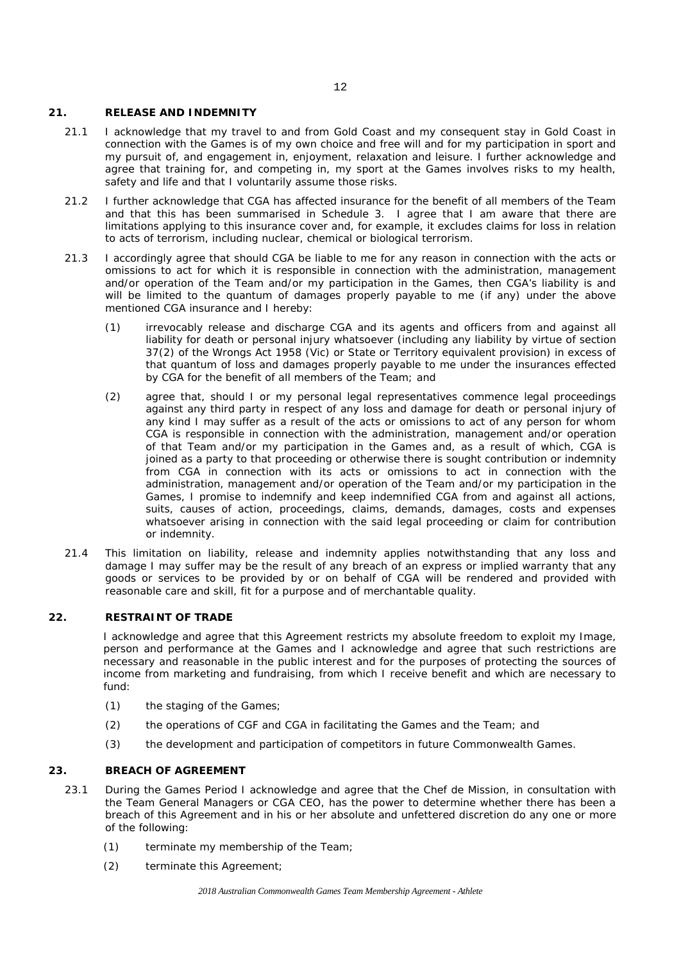#### **21. RELEASE AND INDEMNITY**

- 21.1 I acknowledge that my travel to and from Gold Coast and my consequent stay in Gold Coast in connection with the Games is of my own choice and free will and for my participation in sport and my pursuit of, and engagement in, enjoyment, relaxation and leisure. I further acknowledge and agree that training for, and competing in, my sport at the Games involves risks to my health, safety and life and that I voluntarily assume those risks.
- <span id="page-13-2"></span>21.2 I further acknowledge that CGA has affected insurance for the benefit of all members of the Team and that this has been summarised in Schedule 3. I agree that I am aware that there are limitations applying to this insurance cover and, for example, it excludes claims for loss in relation to acts of terrorism, including nuclear, chemical or biological terrorism.
- 21.3 I accordingly agree that should CGA be liable to me for any reason in connection with the acts or omissions to act for which it is responsible in connection with the administration, management and/or operation of the Team and/or my participation in the Games, then CGA's liability is and will be limited to the quantum of damages properly payable to me (if any) under the above mentioned CGA insurance and I hereby:
	- (1) irrevocably release and discharge CGA and its agents and officers from and against all liability for death or personal injury whatsoever (including any liability by virtue of section 37(2) of the Wrongs Act 1958 (Vic) or State or Territory equivalent provision) in excess of that quantum of loss and damages properly payable to me under the insurances effected by CGA for the benefit of all members of the Team; and
	- (2) agree that, should I or my personal legal representatives commence legal proceedings against any third party in respect of any loss and damage for death or personal injury of any kind I may suffer as a result of the acts or omissions to act of any person for whom CGA is responsible in connection with the administration, management and/or operation of that Team and/or my participation in the Games and, as a result of which, CGA is joined as a party to that proceeding or otherwise there is sought contribution or indemnity from CGA in connection with its acts or omissions to act in connection with the administration, management and/or operation of the Team and/or my participation in the Games, I promise to indemnify and keep indemnified CGA from and against all actions, suits, causes of action, proceedings, claims, demands, damages, costs and expenses whatsoever arising in connection with the said legal proceeding or claim for contribution or indemnity.
- 21.4 This limitation on liability, release and indemnity applies notwithstanding that any loss and damage I may suffer may be the result of any breach of an express or implied warranty that any goods or services to be provided by or on behalf of CGA will be rendered and provided with reasonable care and skill, fit for a purpose and of merchantable quality.

# **22. RESTRAINT OF TRADE**

I acknowledge and agree that this Agreement restricts my absolute freedom to exploit my Image, person and performance at the Games and I acknowledge and agree that such restrictions are necessary and reasonable in the public interest and for the purposes of protecting the sources of income from marketing and fundraising, from which I receive benefit and which are necessary to fund:

- (1) the staging of the Games;
- (2) the operations of CGF and CGA in facilitating the Games and the Team; and
- (3) the development and participation of competitors in future Commonwealth Games.

# <span id="page-13-1"></span>**23. BREACH OF AGREEMENT**

- <span id="page-13-0"></span>23.1 During the Games Period I acknowledge and agree that the Chef de Mission, in consultation with the Team General Managers or CGA CEO, has the power to determine whether there has been a breach of this Agreement and in his or her absolute and unfettered discretion do any one or more of the following:
	- (1) terminate my membership of the Team;
	- (2) terminate this Agreement;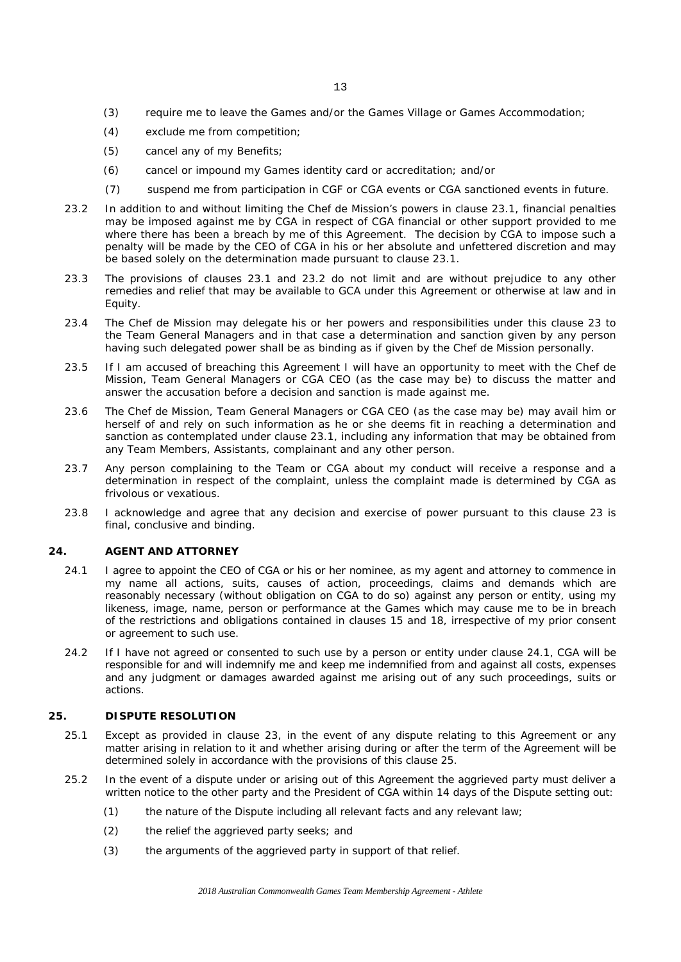- (3) require me to leave the Games and/or the Games Village or Games Accommodation;
- (4) exclude me from competition;
- (5) cancel any of my Benefits;
- (6) cancel or impound my Games identity card or accreditation; and/or
- (7) suspend me from participation in CGF or CGA events or CGA sanctioned events in future.
- <span id="page-14-1"></span>23.2 In addition to and without limiting the Chef de Mission's powers in clause [23.1,](#page-13-0) financial penalties may be imposed against me by CGA in respect of CGA financial or other support provided to me where there has been a breach by me of this Agreement. The decision by CGA to impose such a penalty will be made by the CEO of CGA in his or her absolute and unfettered discretion and may be based solely on the determination made pursuant to clause [23.1.](#page-13-0)
- 23.3 The provisions of clauses [23.1](#page-13-0) and [23.2](#page-14-1) do not limit and are without prejudice to any other remedies and relief that may be available to GCA under this Agreement or otherwise at law and in Equity.
- 23.4 The Chef de Mission may delegate his or her powers and responsibilities under this clause [23](#page-13-1) to the Team General Managers and in that case a determination and sanction given by any person having such delegated power shall be as binding as if given by the Chef de Mission personally.
- 23.5 If I am accused of breaching this Agreement I will have an opportunity to meet with the Chef de Mission, Team General Managers or CGA CEO (as the case may be) to discuss the matter and answer the accusation before a decision and sanction is made against me.
- 23.6 The Chef de Mission, Team General Managers or CGA CEO (as the case may be) may avail him or herself of and rely on such information as he or she deems fit in reaching a determination and sanction as contemplated under clause [23.1,](#page-13-0) including any information that may be obtained from any Team Members, Assistants, complainant and any other person.
- 23.7 Any person complaining to the Team or CGA about my conduct will receive a response and a determination in respect of the complaint, unless the complaint made is determined by CGA as frivolous or vexatious.
- 23.8 I acknowledge and agree that any decision and exercise of power pursuant to this clause [23](#page-13-1) is final, conclusive and binding.

#### **24. AGENT AND ATTORNEY**

- <span id="page-14-2"></span>24.1 I agree to appoint the CEO of CGA or his or her nominee, as my agent and attorney to commence in my name all actions, suits, causes of action, proceedings, claims and demands which are reasonably necessary (without obligation on CGA to do so) against any person or entity, using my likeness, image, name, person or performance at the Games which may cause me to be in breach of the restrictions and obligations contained in clauses [15](#page-10-0) and [18,](#page-12-0) irrespective of my prior consent or agreement to such use.
- 24.2 If I have not agreed or consented to such use by a person or entity under clause [24.1,](#page-14-2) CGA will be responsible for and will indemnify me and keep me indemnified from and against all costs, expenses and any judgment or damages awarded against me arising out of any such proceedings, suits or actions.

## <span id="page-14-3"></span>**25. DISPUTE RESOLUTION**

- 25.1 Except as provided in clause 23, in the event of any dispute relating to this Agreement or any matter arising in relation to it and whether arising during or after the term of the Agreement will be determined solely in accordance with the provisions of this clause [25.](#page-14-3)
- <span id="page-14-0"></span>25.2 In the event of a dispute under or arising out of this Agreement the aggrieved party must deliver a written notice to the other party and the President of CGA within 14 days of the Dispute setting out:
	- (1) the nature of the Dispute including all relevant facts and any relevant law;
	- (2) the relief the aggrieved party seeks; and
	- (3) the arguments of the aggrieved party in support of that relief.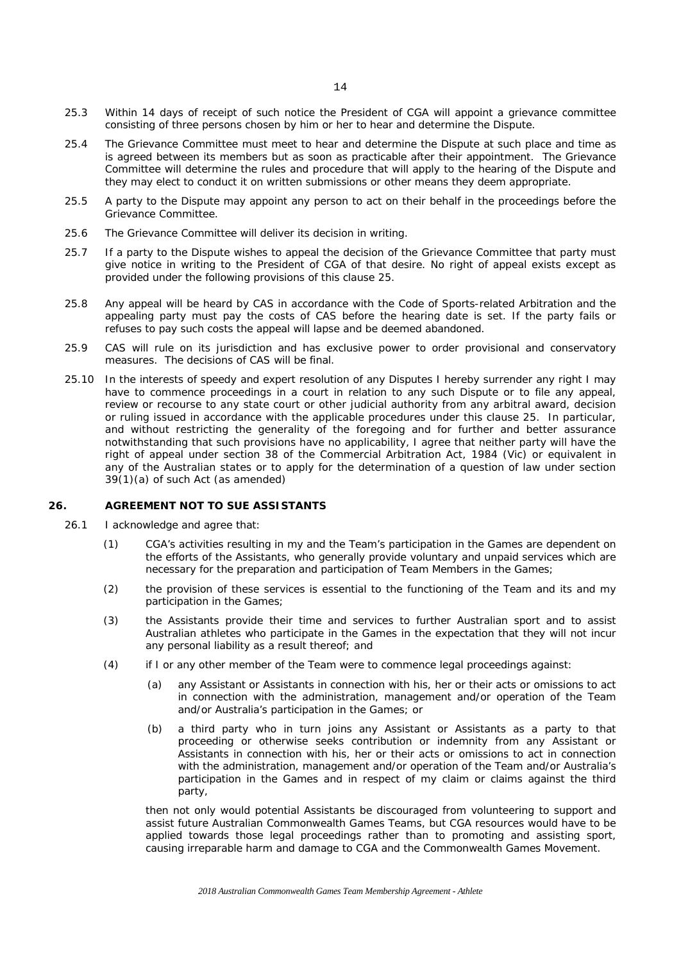- <span id="page-15-0"></span>25.3 Within 14 days of receipt of such notice the President of CGA will appoint a grievance committee consisting of three persons chosen by him or her to hear and determine the Dispute.
- 25.4 The Grievance Committee must meet to hear and determine the Dispute at such place and time as is agreed between its members but as soon as practicable after their appointment. The Grievance Committee will determine the rules and procedure that will apply to the hearing of the Dispute and they may elect to conduct it on written submissions or other means they deem appropriate.
- 25.5 A party to the Dispute may appoint any person to act on their behalf in the proceedings before the Grievance Committee.
- 25.6 The Grievance Committee will deliver its decision in writing.
- 25.7 If a party to the Dispute wishes to appeal the decision of the Grievance Committee that party must give notice in writing to the President of CGA of that desire. No right of appeal exists except as provided under the following provisions of this clause [25.](#page-14-3)
- 25.8 Any appeal will be heard by CAS in accordance with the Code of Sports-related Arbitration and the appealing party must pay the costs of CAS before the hearing date is set. If the party fails or refuses to pay such costs the appeal will lapse and be deemed abandoned.
- 25.9 CAS will rule on its jurisdiction and has exclusive power to order provisional and conservatory measures. The decisions of CAS will be final.
- 25.10 In the interests of speedy and expert resolution of any Disputes I hereby surrender any right I may have to commence proceedings in a court in relation to any such Dispute or to file any appeal, review or recourse to any state court or other judicial authority from any arbitral award, decision or ruling issued in accordance with the applicable procedures under this clause [25.](#page-14-3) In particular, and without restricting the generality of the foregoing and for further and better assurance notwithstanding that such provisions have no applicability, I agree that neither party will have the right of appeal under section 38 of the Commercial Arbitration Act, 1984 (Vic) or equivalent in any of the Australian states or to apply for the determination of a question of law under section 39(1)(a) of such Act (as amended)

#### <span id="page-15-1"></span>**26. AGREEMENT NOT TO SUE ASSISTANTS**

- 26.1 I acknowledge and agree that:
	- (1) CGA's activities resulting in my and the Team's participation in the Games are dependent on the efforts of the Assistants, who generally provide voluntary and unpaid services which are necessary for the preparation and participation of Team Members in the Games;
	- (2) the provision of these services is essential to the functioning of the Team and its and my participation in the Games;
	- (3) the Assistants provide their time and services to further Australian sport and to assist Australian athletes who participate in the Games in the expectation that they will not incur any personal liability as a result thereof; and
	- (4) if I or any other member of the Team were to commence legal proceedings against:
		- (a) any Assistant or Assistants in connection with his, her or their acts or omissions to act in connection with the administration, management and/or operation of the Team and/or Australia's participation in the Games; or
		- (b) a third party who in turn joins any Assistant or Assistants as a party to that proceeding or otherwise seeks contribution or indemnity from any Assistant or Assistants in connection with his, her or their acts or omissions to act in connection with the administration, management and/or operation of the Team and/or Australia's participation in the Games and in respect of my claim or claims against the third party,

then not only would potential Assistants be discouraged from volunteering to support and assist future Australian Commonwealth Games Teams, but CGA resources would have to be applied towards those legal proceedings rather than to promoting and assisting sport, causing irreparable harm and damage to CGA and the Commonwealth Games Movement.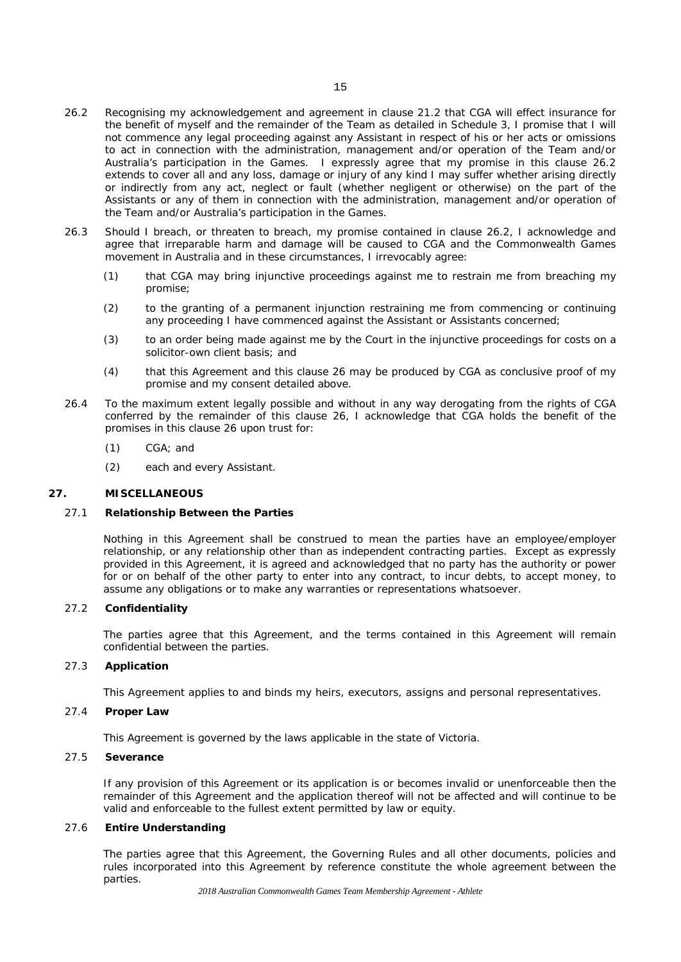- <span id="page-16-0"></span>26.2 Recognising my acknowledgement and agreement in clause [21.2](#page-13-2) that CGA will effect insurance for the benefit of myself and the remainder of the Team as detailed in Schedule 3, I promise that I will not commence any legal proceeding against any Assistant in respect of his or her acts or omissions to act in connection with the administration, management and/or operation of the Team and/or Australia's participation in the Games. I expressly agree that my promise in this clause [26.2](#page-16-0) extends to cover all and any loss, damage or injury of any kind I may suffer whether arising directly or indirectly from any act, neglect or fault (whether negligent or otherwise) on the part of the Assistants or any of them in connection with the administration, management and/or operation of the Team and/or Australia's participation in the Games.
- 26.3 Should I breach, or threaten to breach, my promise contained in clause [26.2,](#page-16-0) I acknowledge and agree that irreparable harm and damage will be caused to CGA and the Commonwealth Games movement in Australia and in these circumstances, I irrevocably agree:
	- (1) that CGA may bring injunctive proceedings against me to restrain me from breaching my promise;
	- (2) to the granting of a permanent injunction restraining me from commencing or continuing any proceeding I have commenced against the Assistant or Assistants concerned;
	- (3) to an order being made against me by the Court in the injunctive proceedings for costs on a solicitor-own client basis; and
	- (4) that this Agreement and this clause [26](#page-15-1) may be produced by CGA as conclusive proof of my promise and my consent detailed above.
- 26.4 To the maximum extent legally possible and without in any way derogating from the rights of CGA conferred by the remainder of this clause [26,](#page-15-1) I acknowledge that CGA holds the benefit of the promises in this clause [26](#page-15-1) upon trust for:
	- (1) CGA; and
	- (2) each and every Assistant.

#### **27. MISCELLANEOUS**

#### 27.1 **Relationship Between the Parties**

Nothing in this Agreement shall be construed to mean the parties have an employee/employer relationship, or any relationship other than as independent contracting parties. Except as expressly provided in this Agreement, it is agreed and acknowledged that no party has the authority or power for or on behalf of the other party to enter into any contract, to incur debts, to accept money, to assume any obligations or to make any warranties or representations whatsoever.

# 27.2 **Confidentiality**

The parties agree that this Agreement, and the terms contained in this Agreement will remain confidential between the parties.

# 27.3 **Application**

This Agreement applies to and binds my heirs, executors, assigns and personal representatives.

## 27.4 **Proper Law**

This Agreement is governed by the laws applicable in the state of Victoria.

# 27.5 **Severance**

If any provision of this Agreement or its application is or becomes invalid or unenforceable then the remainder of this Agreement and the application thereof will not be affected and will continue to be valid and enforceable to the fullest extent permitted by law or equity.

# 27.6 **Entire Understanding**

The parties agree that this Agreement, the Governing Rules and all other documents, policies and rules incorporated into this Agreement by reference constitute the whole agreement between the parties.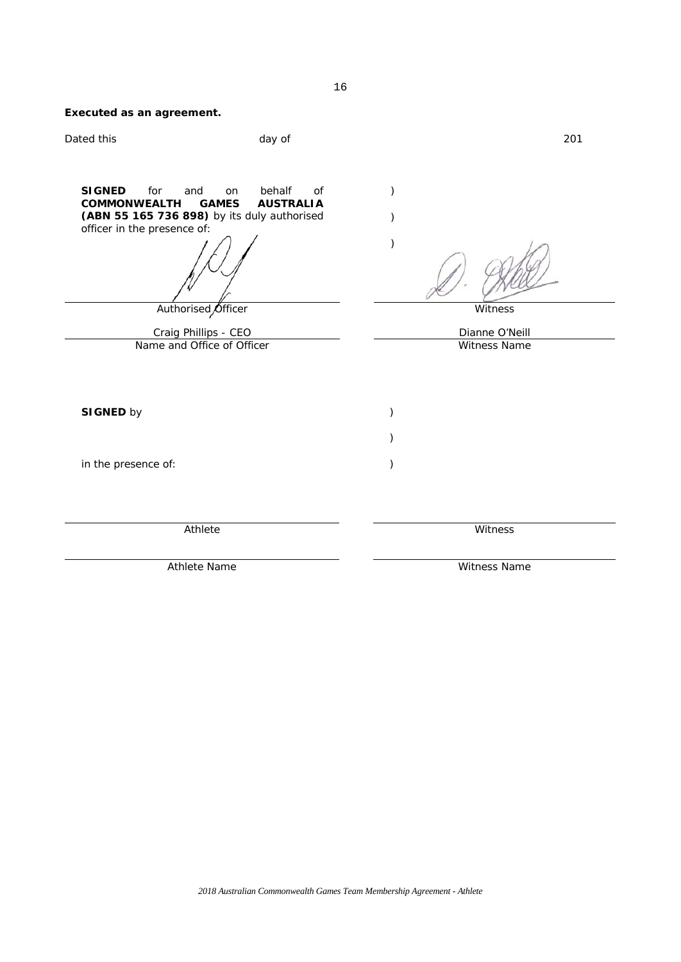| Executed as an agreement.                                                         |                                                                                                       |                    |                |
|-----------------------------------------------------------------------------------|-------------------------------------------------------------------------------------------------------|--------------------|----------------|
| Dated this                                                                        | day of                                                                                                |                    | 201            |
| <b>SIGNED</b><br>for<br>and<br><b>COMMONWEALTH</b><br>officer in the presence of: | behalf<br>of<br>on<br><b>GAMES</b><br><b>AUSTRALIA</b><br>(ABN 55 165 736 898) by its duly authorised | $\mathcal{E}$<br>⟩ |                |
|                                                                                   | Authorised Officer                                                                                    |                    | Witness        |
| Craig Phillips - CEO                                                              |                                                                                                       |                    | Dianne O'Neill |
|                                                                                   | Name and Office of Officer                                                                            |                    | Witness Name   |
| <b>SIGNED by</b>                                                                  |                                                                                                       | ⟩                  |                |
|                                                                                   |                                                                                                       |                    |                |
| in the presence of:                                                               |                                                                                                       | $\mathcal{E}$      |                |
|                                                                                   | Athlete                                                                                               |                    | Witness        |
|                                                                                   | Athlete Name                                                                                          |                    | Witness Name   |

16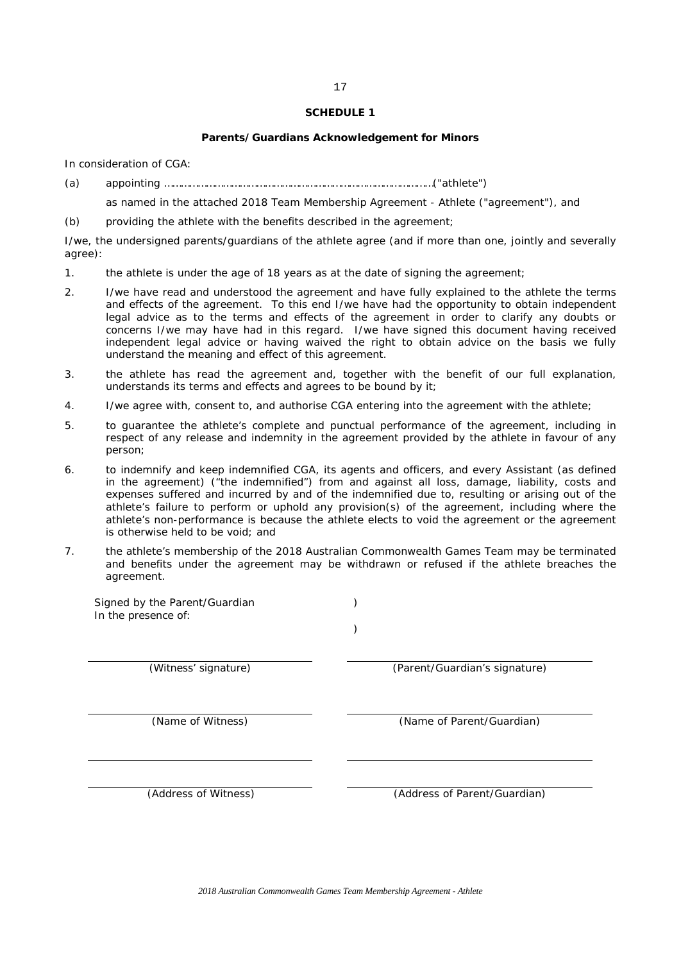### **Parents/Guardians Acknowledgement for Minors**

In consideration of CGA:

(a) appointing ……………………………………………………………………………………("athlete")

as named in the attached 2018 Team Membership Agreement - Athlete ("agreement"), and

(b) providing the athlete with the benefits described in the agreement;

I/we, the undersigned parents/guardians of the athlete agree (and if more than one, jointly and severally agree):

- 1. the athlete is under the age of 18 years as at the date of signing the agreement;
- 2. I/we have read and understood the agreement and have fully explained to the athlete the terms and effects of the agreement. To this end I/we have had the opportunity to obtain independent legal advice as to the terms and effects of the agreement in order to clarify any doubts or concerns I/we may have had in this regard. I/we have signed this document having received independent legal advice or having waived the right to obtain advice on the basis we fully understand the meaning and effect of this agreement.
- 3. the athlete has read the agreement and, together with the benefit of our full explanation, understands its terms and effects and agrees to be bound by it;
- 4. I/we agree with, consent to, and authorise CGA entering into the agreement with the athlete;
- 5. to guarantee the athlete's complete and punctual performance of the agreement, including in respect of any release and indemnity in the agreement provided by the athlete in favour of any person;
- 6. to indemnify and keep indemnified CGA, its agents and officers, and every Assistant (as defined in the agreement) ("the indemnified") from and against all loss, damage, liability, costs and expenses suffered and incurred by and of the indemnified due to, resulting or arising out of the athlete's failure to perform or uphold any provision(s) of the agreement, including where the athlete's non-performance is because the athlete elects to void the agreement or the agreement is otherwise held to be void; and
- 7. the athlete's membership of the 2018 Australian Commonwealth Games Team may be terminated and benefits under the agreement may be withdrawn or refused if the athlete breaches the agreement.

Signed by the Parent/Guardian In the presence of: ) ) (Witness' signature) (Parent/Guardian's signature) (Name of Witness) (Name of Parent/Guardian) (Address of Witness) (Address of Parent/Guardian)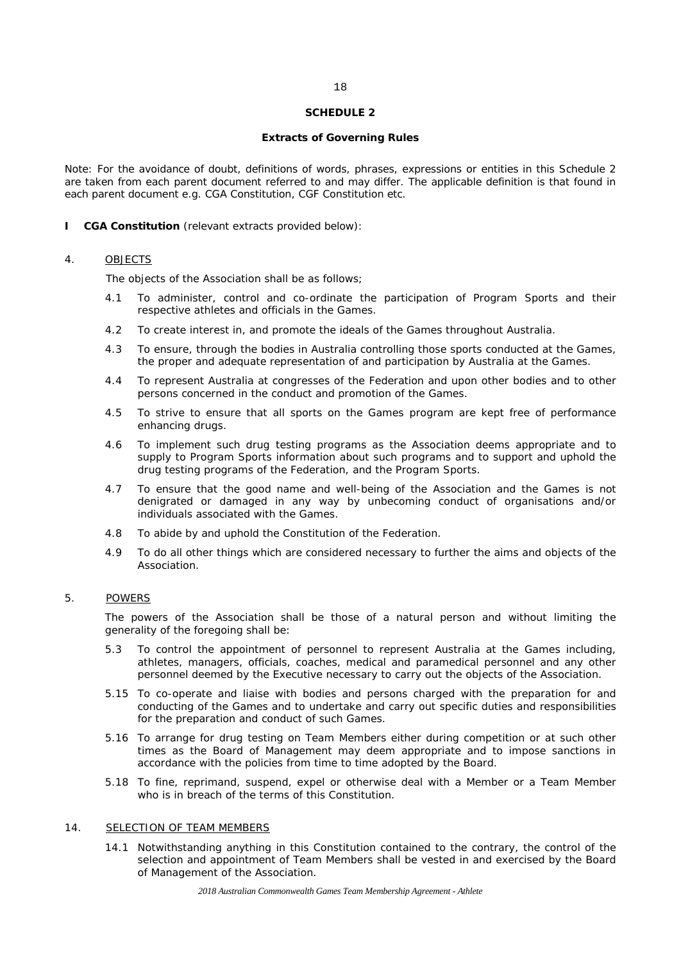#### **Extracts of Governing Rules**

Note: For the avoidance of doubt, definitions of words, phrases, expressions or entities in this Schedule 2 are taken from each parent document referred to and may differ. The applicable definition is that found in each parent document e.g. CGA Constitution, CGF Constitution etc.

#### **I CGA Constitution** (relevant extracts provided below):

#### 4. OBJECTS

The objects of the Association shall be as follows;

- 4.1 To administer, control and co-ordinate the participation of Program Sports and their respective athletes and officials in the Games.
- 4.2 To create interest in, and promote the ideals of the Games throughout Australia.
- 4.3 To ensure, through the bodies in Australia controlling those sports conducted at the Games, the proper and adequate representation of and participation by Australia at the Games.
- 4.4 To represent Australia at congresses of the Federation and upon other bodies and to other persons concerned in the conduct and promotion of the Games.
- 4.5 To strive to ensure that all sports on the Games program are kept free of performance enhancing drugs.
- 4.6 To implement such drug testing programs as the Association deems appropriate and to supply to Program Sports information about such programs and to support and uphold the drug testing programs of the Federation, and the Program Sports.
- 4.7 To ensure that the good name and well-being of the Association and the Games is not denigrated or damaged in any way by unbecoming conduct of organisations and/or individuals associated with the Games.
- 4.8 To abide by and uphold the Constitution of the Federation.
- 4.9 To do all other things which are considered necessary to further the aims and objects of the Association.

# 5. POWERS

The powers of the Association shall be those of a natural person and without limiting the generality of the foregoing shall be:

- 5.3 To control the appointment of personnel to represent Australia at the Games including, athletes, managers, officials, coaches, medical and paramedical personnel and any other personnel deemed by the Executive necessary to carry out the objects of the Association.
- 5.15 To co-operate and liaise with bodies and persons charged with the preparation for and conducting of the Games and to undertake and carry out specific duties and responsibilities for the preparation and conduct of such Games.
- 5.16 To arrange for drug testing on Team Members either during competition or at such other times as the Board of Management may deem appropriate and to impose sanctions in accordance with the policies from time to time adopted by the Board.
- 5.18 To fine, reprimand, suspend, expel or otherwise deal with a Member or a Team Member who is in breach of the terms of this Constitution.

#### 14. SELECTION OF TEAM MEMBERS

14.1 Notwithstanding anything in this Constitution contained to the contrary, the control of the selection and appointment of Team Members shall be vested in and exercised by the Board of Management of the Association.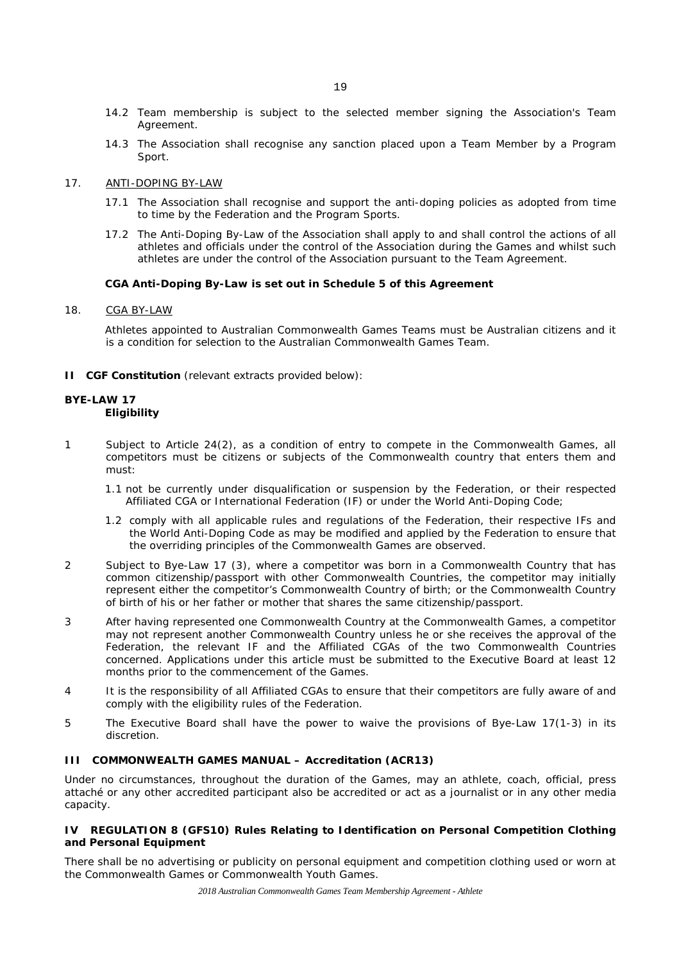- 14.2 Team membership is subject to the selected member signing the Association's Team Agreement.
- 14.3 The Association shall recognise any sanction placed upon a Team Member by a Program Sport.

#### 17. ANTI-DOPING BY-LAW

- 17.1 The Association shall recognise and support the anti-doping policies as adopted from time to time by the Federation and the Program Sports.
- 17.2 The Anti-Doping By-Law of the Association shall apply to and shall control the actions of all athletes and officials under the control of the Association during the Games and whilst such athletes are under the control of the Association pursuant to the Team Agreement.

# **CGA Anti-Doping By-Law is set out in Schedule 5 of this Agreement**

#### 18. CGA BY-LAW

Athletes appointed to Australian Commonwealth Games Teams must be Australian citizens and it is a condition for selection to the Australian Commonwealth Games Team.

**II CGF Constitution** (relevant extracts provided below):

#### **BYE-LAW 17 Eligibility**

- 1 Subject to Article 24(2), as a condition of entry to compete in the Commonwealth Games, all competitors must be citizens or subjects of the Commonwealth country that enters them and must:
	- 1.1 not be currently under disqualification or suspension by the Federation, or their respected Affiliated CGA or International Federation (IF) or under the World Anti-Doping Code;
	- 1.2 comply with all applicable rules and regulations of the Federation, their respective IFs and the World Anti-Doping Code as may be modified and applied by the Federation to ensure that the overriding principles of the Commonwealth Games are observed.
- 2 Subject to Bye-Law 17 (3), where a competitor was born in a Commonwealth Country that has common citizenship/passport with other Commonwealth Countries, the competitor may initially represent either the competitor's Commonwealth Country of birth; or the Commonwealth Country of birth of his or her father or mother that shares the same citizenship/passport.
- 3 After having represented one Commonwealth Country at the Commonwealth Games, a competitor may not represent another Commonwealth Country unless he or she receives the approval of the Federation, the relevant IF and the Affiliated CGAs of the two Commonwealth Countries concerned. Applications under this article must be submitted to the Executive Board at least 12 months prior to the commencement of the Games.
- 4 It is the responsibility of all Affiliated CGAs to ensure that their competitors are fully aware of and comply with the eligibility rules of the Federation.
- 5 The Executive Board shall have the power to waive the provisions of Bye-Law 17(1-3) in its discretion.

## **III COMMONWEALTH GAMES MANUAL – Accreditation (ACR13)**

Under no circumstances, throughout the duration of the Games, may an athlete, coach, official, press attaché or any other accredited participant also be accredited or act as a journalist or in any other media capacity.

#### **IV REGULATION 8 (GFS10) Rules Relating to Identification on Personal Competition Clothing and Personal Equipment**

There shall be no advertising or publicity on personal equipment and competition clothing used or worn at the Commonwealth Games or Commonwealth Youth Games.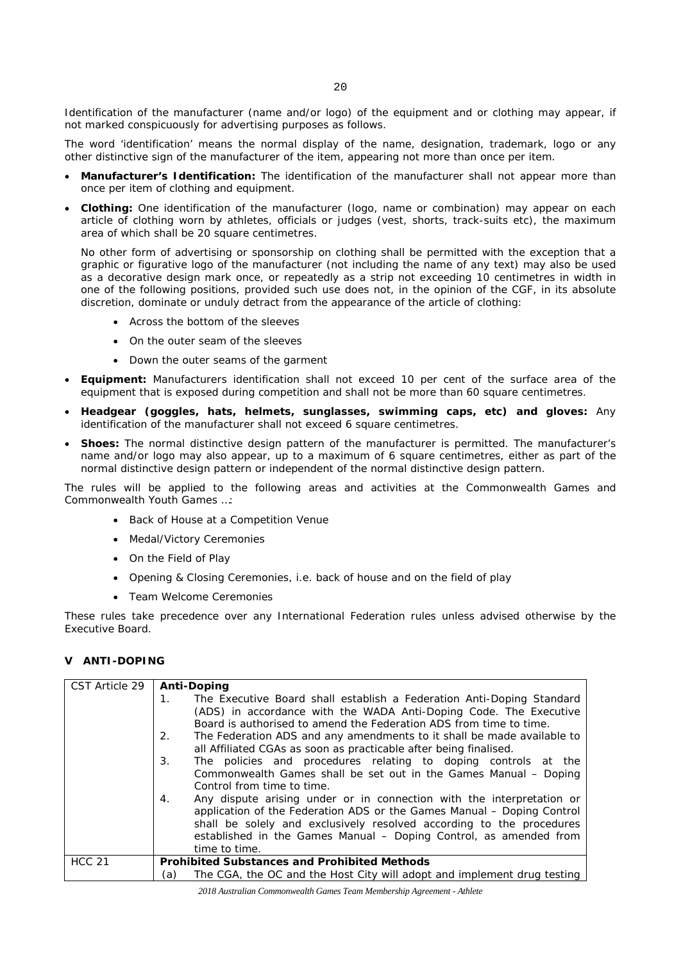Identification of the manufacturer (name and/or logo) of the equipment and or clothing may appear, if not marked conspicuously for advertising purposes as follows.

The word 'identification' means the normal display of the name, designation, trademark, logo or any other distinctive sign of the manufacturer of the item, appearing not more than once per item.

- **Manufacturer's Identification:** The identification of the manufacturer shall not appear more than once per item of clothing and equipment.
- **Clothing:** One identification of the manufacturer (logo, name or combination) may appear on each article of clothing worn by athletes, officials or judges (vest, shorts, track-suits etc), the maximum area of which shall be 20 square centimetres.

No other form of advertising or sponsorship on clothing shall be permitted with the exception that a graphic or figurative logo of the manufacturer (not including the name of any text) may also be used as a decorative design mark once, or repeatedly as a strip not exceeding 10 centimetres in width in one of the following positions, provided such use does not, in the opinion of the CGF, in its absolute discretion, dominate or unduly detract from the appearance of the article of clothing:

- Across the bottom of the sleeves
- On the outer seam of the sleeves
- Down the outer seams of the garment
- **Equipment:** Manufacturers identification shall not exceed 10 per cent of the surface area of the equipment that is exposed during competition and shall not be more than 60 square centimetres.
- **Headgear (goggles, hats, helmets, sunglasses, swimming caps, etc) and gloves:** Any identification of the manufacturer shall not exceed 6 square centimetres.
- **Shoes:** The normal distinctive design pattern of the manufacturer is permitted. The manufacturer's name and/or logo may also appear, up to a maximum of 6 square centimetres, either as part of the normal distinctive design pattern or independent of the normal distinctive design pattern.

The rules will be applied to the following areas and activities at the Commonwealth Games and Commonwealth Youth Games …:

- Back of House at a Competition Venue
- Medal/Victory Ceremonies
- On the Field of Play
- Opening & Closing Ceremonies, i.e. back of house and on the field of play
- Team Welcome Ceremonies

These rules take precedence over any International Federation rules unless advised otherwise by the Executive Board.

# **V ANTI-DOPING**

| CST Article 29 | <b>Anti-Doping</b>                                                             |  |  |
|----------------|--------------------------------------------------------------------------------|--|--|
|                | The Executive Board shall establish a Federation Anti-Doping Standard<br>1.    |  |  |
|                | (ADS) in accordance with the WADA Anti-Doping Code. The Executive              |  |  |
|                | Board is authorised to amend the Federation ADS from time to time.             |  |  |
|                | The Federation ADS and any amendments to it shall be made available to<br>2.   |  |  |
|                | all Affiliated CGAs as soon as practicable after being finalised.              |  |  |
|                | The policies and procedures relating to doping controls at the<br>3.           |  |  |
|                | Commonwealth Games shall be set out in the Games Manual - Doping               |  |  |
|                | Control from time to time.                                                     |  |  |
|                | Any dispute arising under or in connection with the interpretation or<br>4.    |  |  |
|                | application of the Federation ADS or the Games Manual - Doping Control         |  |  |
|                | shall be solely and exclusively resolved according to the procedures           |  |  |
|                | established in the Games Manual – Doping Control, as amended from              |  |  |
|                | time to time.                                                                  |  |  |
| <b>HCC 21</b>  | <b>Prohibited Substances and Prohibited Methods</b>                            |  |  |
|                | The CGA, the OC and the Host City will adopt and implement drug testing<br>(a) |  |  |

*2018 Australian Commonwealth Games Team Membership Agreement - Athlete*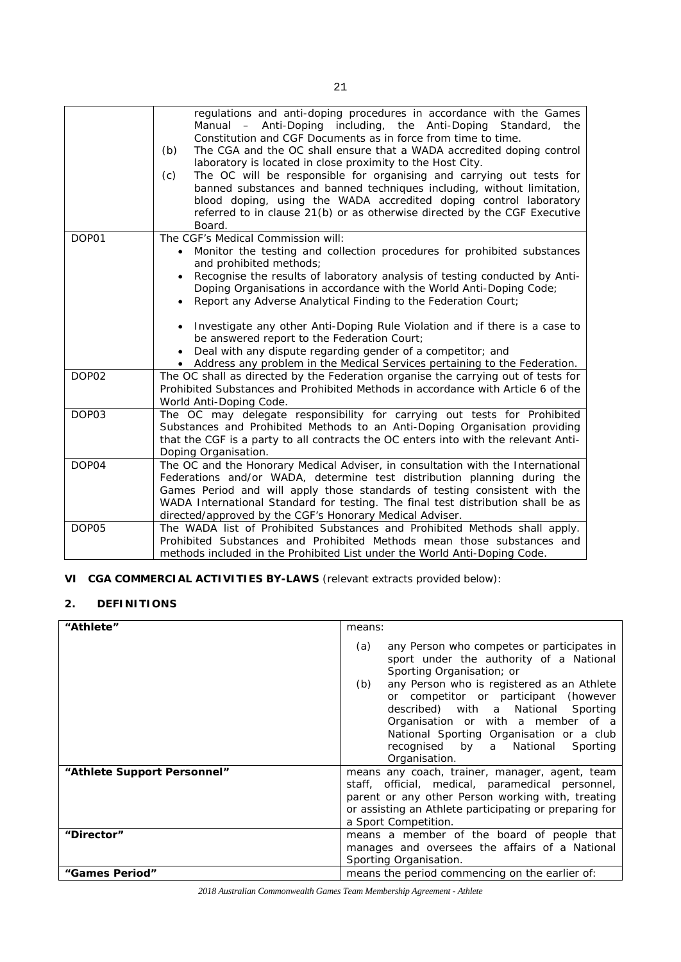|       | regulations and anti-doping procedures in accordance with the Games<br>Manual - Anti-Doping including, the Anti-Doping Standard, the<br>Constitution and CGF Documents as in force from time to time.<br>The CGA and the OC shall ensure that a WADA accredited doping control<br>(b)<br>laboratory is located in close proximity to the Host City.<br>The OC will be responsible for organising and carrying out tests for<br>(c)<br>banned substances and banned techniques including, without limitation,<br>blood doping, using the WADA accredited doping control laboratory<br>referred to in clause 21(b) or as otherwise directed by the CGF Executive<br>Board. |
|-------|--------------------------------------------------------------------------------------------------------------------------------------------------------------------------------------------------------------------------------------------------------------------------------------------------------------------------------------------------------------------------------------------------------------------------------------------------------------------------------------------------------------------------------------------------------------------------------------------------------------------------------------------------------------------------|
| DOP01 | The CGF's Medical Commission will:<br>Monitor the testing and collection procedures for prohibited substances<br>$\bullet$<br>and prohibited methods;<br>Recognise the results of laboratory analysis of testing conducted by Anti-<br>$\bullet$<br>Doping Organisations in accordance with the World Anti-Doping Code;<br>Report any Adverse Analytical Finding to the Federation Court;<br>$\bullet$<br>Investigate any other Anti-Doping Rule Violation and if there is a case to<br>$\bullet$                                                                                                                                                                        |
|       | be answered report to the Federation Court;<br>Deal with any dispute regarding gender of a competitor; and<br>• Address any problem in the Medical Services pertaining to the Federation.                                                                                                                                                                                                                                                                                                                                                                                                                                                                                |
| DOP02 | The OC shall as directed by the Federation organise the carrying out of tests for<br>Prohibited Substances and Prohibited Methods in accordance with Article 6 of the<br>World Anti-Doping Code.                                                                                                                                                                                                                                                                                                                                                                                                                                                                         |
| DOP03 | The OC may delegate responsibility for carrying out tests for Prohibited<br>Substances and Prohibited Methods to an Anti-Doping Organisation providing<br>that the CGF is a party to all contracts the OC enters into with the relevant Anti-<br>Doping Organisation.                                                                                                                                                                                                                                                                                                                                                                                                    |
| DOP04 | The OC and the Honorary Medical Adviser, in consultation with the International<br>Federations and/or WADA, determine test distribution planning during the<br>Games Period and will apply those standards of testing consistent with the<br>WADA International Standard for testing. The final test distribution shall be as<br>directed/approved by the CGF's Honorary Medical Adviser.                                                                                                                                                                                                                                                                                |
| DOP05 | The WADA list of Prohibited Substances and Prohibited Methods shall apply.<br>Prohibited Substances and Prohibited Methods mean those substances and<br>methods included in the Prohibited List under the World Anti-Doping Code.                                                                                                                                                                                                                                                                                                                                                                                                                                        |

# **VI CGA COMMERCIAL ACTIVITIES BY-LAWS** (relevant extracts provided below):

# **2. DEFINITIONS**

| "Athlete"                   | means:                                                                                                                                                                                                                                                                                                                                                                                                    |
|-----------------------------|-----------------------------------------------------------------------------------------------------------------------------------------------------------------------------------------------------------------------------------------------------------------------------------------------------------------------------------------------------------------------------------------------------------|
|                             | any Person who competes or participates in<br>(a)<br>sport under the authority of a National<br>Sporting Organisation; or<br>any Person who is registered as an Athlete<br>(b)<br>or competitor or participant (however<br>described) with a National Sporting<br>Organisation or with a member of a<br>National Sporting Organisation or a club<br>recognised by a National<br>Sporting<br>Organisation. |
| "Athlete Support Personnel" | means any coach, trainer, manager, agent, team<br>staff, official, medical, paramedical personnel,<br>parent or any other Person working with, treating<br>or assisting an Athlete participating or preparing for<br>a Sport Competition.                                                                                                                                                                 |
| "Director"                  | means a member of the board of people that<br>manages and oversees the affairs of a National<br>Sporting Organisation.                                                                                                                                                                                                                                                                                    |
| "Games Period"              | means the period commencing on the earlier of:                                                                                                                                                                                                                                                                                                                                                            |

*2018 Australian Commonwealth Games Team Membership Agreement - Athlete*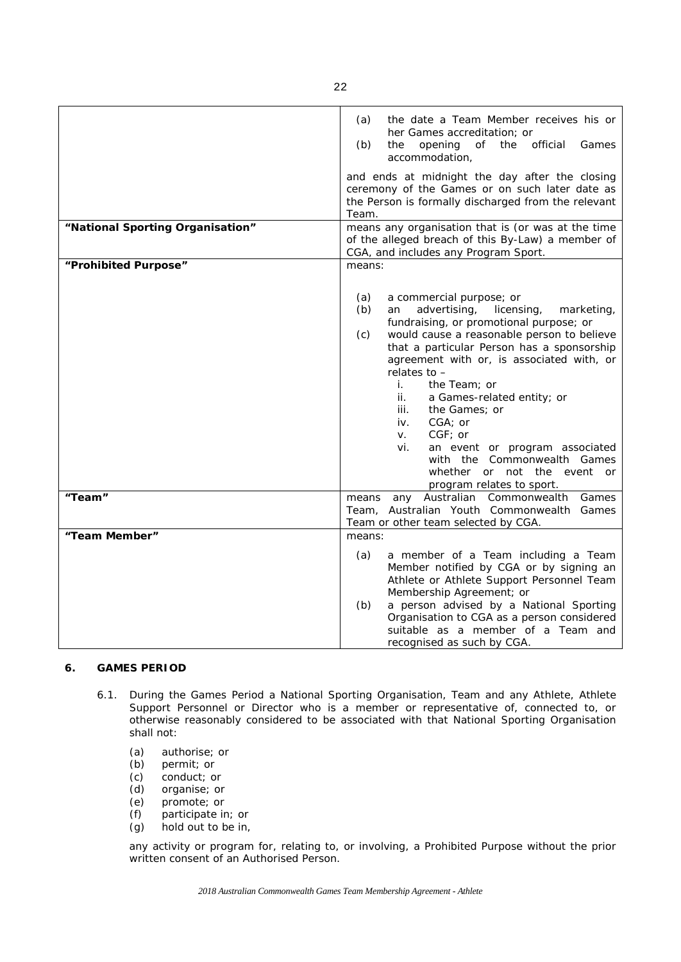| "National Sporting Organisation" | (a)<br>the date a Team Member receives his or<br>her Games accreditation; or<br>official<br>(b)<br>the<br>opening<br>of<br>the<br>Games<br>accommodation,<br>and ends at midnight the day after the closing<br>ceremony of the Games or on such later date as<br>the Person is formally discharged from the relevant<br>Team.<br>means any organisation that is (or was at the time<br>of the alleged breach of this By-Law) a member of<br>CGA, and includes any Program Sport.                                                                                                    |
|----------------------------------|-------------------------------------------------------------------------------------------------------------------------------------------------------------------------------------------------------------------------------------------------------------------------------------------------------------------------------------------------------------------------------------------------------------------------------------------------------------------------------------------------------------------------------------------------------------------------------------|
| "Prohibited Purpose"             | means:                                                                                                                                                                                                                                                                                                                                                                                                                                                                                                                                                                              |
|                                  | a commercial purpose; or<br>(a)<br>advertising,<br>(b)<br>licensing,<br>marketing,<br>an<br>fundraising, or promotional purpose; or<br>would cause a reasonable person to believe<br>(c)<br>that a particular Person has a sponsorship<br>agreement with or, is associated with, or<br>relates to -<br>i.<br>the Team; or<br>ii.<br>a Games-related entity; or<br>iii.<br>the <i>Games</i> ; or<br>CGA; or<br>iv.<br>$CGF$ ; or<br>V.<br>an event or program associated<br>vi.<br>with the Commonwealth Games<br>whether or not the event<br><b>or</b><br>program relates to sport. |
| "Team"                           | Australian Commonwealth<br>Games<br>means<br>any<br>Team, Australian Youth Commonwealth Games<br>Team or other team selected by CGA.                                                                                                                                                                                                                                                                                                                                                                                                                                                |
| "Team Member"                    | means:                                                                                                                                                                                                                                                                                                                                                                                                                                                                                                                                                                              |
|                                  | (a)<br>a member of a Team including a Team<br>Member notified by CGA or by signing an<br>Athlete or Athlete Support Personnel Team<br>Membership Agreement; or<br>a person advised by a National Sporting<br>(b)<br>Organisation to CGA as a person considered<br>suitable as a member of a Team and<br>recognised as such by CGA.                                                                                                                                                                                                                                                  |

# **6. GAMES PERIOD**

- 6.1. During the *Games Period* a *National Sporting Organisation*, *Team* and any *Athlete*, *Athlete Support Personnel* or *Director* who is a member or representative of, connected to, or otherwise reasonably considered to be associated with that *National Sporting Organisation* shall not:
	- (a) authorise; or<br>(b) permit; or
	- (b) permit; or<br>(c) conduct; o
	-
	- (c) conduct; or<br>(d) organise; or organise; or
	- (e) promote; or
	- (f) participate in; or
	- (g) hold out to be in,

any activity or program for, relating to, or involving, a *Prohibited Purpose* without the prior written consent of an *Authorised Person*.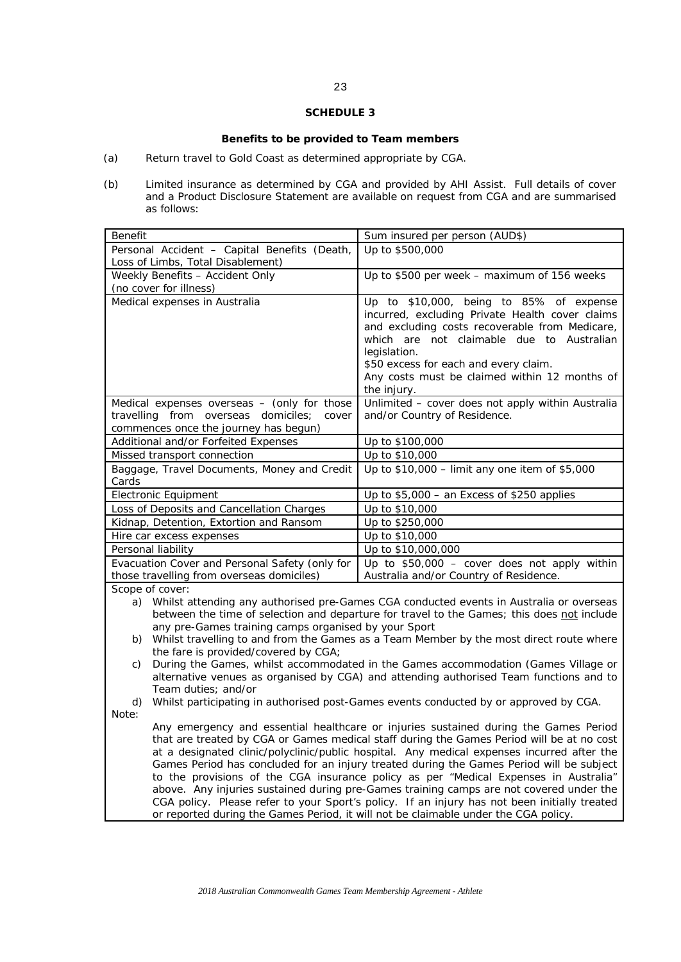# **Benefits to be provided to Team members**

- (a) Return travel to Gold Coast as determined appropriate by CGA.
- (b) Limited insurance as determined by CGA and provided by AHI Assist. Full details of cover and a Product Disclosure Statement are available on request from CGA and are summarised as follows:

| Benefit                                                                                                                                                                                                                                                                                                                                                                                                                                                                                                                                                                                                                                                                                                                                               | Sum insured per person (AUD\$)                                                                                                                                                                                                                                                                                                                                         |
|-------------------------------------------------------------------------------------------------------------------------------------------------------------------------------------------------------------------------------------------------------------------------------------------------------------------------------------------------------------------------------------------------------------------------------------------------------------------------------------------------------------------------------------------------------------------------------------------------------------------------------------------------------------------------------------------------------------------------------------------------------|------------------------------------------------------------------------------------------------------------------------------------------------------------------------------------------------------------------------------------------------------------------------------------------------------------------------------------------------------------------------|
| Personal Accident - Capital Benefits (Death,                                                                                                                                                                                                                                                                                                                                                                                                                                                                                                                                                                                                                                                                                                          | Up to \$500,000                                                                                                                                                                                                                                                                                                                                                        |
| Loss of Limbs, Total Disablement)                                                                                                                                                                                                                                                                                                                                                                                                                                                                                                                                                                                                                                                                                                                     |                                                                                                                                                                                                                                                                                                                                                                        |
| Weekly Benefits - Accident Only                                                                                                                                                                                                                                                                                                                                                                                                                                                                                                                                                                                                                                                                                                                       | Up to \$500 per week - maximum of 156 weeks                                                                                                                                                                                                                                                                                                                            |
| (no cover for illness)                                                                                                                                                                                                                                                                                                                                                                                                                                                                                                                                                                                                                                                                                                                                |                                                                                                                                                                                                                                                                                                                                                                        |
| Medical expenses in Australia                                                                                                                                                                                                                                                                                                                                                                                                                                                                                                                                                                                                                                                                                                                         | Up to \$10,000, being to 85% of expense<br>incurred, excluding Private Health cover claims<br>and excluding costs recoverable from Medicare,<br>which are not claimable due to Australian<br>legislation.<br>\$50 excess for each and every claim.<br>Any costs must be claimed within 12 months of<br>the injury.                                                     |
| Medical expenses overseas $-$ (only for those<br>travelling from overseas<br>domiciles;<br>cover                                                                                                                                                                                                                                                                                                                                                                                                                                                                                                                                                                                                                                                      | Unlimited - cover does not apply within Australia<br>and/or Country of Residence.                                                                                                                                                                                                                                                                                      |
| commences once the journey has begun)                                                                                                                                                                                                                                                                                                                                                                                                                                                                                                                                                                                                                                                                                                                 |                                                                                                                                                                                                                                                                                                                                                                        |
| Additional and/or Forfeited Expenses                                                                                                                                                                                                                                                                                                                                                                                                                                                                                                                                                                                                                                                                                                                  | Up to \$100,000                                                                                                                                                                                                                                                                                                                                                        |
| Missed transport connection                                                                                                                                                                                                                                                                                                                                                                                                                                                                                                                                                                                                                                                                                                                           | Up to \$10,000                                                                                                                                                                                                                                                                                                                                                         |
| Baggage, Travel Documents, Money and Credit<br>Cards                                                                                                                                                                                                                                                                                                                                                                                                                                                                                                                                                                                                                                                                                                  | Up to \$10,000 - limit any one item of \$5,000                                                                                                                                                                                                                                                                                                                         |
| <b>Electronic Equipment</b>                                                                                                                                                                                                                                                                                                                                                                                                                                                                                                                                                                                                                                                                                                                           | Up to \$5,000 - an Excess of \$250 applies                                                                                                                                                                                                                                                                                                                             |
| Loss of Deposits and Cancellation Charges                                                                                                                                                                                                                                                                                                                                                                                                                                                                                                                                                                                                                                                                                                             | Up to \$10,000                                                                                                                                                                                                                                                                                                                                                         |
| Kidnap, Detention, Extortion and Ransom                                                                                                                                                                                                                                                                                                                                                                                                                                                                                                                                                                                                                                                                                                               | Up to \$250,000                                                                                                                                                                                                                                                                                                                                                        |
| Hire car excess expenses                                                                                                                                                                                                                                                                                                                                                                                                                                                                                                                                                                                                                                                                                                                              | Up to \$10,000                                                                                                                                                                                                                                                                                                                                                         |
| Personal liability                                                                                                                                                                                                                                                                                                                                                                                                                                                                                                                                                                                                                                                                                                                                    | Up to \$10,000,000                                                                                                                                                                                                                                                                                                                                                     |
| Evacuation Cover and Personal Safety (only for                                                                                                                                                                                                                                                                                                                                                                                                                                                                                                                                                                                                                                                                                                        | Up to $$50,000 - cover$ does not apply within                                                                                                                                                                                                                                                                                                                          |
| those travelling from overseas domiciles)                                                                                                                                                                                                                                                                                                                                                                                                                                                                                                                                                                                                                                                                                                             | Australia and/or Country of Residence.                                                                                                                                                                                                                                                                                                                                 |
| Scope of cover:                                                                                                                                                                                                                                                                                                                                                                                                                                                                                                                                                                                                                                                                                                                                       |                                                                                                                                                                                                                                                                                                                                                                        |
| a)<br>any pre-Games training camps organised by your Sport<br>b)<br>the fare is provided/covered by CGA;<br>C)                                                                                                                                                                                                                                                                                                                                                                                                                                                                                                                                                                                                                                        | Whilst attending any authorised pre-Games CGA conducted events in Australia or overseas<br>between the time of selection and departure for travel to the Games; this does not include<br>Whilst travelling to and from the Games as a Team Member by the most direct route where<br>During the Games, whilst accommodated in the Games accommodation (Games Village or |
| alternative venues as organised by CGA) and attending authorised Team functions and to<br>Team duties; and/or                                                                                                                                                                                                                                                                                                                                                                                                                                                                                                                                                                                                                                         |                                                                                                                                                                                                                                                                                                                                                                        |
| d)                                                                                                                                                                                                                                                                                                                                                                                                                                                                                                                                                                                                                                                                                                                                                    | Whilst participating in authorised post-Games events conducted by or approved by CGA.                                                                                                                                                                                                                                                                                  |
| Note:                                                                                                                                                                                                                                                                                                                                                                                                                                                                                                                                                                                                                                                                                                                                                 |                                                                                                                                                                                                                                                                                                                                                                        |
| Any emergency and essential healthcare or injuries sustained during the Games Period<br>that are treated by CGA or Games medical staff during the Games Period will be at no cost<br>at a designated clinic/polyclinic/public hospital. Any medical expenses incurred after the<br>Games Period has concluded for an injury treated during the Games Period will be subject<br>to the provisions of the CGA insurance policy as per "Medical Expenses in Australia"<br>above. Any injuries sustained during pre-Games training camps are not covered under the<br>CGA policy. Please refer to your Sport's policy. If an injury has not been initially treated<br>or reported during the Games Period, it will not be claimable under the CGA policy. |                                                                                                                                                                                                                                                                                                                                                                        |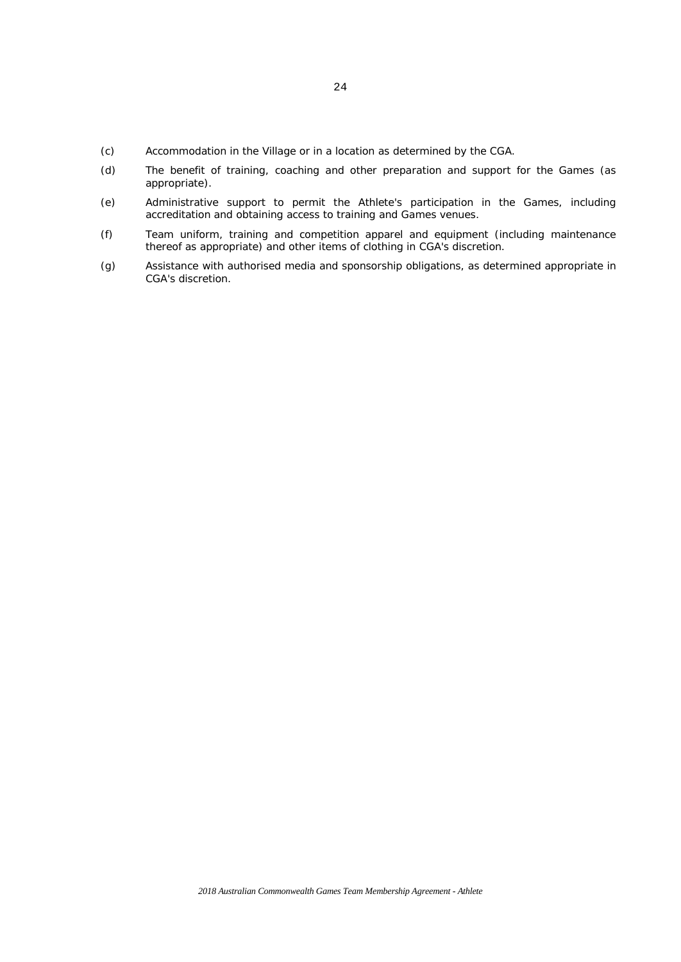- (c) Accommodation in the Village or in a location as determined by the CGA.
- (d) The benefit of training, coaching and other preparation and support for the Games (as appropriate).
- (e) Administrative support to permit the Athlete's participation in the Games, including accreditation and obtaining access to training and Games venues.
- (f) Team uniform, training and competition apparel and equipment (including maintenance thereof as appropriate) and other items of clothing in CGA's discretion.
- (g) Assistance with authorised media and sponsorship obligations, as determined appropriate in CGA's discretion.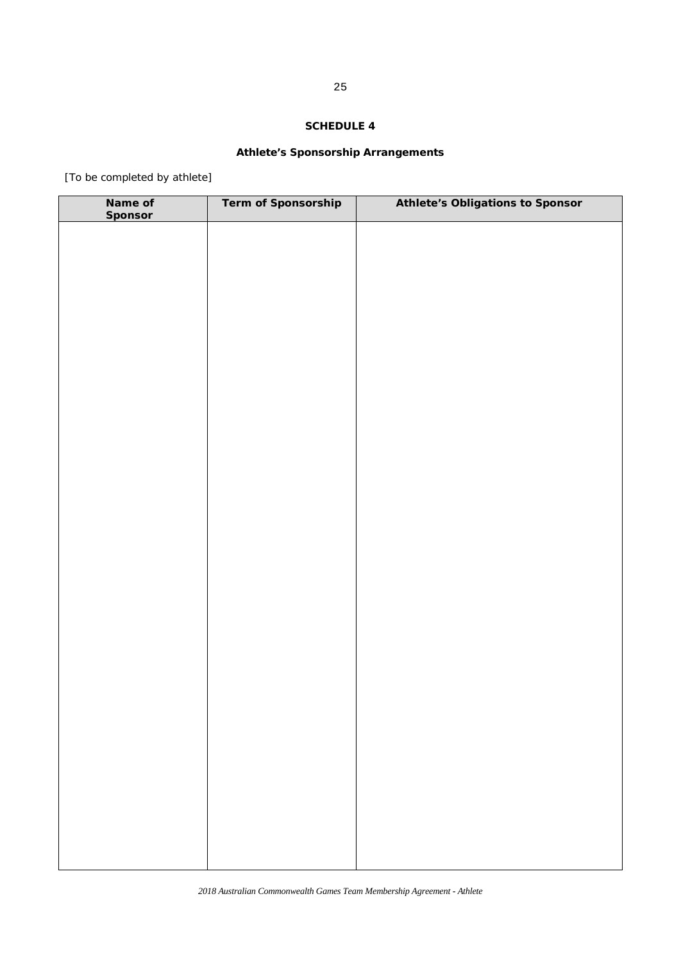# **Athlete's Sponsorship Arrangements**

[To be completed by athlete]

| Name of<br><b>Sponsor</b> | Term of Sponsorship | <b>Athlete's Obligations to Sponsor</b> |
|---------------------------|---------------------|-----------------------------------------|
|                           |                     |                                         |
|                           |                     |                                         |
|                           |                     |                                         |
|                           |                     |                                         |
|                           |                     |                                         |
|                           |                     |                                         |
|                           |                     |                                         |
|                           |                     |                                         |
|                           |                     |                                         |
|                           |                     |                                         |
|                           |                     |                                         |
|                           |                     |                                         |
|                           |                     |                                         |
|                           |                     |                                         |
|                           |                     |                                         |
|                           |                     |                                         |
|                           |                     |                                         |
|                           |                     |                                         |
|                           |                     |                                         |
|                           |                     |                                         |
|                           |                     |                                         |
|                           |                     |                                         |
|                           |                     |                                         |
|                           |                     |                                         |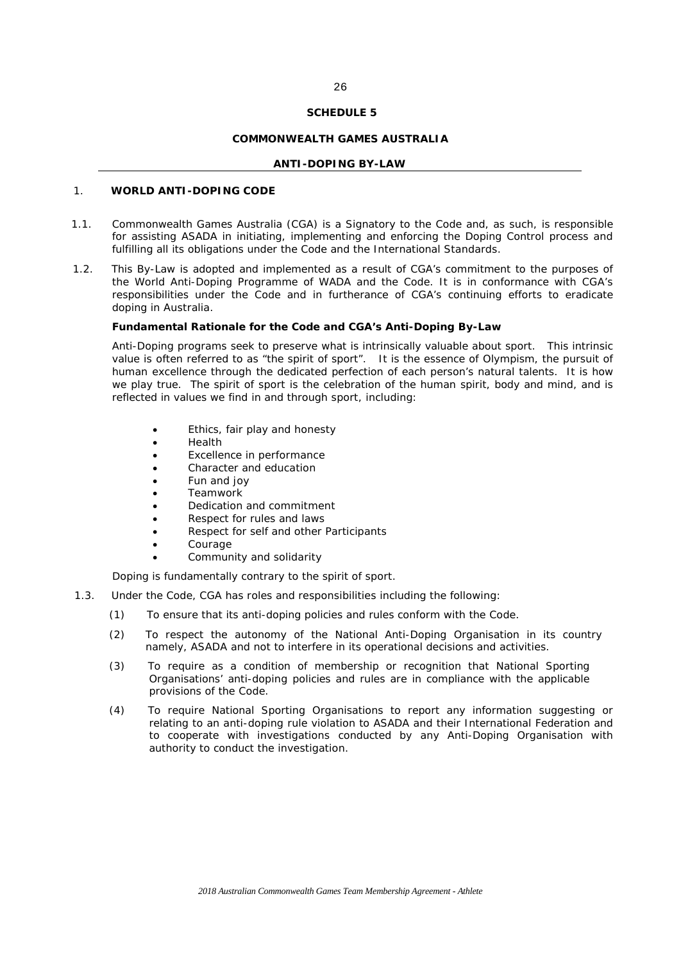#### **COMMONWEALTH GAMES AUSTRALIA**

#### **ANTI-DOPING BY-LAW**

## 1. **WORLD ANTI-DOPING CODE**

- 1.1. Commonwealth Games Australia (*CGA*) is a *Signatory* to the *Code* and, as such, is responsible for assisting *ASADA* in initiating, implementing and enforcing the *Doping Control* process and fulfilling all its obligations under the *Code* and the *International Standards*.
- 1.2. This By-Law is adopted and implemented as a result of *CGA*'s commitment to the purposes of the World Anti-Doping Programme of *WADA* and the *Code*. It is in conformance with *CGA*'s responsibilities under the *Code* and in furtherance of *CGA*'s continuing efforts to eradicate doping in Australia.

#### **Fundamental Rationale for the Code and** *CGA***'s Anti-Doping By-Law**

Anti-Doping programs seek to preserve what is intrinsically valuable about sport. This intrinsic value is often referred to as "the spirit of sport". It is the essence of Olympism, the pursuit of human excellence through the dedicated perfection of each person's natural talents. It is how we play true. The spirit of sport is the celebration of the human spirit, body and mind, and is reflected in values we find in and through sport, including:

- Ethics, fair play and honesty
- Health
- Excellence in performance
- Character and education
- Fun and joy
- Teamwork
- Dedication and commitment
- Respect for rules and laws
- Respect for self and other *Participants*
- Courage
- Community and solidarity

Doping is fundamentally contrary to the spirit of sport.

- 1.3. Under the *Code*, *CGA* has roles and responsibilities including the following:
	- (1) To ensure that its anti-doping policies and rules conform with the *Code*.
	- (2) To respect the autonomy of the *National Anti-Doping Organisation* in its country namely, *ASADA* and not to interfere in its operational decisions and activities.
	- (3) To require as a condition of membership or recognition that *National Sporting Organisations*' anti-doping policies and rules are in compliance with the applicable provisions of the Code.
	- (4) To require *National Sporting Organisations* to report any information suggesting or relating to an *anti-doping rule violation* to *ASADA* and their *International Federation* and to cooperate with investigations conducted by any *Anti-Doping Organisation* with authority to conduct the investigation.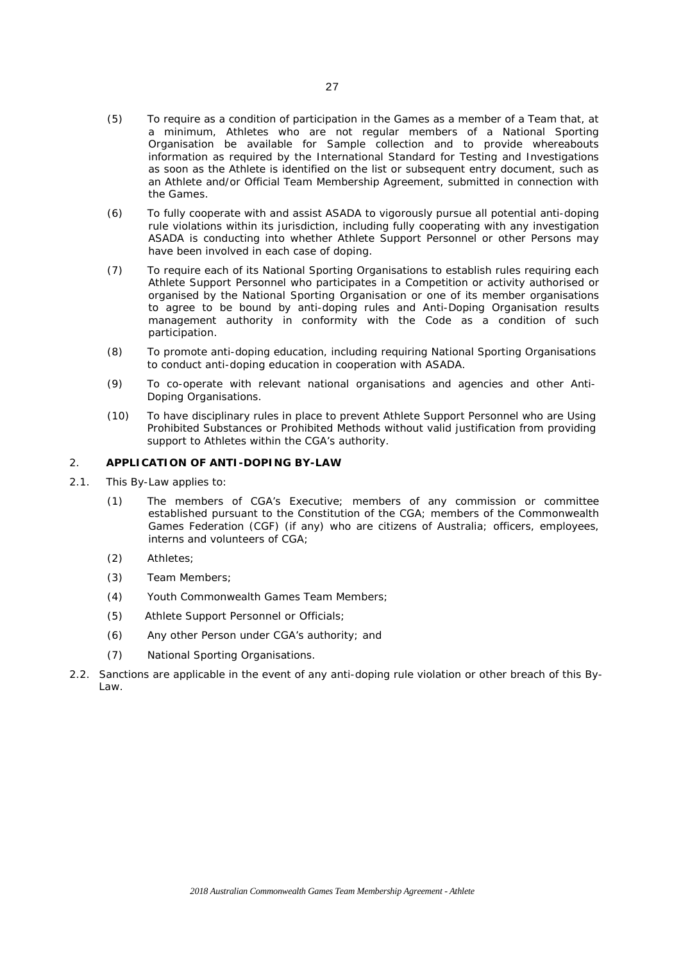- (5) To require as a condition of participation in the *Games* as a member of a *Team* that, at a minimum, *Athletes* who are not regular members of a *National Sporting Organisation* be available for *Sample* collection and to provide whereabouts information as required by the International Standard for Testing and Investigations as soon as the *Athlete* is identified on the list or subsequent entry document, such as an Athlete and/or Official Team Membership Agreement, submitted in connection with the *Games*.
- (6) To fully cooperate with and assist *ASADA* to vigorously pursue all potential *anti-doping rule violations* within its jurisdiction, including fully cooperating with any investigation *ASADA* is conducting into whether *Athlete Support Personnel* or other *Persons* may have been involved in each case of doping.
- (7) To require each of its *National Sporting Organisations* to establish rules requiring each *Athlete Support Personnel* who participates in a *Competition* or activity authorised or organised by the *National Sporting Organisation* or one of its member organisations to agree to be bound by anti-doping rules and *Anti-Doping Organisation* results management authority in conformity with the *Code* as a condition of such participation.
- (8) To promote anti-doping education, including requiring *National Sporting Organisations*  to conduct anti-doping education in cooperation with *ASADA*.
- (9) To co-operate with relevant national organisations and agencies and other Anti-Doping Organisations.
- (10) To have disciplinary rules in place to prevent Athlete Support Personnel who are Using Prohibited Substances or Prohibited Methods without valid justification from providing support to Athletes within the CGA's authority.

## 2. **APPLICATION OF ANTI-DOPING BY-LAW**

- 2.1. This By-Law applies to:
	- (1) The members of *CGA's Executive*; members of any commission or committee established pursuant to the Constitution of the *CGA*; members of the Commonwealth Games Federation (*CGF*) (if any) who are citizens of Australia; officers, employees, interns and volunteers of *CGA*;
	- (2) *Athletes;*
	- (3) *Team Members*;
	- (4) *Youth Commonwealth Games Team Members*;
	- (5) *Athlete Support Personnel or Officials*;
	- (6) Any other *Person* under *CGA*'s authority; and
	- (7) *National Sporting Organisations*.
- 2.2. Sanctions are applicable in the event of any *anti-doping rule violation* or other breach of this By-Law.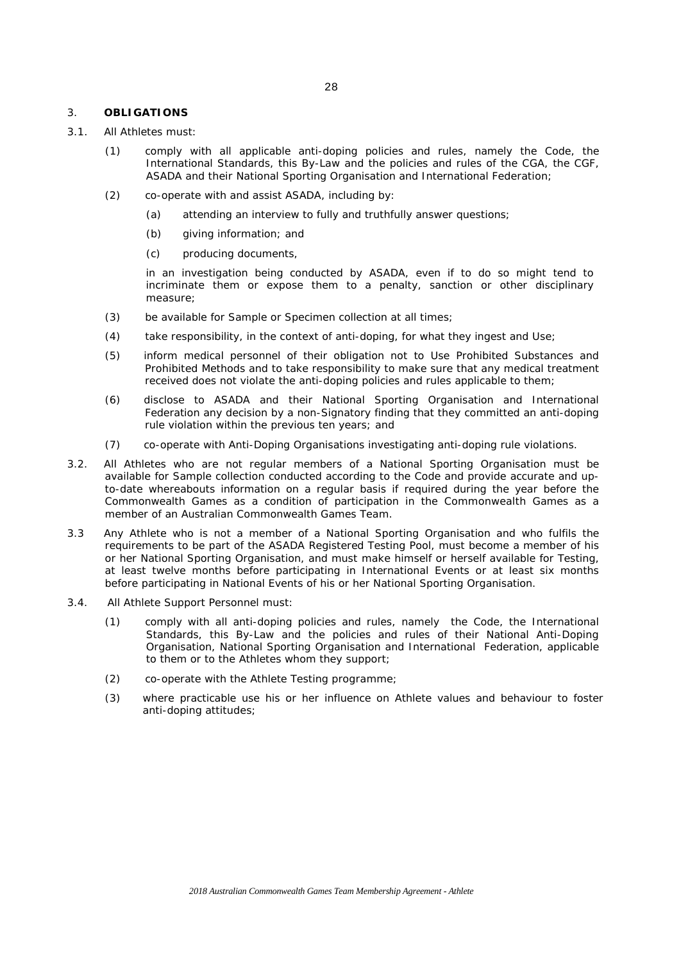### 3. **OBLIGATIONS**

- 3.1. All *Athletes* must:
	- (1) comply with all applicable anti-doping policies and rules, namely the *Code,* the *International Standards*, this By-Law and the policies and rules of the *CGA*, the *CGF*, *ASADA* and their *National Sporting Organisation* and *International Federation*;
	- (2) co-operate with and assist *ASADA*, including by:
		- (a) attending an interview to fully and truthfully answer questions;
		- (b) giving information; and
		- (c) producing documents,

in an investigation being conducted by *ASADA*, even if to do so might tend to incriminate them or expose them to a penalty, sanction or other disciplinary measure;

- (3) be available for *Sample or Specimen* collection at all times;
- (4) take responsibility, in the context of anti-doping, for what they ingest and *Use*;
- (5) inform medical personnel of their obligation not to *Use Prohibited Substances* and *Prohibited Methods* and to take responsibility to make sure that any medical treatment received does not violate the anti-doping policies and rules applicable to them;
- (6) disclose to *ASADA* and their *National Sporting Organisation and International Federation* any decision by a non-*Signatory* finding that they committed an *anti-doping rule violation* within the previous ten years; and
- (7) co-operate with *Anti-Doping Organisations* investigating *anti-doping rule violations*.
- 3.2. All *Athletes* who are not regular members of a *National Sporting Organisation* must be available for *Sample* collection conducted according to the *Code* and provide accurate and upto-date whereabouts information on a regular basis if required during the year before the *Commonwealth Games* as a condition of participation in the *Commonwealth Games* as a member of an Australian Commonwealth Games Team.
- 3.3 Any *Athlete* who is not a member of a *National Sporting Organisation* and who fulfils the requirements to be part of the *ASADA Registered Testing Pool*, must become a member of his or her *National Sporting Organisation,* and must make himself or herself available for *Testing*, at least twelve months before participating in *International Events* or at least six months before participating in *National Events* of his or her *National Sporting Organisation*.
- 3.4. All *Athlete Support Personnel* must:
	- (1) comply with all anti-doping policies and rules, namely the *Code*, the *International Standards*, this By-Law and the policies and rules of their *National Anti-Doping Organisation*, *National Sporting Organisation* and *International Federation*, applicable to them or to the *Athletes* whom they support;
	- (2) co-operate with the *Athlete Testing* programme;
	- (3) where practicable use his or her influence on *Athlete* values and behaviour to foster anti-doping attitudes;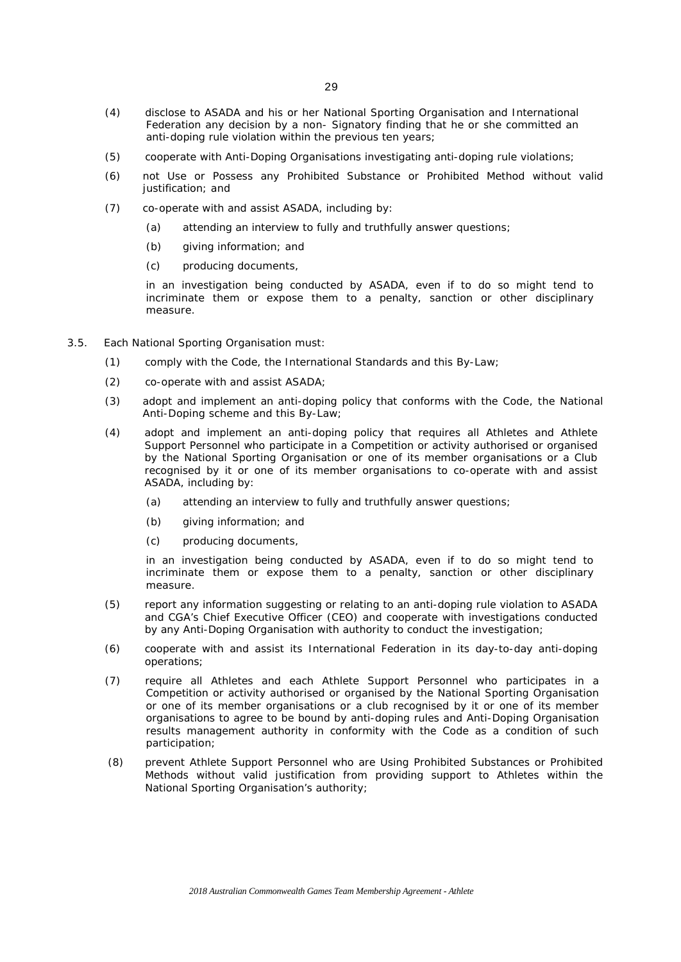- (4) disclose to *ASADA* and his or her *National Sporting Organisation* and *International Federation* any decision by a non- *Signatory* finding that he or she committed an *anti-doping rule violation* within the previous ten years;
- (5) cooperate with *Anti-Doping Organisations* investigating *anti-doping rule violations*;
- (6) not *Use* or *Possess* any *Prohibited Substance* or *Prohibited Method* without valid justification; and
- (7) co-operate with and assist *ASADA*, including by:
	- (a) attending an interview to fully and truthfully answer questions;
	- (b) giving information; and
	- (c) producing documents,

in an investigation being conducted by *ASADA*, even if to do so might tend to incriminate them or expose them to a penalty, sanction or other disciplinary measure.

- 3.5. Each *National Sporting Organisation* must:
	- (1) comply with the *Code*, the *International Standards* and this By-Law;
	- (2) co-operate with and assist *ASADA*;
	- (3) adopt and implement an anti-doping policy that conforms with the *Code*, the National Anti-Doping scheme and this By-Law;
	- (4) adopt and implement an anti-doping policy that requires all *Athletes* and *Athlete Support Personnel* who participate in a *Competition* or activity authorised or organised by the *National Sporting Organisation* or one of its member organisations or a Club recognised by it or one of its member organisations to co-operate with and assist *ASADA*, including by:
		- (a) attending an interview to fully and truthfully answer questions;
		- (b) giving information; and
		- (c) producing documents,

in an investigation being conducted by *ASADA*, even if to do so might tend to incriminate them or expose them to a penalty, sanction or other disciplinary measure.

- (5) report any information suggesting or relating to an *anti-doping rule violation* to *ASADA*  and *CGA's* Chief Executive Officer (CEO) and cooperate with investigations conducted by any *Anti-Doping Organisation* with authority to conduct the investigation;
- (6) cooperate with and assist its International Federation in its day-to-day anti-doping operations;
- (7) require all *Athletes* and each *Athlete Support Personnel* who participates in a *Competition* or activity authorised or organised by the *National Sporting Organisation*  or one of its member organisations or a club recognised by it or one of its member organisations to agree to be bound by anti-doping rules and *Anti-Doping Organisation*  results management authority in conformity with the *Code* as a condition of such participation;
- (8) prevent *Athlete Support Personnel* who are *Using Prohibited Substances* or *Prohibited Methods* without valid justification from providing support to *Athletes* within the *National Sporting Organisation's* authority;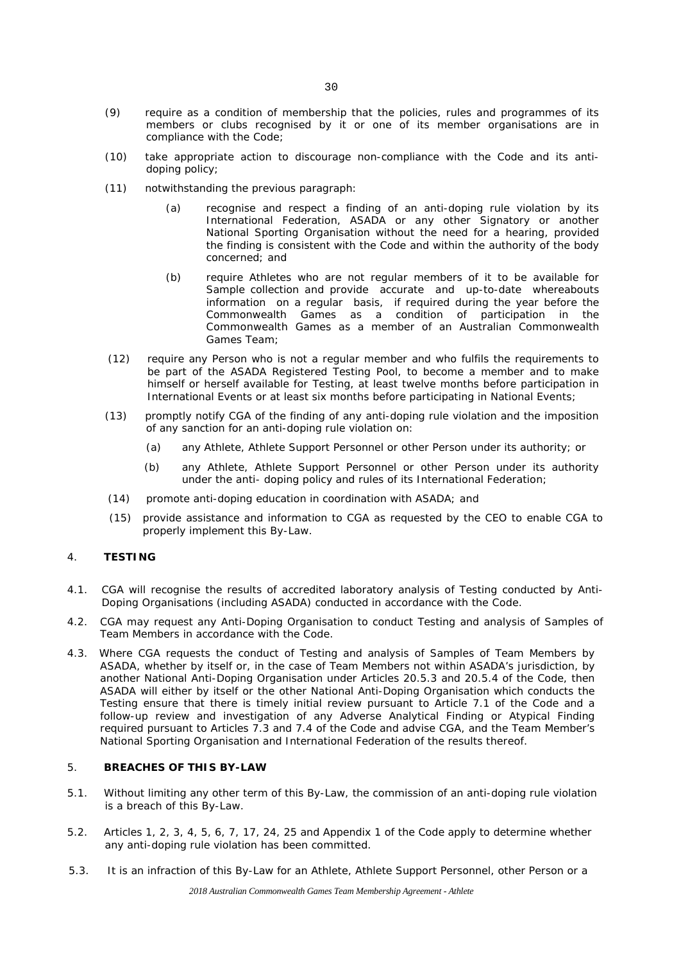- (9) require as a condition of membership that the policies, rules and programmes of its members or clubs recognised by it or one of its member organisations are in compliance with the *Code*;
- (10) take appropriate action to discourage non-compliance with the Code and its antidoping policy;
- (11) notwithstanding the previous paragraph:
	- (a) recognise and respect a finding of an *anti-doping rule violation* by its *International Federation, ASADA* or any other *Signatory* or another *National Sporting Organisation* without the need for a hearing, provided the finding is consistent with the *Code* and within the authority of the body concerned; and
	- (b) require *Athletes* who are not regular members of it to be available for *Sample* collection and provide accurate and up-to-date whereabouts information on a regular basis, if required during the year before the *Commonwealth Games* as a condition of participation in the *Commonwealth Games* as a member of an Australian Commonwealth Games Team;
- (12) require any *Person* who is not a regular member and who fulfils the requirements to be part of the *ASADA Registered Testing Pool*, to become a member and to make himself or herself available for *Testing*, at least twelve months before participation in *International Events* or at least six months before participating in *National Events;*
- (13) promptly notify *CGA* of the finding of any *anti-doping rule violation* and the imposition of any sanction for an *anti-doping rule violation* on:
	- (a) any *Athlete, Athlete Support Personnel* or other *Person* under its authority; or
	- (b) any *Athlete*, *Athlete Support Personnel* or other *Person* under its authority under the anti- doping policy and rules of its *International Federation*;
- (14) promote anti-doping education in coordination with *ASADA*; and
- (15) provide assistance and information to *CGA* as requested by the CEO to enable *CGA* to properly implement this By-Law.

# 4. **TESTING**

- 4.1. *CGA* will recognise the results of accredited laboratory analysis of *Testing* conducted by *Anti-Doping Organisations* (including *ASADA)* conducted in accordance with the *Code*.
- 4.2. *CGA* may request any *Anti-Doping Organisation* to conduct *Testing* and analysis of *Samples* of *Team Members* in accordance with the *Code*.
- 4.3. Where *CGA* requests the conduct of *Testing* and analysis of *Samples* of *Team Members* by *ASADA*, whether by itself or, in the case of *Team Members* not within *ASADA's* jurisdiction, by another *National Anti-Doping Organisation* under Articles 20.5.3 and 20.5.4 of the *Code,* then *ASADA* will either by itself or the other *National Anti-Doping Organisation* which conducts the *Testing* ensure that there is timely initial review pursuant to Article 7.1 of the *Code* and a follow-up review and investigation of any *Adverse Analytical Finding* or *Atypical Finding* required pursuant to Articles 7.3 and 7.4 of the *Code* and advise *CGA*, and the *Team Member's National Sporting Organisation* and *International Federation* of the results thereof.

#### 5. **BREACHES OF THIS BY-LAW**

- 5.1. Without limiting any other term of this By-Law, the commission of an *anti-doping rule violation*  is a breach of this By-Law.
- 5.2. Articles 1, 2, 3, 4, 5, 6, 7, 17, 24, 25 and Appendix 1 of the *Code* apply to determine whether any *anti-doping rule violation* has been committed.
- 5.3. It is an infraction of this By-Law for an *Athlete, Athlete Support Personnel, other Person* or a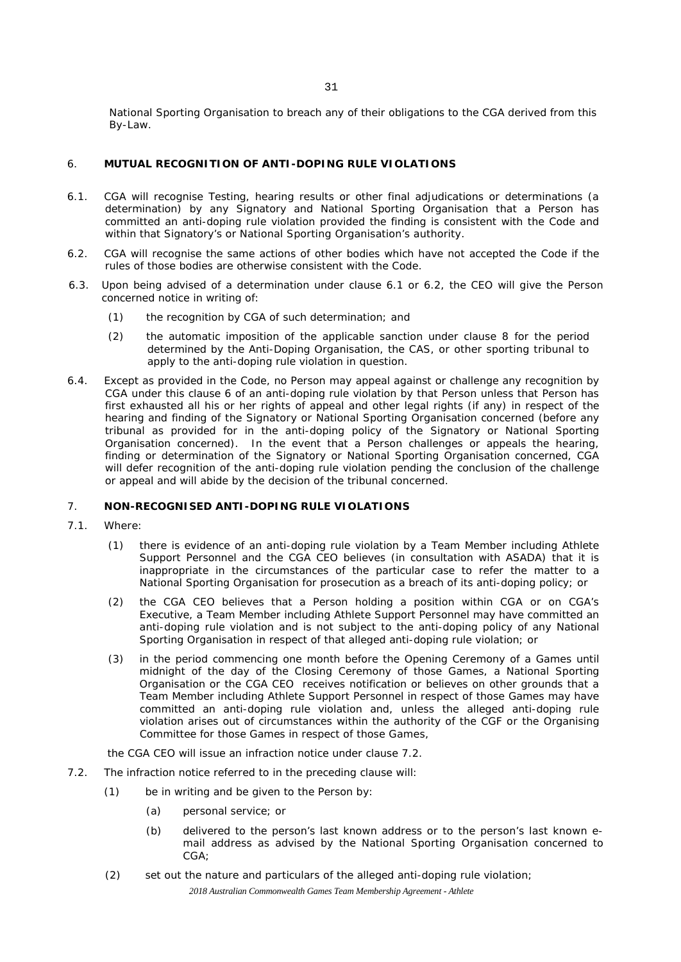*National Sporting Organisation* to breach any of their obligations to the *CGA* derived from this By-Law.

# 6. **MUTUAL RECOGNITION OF ANTI-DOPING RULE VIOLATIONS**

- 6.1. *CGA* will recognise *Testing,* hearing results or other final adjudications or determinations (a determination) by any *Signatory* and *National Sporting Organisation* that a *Person* has committed an *anti-doping rule violation* provided the finding is consistent with the *Code* and within that *Signatory's* or *National Sporting Organisation's* authority.
- 6.2. *CGA* will recognise the same actions of other bodies which have not accepted the *Code* if the rules of those bodies are otherwise consistent with the *Code*.
- 6.3. Upon being advised of a determination under clause 6.1 or 6.2, the CEO will give the *Person* concerned notice in writing of:
	- (1) the recognition by *CGA* of such determination; and
	- (2) the automatic imposition of the applicable sanction under clause 8 for the period determined by the *Anti-Doping Organisation,* the *CAS,* or other sporting tribunal to apply to the *anti-doping rule violation* in question.
- 6.4. Except as provided in the *Code*, no *Person* may appeal against or challenge any recognition by *CGA* under this clause 6 of an *anti-doping rule violation* by that *Person* unless that *Person* has first exhausted all his or her rights of appeal and other legal rights (if any) in respect of the hearing and finding of the *Signatory* or *National Sporting Organisation* concerned (before any tribunal as provided for in the anti-doping policy of the *Signatory* or *National Sporting Organisation* concerned). In the event that a *Person* challenges or appeals the hearing, finding or determination of the *Signatory* or *National Sporting Organisation* concerned, *CGA* will defer recognition of the *anti-doping rule violation* pending the conclusion of the challenge or appeal and will abide by the decision of the tribunal concerned.

# 7. **NON-RECOGNISED** *ANTI-DOPING RULE VIOLATION***S**

- 7.1. Where:
	- (1) there is evidence of an *anti-doping rule violation* by a *Team Member* including *Athlete Support Personnel* and the *CGA* CEO believes (in consultation with ASADA) that it is inappropriate in the circumstances of the particular case to refer the matter to a *National Sporting Organisation* for prosecution as a breach of its anti-doping policy; or
	- (2) the *CGA* CEO believes that a *Person* holding a position within *CGA* or on *CGA's Executive*, a *Team Member* including *Athlete Support Personnel* may have committed an *anti-doping rule violation* and is not subject to the anti-doping policy of any *National Sporting Organisation* in respect of that alleged *anti-doping rule violation*; or
	- (3) in the period commencing one month before the Opening Ceremony of a *Games* until midnight of the day of the Closing Ceremony of those *Games*, a *National Sporting Organisation* or the *CGA* CEO receives notification or believes on other grounds that a *Team Member* including *Athlete Support Personnel* in respect of those *Games* may have committed an *anti-doping rule violation* and, unless the alleged *anti-doping rule violation* arises out of circumstances within the authority of the *CGF* or the Organising Committee for those *Games* in respect of those *Games*,

#### the *CGA* CEO will issue an infraction notice under clause 7.2.

- 7.2. The infraction notice referred to in the preceding clause will:
	- (1) be in writing and be given to the *Person* by:
		- (a) personal service; or
		- (b) delivered to the person's last known address or to the person's last known email address as advised by the *National Sporting Organisation* concerned to *CGA*;
	- (2) set out the nature and particulars of the alleged *anti-doping rule violation*;

*2018 Australian Commonwealth Games Team Membership Agreement - Athlete*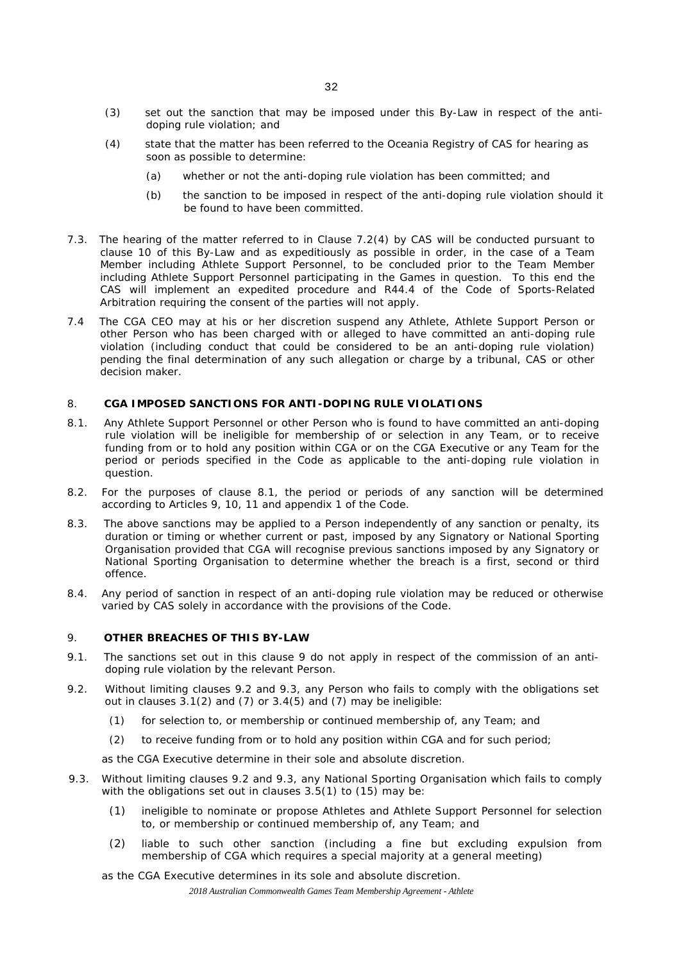- (3) set out the sanction that may be imposed under this By-Law in respect of the *antidoping rule violation*; and
- (4) state that the matter has been referred to the Oceania Registry of *CAS* for hearing as soon as possible to determine:
	- (a) whether or not the *anti-doping rule violation* has been committed; and
	- (b) the sanction to be imposed in respect of the *anti-doping rule violation* should it be found to have been committed.
- 7.3. The hearing of the matter referred to in Clause 7.2(4) by *CAS* will be conducted pursuant to clause 10 of this By-Law and as expeditiously as possible in order, in the case of a *Team Member* including *Athlete Support Personnel*, to be concluded prior to the *Team Member*  including *Athlete Support Personnel* participating in the *Games* in question. To this end the *CAS* will implement an expedited procedure and R44.4 of the Code of Sports-Related Arbitration requiring the consent of the parties will not apply.
- 7.4 The *CGA* CEO may at his or her discretion suspend any *Athlete*, *Athlete Support Person* or other *Person* who has been charged with or alleged to have committed an *anti-doping rule violation* (including conduct that could be considered to be an *anti-doping rule violation*) pending the final determination of any such allegation or charge by a tribunal, *CAS* or other decision maker.

# 8. *CGA* **IMPOSED SANCTIONS FOR ANTI-DOPING RULE VIOLATIONS**

- 8.1. Any *Athlete Support Personnel* or other *Person* who is found to have committed an *anti-doping rule violation* will be ineligible for membership of or selection in any *Team*, or to receive funding from or to hold any position within *CGA* or on the *CGA Executive* or any *Team* for the period or periods specified in the *Code* as applicable to the *anti-doping rule violation* in question.
- 8.2. For the purposes of clause 8.1, the period or periods of any sanction will be determined according to Articles 9, 10, 11 and appendix 1 of the *Code*.
- 8.3. The above sanctions may be applied to a *Person* independently of any sanction or penalty, its duration or timing or whether current or past, imposed by any *Signatory* or *National Sporting Organisation* provided that *CGA* will recognise previous sanctions imposed by any *Signatory* or *National Sporting Organisation* to determine whether the breach is a first, second or third offence.
- 8.4. Any period of sanction in respect of an *anti-doping rule violation* may be reduced or otherwise varied by *CAS* solely in accordance with the provisions of the *Code*.

### 9. **OTHER BREACHES OF THIS BY-LAW**

- 9.1. The sanctions set out in this clause 9 do not apply in respect of the commission of an *antidoping rule violation* by the relevant *Person*.
- 9.2. Without limiting clauses 9.2 and 9.3, any *Person* who fails to comply with the obligations set out in clauses 3.1(2) and (7) or 3.4(5) and (7) may be ineligible:
	- (1) for selection to, or membership or continued membership of, any *Team*; and
	- (2) to receive funding from or to hold any position within *CGA* and for such period;
	- as the *CGA* Executive determine in their sole and absolute discretion.
- 9.3. Without limiting clauses 9.2 and 9.3, any *National Sporting Organisation* which fails to comply with the obligations set out in clauses 3.5(1) to (15) may be:
	- (1) ineligible to nominate or propose *Athletes* and *Athlete Support Personnel* for selection to, or membership or continued membership of, any *Team*; and
	- (2) liable to such other sanction (including a fine but excluding expulsion from membership of *CGA* which requires a special majority at a general meeting)

as the *CGA Executive* determines in its sole and absolute discretion.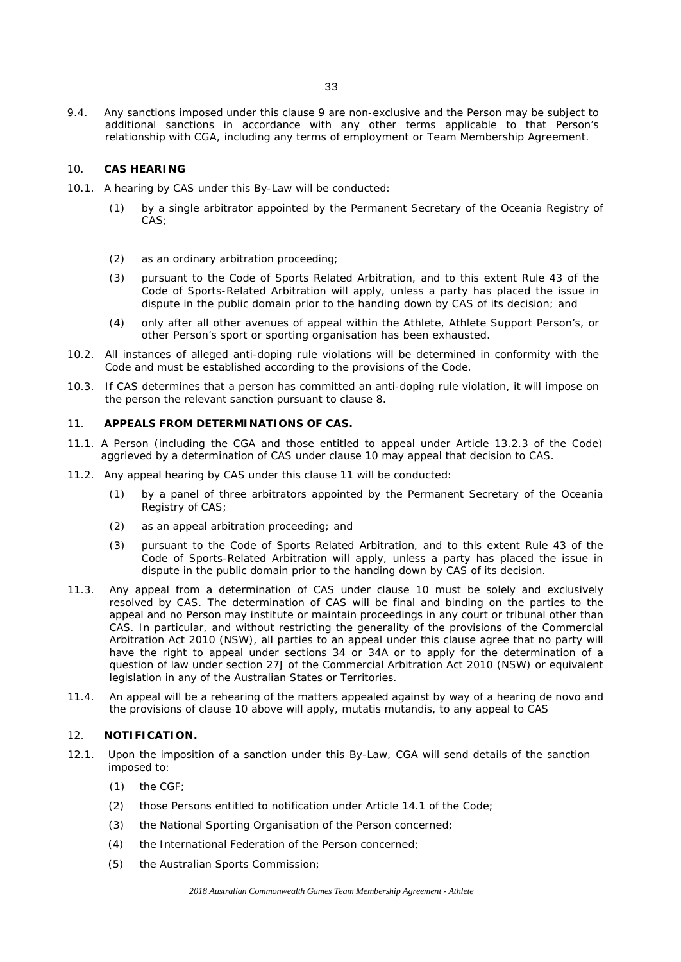9.4. Any sanctions imposed under this clause 9 are non-exclusive and the *Person* may be subject to additional sanctions in accordance with any other terms applicable to that *Person's*  relationship with *CGA*, including any terms of employment or Team Membership Agreement.

## 10. *CAS* **HEARING**

- 10.1. A hearing by *CAS* under this By-Law will be conducted:
	- (1) by a single arbitrator appointed by the Permanent Secretary of the Oceania Registry of *CAS*;
	- (2) as an ordinary arbitration proceeding;
	- (3) pursuant to the Code of Sports Related Arbitration, and to this extent Rule 43 of the Code of Sports-Related Arbitration will apply, unless a party has placed the issue in dispute in the public domain prior to the handing down by CAS of its decision; and
	- (4) only after all other avenues of appeal within the *Athlete*, Athlete *Support Person's*, or other *Person's* sport or sporting organisation has been exhausted.
- 10.2. All instances of alleged anti-doping rule violations will be determined in conformity with the Code and must be established according to the provisions of the Code.
- 10.3. If CAS determines that a person has committed an anti-doping rule violation, it will impose on the person the relevant sanction pursuant to clause 8.

#### 11. **APPEALS FROM DETERMINATIONS OF** *CAS***.**

- 11.1. A *Person* (including the *CGA* and those entitled to appeal under Article 13.2.3 of the *Code*) aggrieved by a determination of *CAS* under clause 10 may appeal that decision to *CAS*.
- 11.2. Any appeal hearing by *CAS* under this clause 11 will be conducted:
	- (1) by a panel of three arbitrators appointed by the Permanent Secretary of the Oceania Registry of *CAS*;
	- (2) as an appeal arbitration proceeding; and
	- (3) pursuant to the Code of Sports Related Arbitration, and to this extent Rule 43 of the Code of Sports-Related Arbitration will apply, unless a party has placed the issue in dispute in the public domain prior to the handing down by CAS of its decision.
- 11.3. Any appeal from a determination of *CAS* under clause 10 must be solely and exclusively resolved by *CAS*. The determination of *CAS* will be final and binding on the parties to the appeal and no *Person* may institute or maintain proceedings in any court or tribunal other than *CAS*. In particular, and without restricting the generality of the provisions of the *Commercial Arbitration Act 2010 (NSW)*, all parties to an appeal under this clause agree that no party will have the right to appeal under sections 34 or 34A or to apply for the determination of a question of law under section 27J of the *Commercial Arbitration Act 2010 (NSW)* or equivalent legislation in any of the Australian States or Territories.
- 11.4. An appeal will be a rehearing of the matters appealed against by way of a hearing de novo and the provisions of clause 10 above will apply, mutatis mutandis, to any appeal to CAS

## 12. **NOTIFICATION.**

- 12.1. Upon the imposition of a sanction under this By-Law, *CGA* will send details of the sanction imposed to:
	- (1) the *CGF*;
	- (2) those *Persons* entitled to notification under Article 14.1 of the *Code;*
	- (3) the *National Sporting Organisation* of the *Person* concerned;
	- (4) the *International Federation* of the *Person* concerned;
	- (5) the Australian Sports Commission;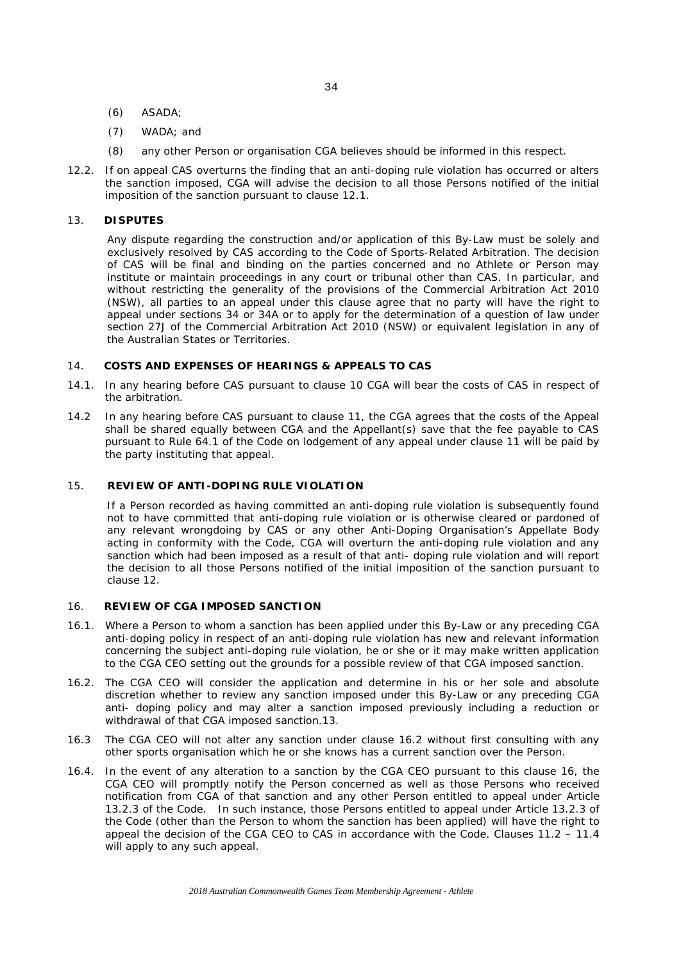34

- (6) *ASADA*;
- (7) *WADA*; and
- (8) any other *Person* or organisation *CGA* believes should be informed in this respect.
- 12.2. If on appeal *CAS* overturns the finding that an *anti-doping rule violation* has occurred or alters the sanction imposed, *CGA* will advise the decision to all those *Persons* notified of the initial imposition of the sanction pursuant to clause 12.1.

## 13. **DISPUTES**

Any dispute regarding the construction and/or application of this By-Law must be solely and exclusively resolved by *CAS* according to the Code of Sports-Related Arbitration. The decision of *CAS* will be final and binding on the parties concerned and no *Athlete* or *Person* may institute or maintain proceedings in any court or tribunal other than *CAS*. In particular, and without restricting the generality of the provisions of the *Commercial Arbitration Act 2010 (NSW)*, all parties to an appeal under this clause agree that no party will have the right to appeal under sections 34 or 34A or to apply for the determination of a question of law under section 27J of the *Commercial Arbitration Act 2010 (NSW)* or equivalent legislation in any of the Australian States or Territories.

# 14. **COSTS AND EXPENSES OF HEARINGS & APPEALS TO** *CAS*

- 14.1. In any hearing before *CAS* pursuant to clause 10 *CGA* will bear the costs of *CAS* in respect of the arbitration.
- 14.2 In any hearing before *CAS* pursuant to clause 11, the *CGA* agrees that the costs of the Appeal shall be shared equally between *CGA* and the Appellant(s) save that the fee payable to *CAS*  pursuant to Rule 64.1 of the *Code* on lodgement of any appeal under clause 11 will be paid by the party instituting that appeal.

# 15. **REVIEW OF** *ANTI-DOPING RULE VIOLATION*

If a *Person* recorded as having committed an *anti-doping rule violation* is subsequently found not to have committed that *anti-doping rule violation* or is otherwise cleared or pardoned of any relevant wrongdoing by *CAS* or any other *Anti-Doping Organisation's* Appellate Body acting in conformity with the *Code*, *CGA* will overturn the *anti-doping rule violation* and any sanction which had been imposed as a result of that *anti- doping rule violation* and will report the decision to all those *Persons* notified of the initial imposition of the sanction pursuant to clause 12.

# 16. **REVIEW OF** *CGA* **IMPOSED SANCTION**

- 16.1. Where a *Person* to whom a sanction has been applied under this By-Law or any preceding *CGA* anti-doping policy in respect of an *anti-doping rule violation* has new and relevant information concerning the subject *anti-doping rule violation*, he or she or it may make written application to the *CGA* CEO setting out the grounds for a possible review of that *CGA* imposed sanction.
- 16.2. The CGA CEO will consider the application and determine in his or her sole and absolute discretion whether to review any sanction imposed under this By-Law or any preceding CGA anti- doping policy and may alter a sanction imposed previously including a reduction or withdrawal of that CGA imposed sanction.13.
- 16.3 The *CGA* CEO will not alter any sanction under clause 16.2 without first consulting with any other sports organisation which he or she knows has a current sanction over the *Person*.
- 16.4. In the event of any alteration to a sanction by the *CGA* CEO pursuant to this clause 16, the *CGA* CEO will promptly notify the *Person* concerned as well as those *Persons* who received notification from *CGA* of that sanction and any other *Person* entitled to appeal under Article 13.2.3 of the Code. In such instance, those *Persons* entitled to appeal under Article 13.2.3 of the *Code* (other than the *Person* to whom the sanction has been applied) will have the right to appeal the decision of the *CGA* CEO to *CAS* in accordance with the *Code*. Clauses 11.2 – 11.4 will apply to any such appeal.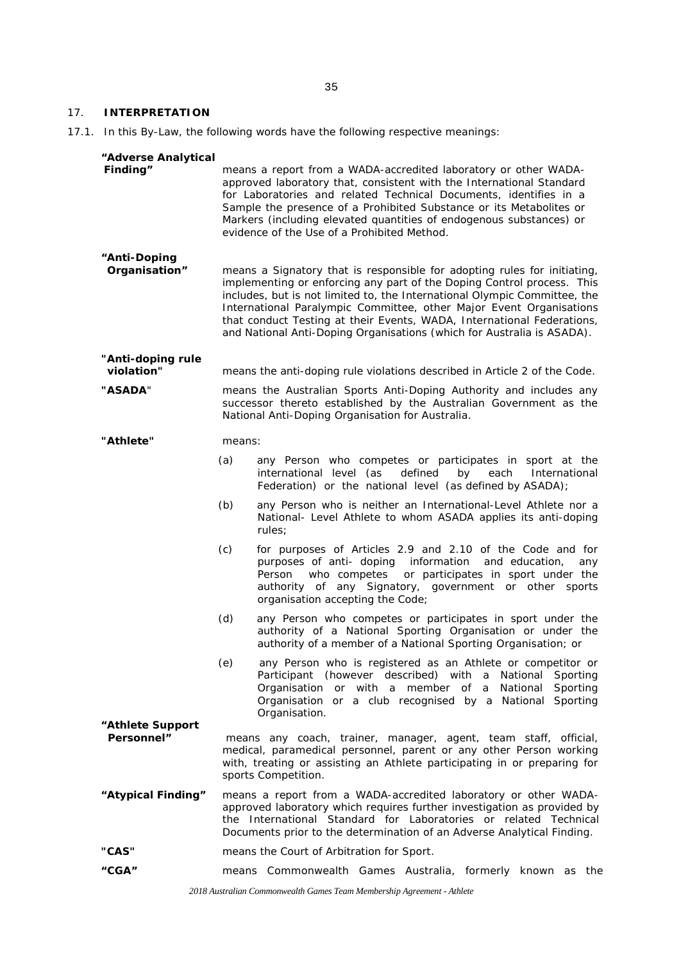#### 17. **INTERPRETATION**

17.1. In this By-Law, the following words have the following respective meanings:

#### *"Adverse Analytical*

| Finding" | means a report from a <i>WADA</i> -accredited laboratory or other <i>WADA</i> - |
|----------|---------------------------------------------------------------------------------|
|          | approved laboratory that, consistent with the International Standard            |
|          | for Laboratories and related Technical Documents, identifies in a               |
|          | Sample the presence of a Prohibited Substance or its Metabolites or             |
|          | <i>Markers</i> (including elevated quantities of endogenous substances) or      |
|          | evidence of the Use of a Prohibited Method.                                     |

# *"Anti-Doping*

means a *Signatory* that is responsible for adopting rules for initiating, implementing or enforcing any part of the Doping Control process. This includes, but is not limited to, the International Olympic Committee, the International Paralympic Committee, other *Major Event Organisations*  that conduct *Testing* at their *Events*, *WADA*, *International Federations*, and *National Anti-Doping Organisations* (which for Australia is *ASADA)*.

**"***Anti-doping rule violation***"** means the anti-doping rule violations described in Article 2 of the *Code*.

**"***ASADA*" means the Australian Sports Anti-Doping Authority and includes any successor thereto established by the Australian Government as the *National Anti-Doping Organisation* for Australia.

**"***Athlete***"** means:

- (a) any *Person* who competes or participates in sport at the defined by each International Federation) or the national level (as defined by *ASADA*);
- (b) any *Person* who is neither an *International-Level Athlete* nor a *National- Level Athlete* to whom *ASADA* applies its anti-doping rules;
- (c) for purposes of Articles 2.9 and 2.10 of the Code and for purposes of anti- doping information and education, any Person who competes or participates in sport under the authority of any Signatory, government or other sports organisation accepting the Code;
- (d) any *Person* who competes or participates in sport under the authority of a *National Sporting Organisation* or under the authority of a member of a *National Sporting Organisation; or*
- (e) any *Person* who is registered as an *Athlete* or competitor or *Participant* (however described) with a *National Sporting Organisation* or with a member of a *National Sporting Organisation* or a club recognised by a *National Sporting Organisation*.
- **"***Athlete Support* means any coach, trainer, manager, agent, team staff, official, medical, paramedical personnel, parent or any other *Person* working with, treating or assisting an *Athlete* participating in or preparing for sports *Competition*.
- *"Atypical Finding"* means a report from a *WADA*-accredited laboratory or other *WADA*approved laboratory which requires further investigation as provided by the International Standard for Laboratories or related Technical Documents prior to the determination of an *Adverse Analytical Finding*.
- **"***CAS***"** means the Court of Arbitration for Sport.
- *"CGA"* means Commonwealth Games Australia, formerly known as the

*2018 Australian Commonwealth Games Team Membership Agreement - Athlete*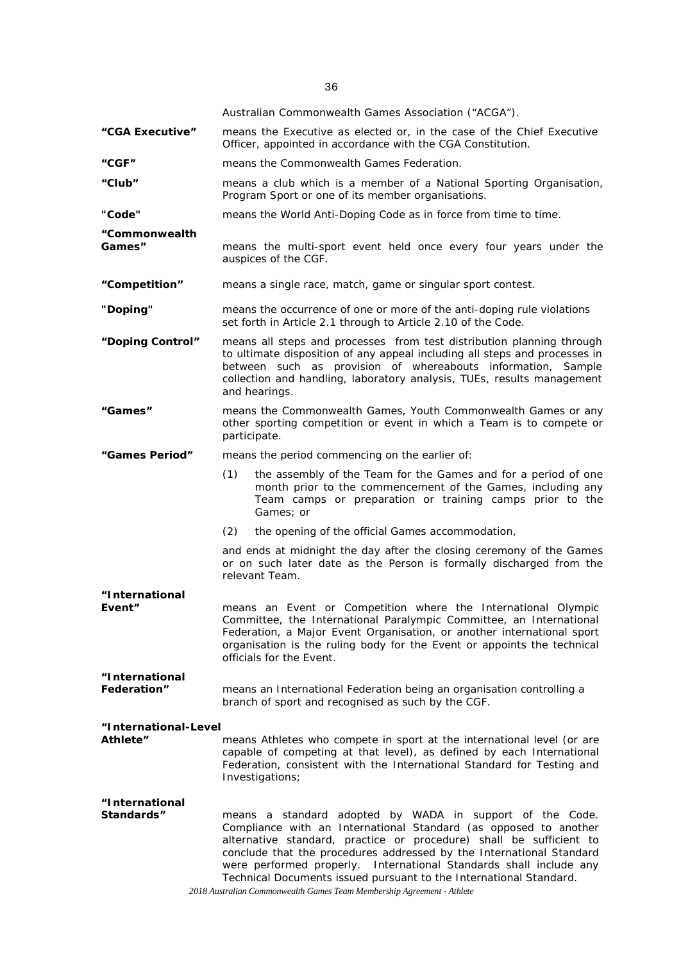|                                      | Australian Commonwealth Games Association ("ACGA").                                                                                                                                                                                                                                                                                                                                                                                                                                               |  |
|--------------------------------------|---------------------------------------------------------------------------------------------------------------------------------------------------------------------------------------------------------------------------------------------------------------------------------------------------------------------------------------------------------------------------------------------------------------------------------------------------------------------------------------------------|--|
| "CGA Executive"                      | means the Executive as elected or, in the case of the Chief Executive<br>Officer, appointed in accordance with the CGA Constitution.                                                                                                                                                                                                                                                                                                                                                              |  |
| "CGF"                                | means the Commonwealth Games Federation.                                                                                                                                                                                                                                                                                                                                                                                                                                                          |  |
| "Club"                               | means a club which is a member of a National Sporting Organisation,<br>Program Sport or one of its member organisations.                                                                                                                                                                                                                                                                                                                                                                          |  |
| "Code"                               | means the World Anti-Doping Code as in force from time to time.                                                                                                                                                                                                                                                                                                                                                                                                                                   |  |
| "Commonwealth<br>Games"              | means the multi-sport event held once every four years under the<br>auspices of the CGF.                                                                                                                                                                                                                                                                                                                                                                                                          |  |
| "Competition"                        | means a single race, match, game or singular sport contest.                                                                                                                                                                                                                                                                                                                                                                                                                                       |  |
| "Doping"                             | means the occurrence of one or more of the anti-doping rule violations<br>set forth in Article 2.1 through to Article 2.10 of the Code.                                                                                                                                                                                                                                                                                                                                                           |  |
| "Doping Control"                     | means all steps and processes from test distribution planning through<br>to ultimate disposition of any appeal including all steps and processes in<br>between such as provision of whereabouts information, Sample<br>collection and handling, laboratory analysis, TUEs, results management<br>and hearings.                                                                                                                                                                                    |  |
| "Games"                              | means the Commonwealth Games, Youth Commonwealth Games or any<br>other sporting competition or event in which a Team is to compete or<br>participate.                                                                                                                                                                                                                                                                                                                                             |  |
| "Games Period"                       | means the period commencing on the earlier of:                                                                                                                                                                                                                                                                                                                                                                                                                                                    |  |
|                                      | the assembly of the Team for the Games and for a period of one<br>(1)<br>month prior to the commencement of the Games, including any<br>Team camps or preparation or training camps prior to the<br>Games; or                                                                                                                                                                                                                                                                                     |  |
|                                      | (2)<br>the opening of the official Games accommodation,                                                                                                                                                                                                                                                                                                                                                                                                                                           |  |
|                                      | and ends at midnight the day after the closing ceremony of the Games<br>or on such later date as the Person is formally discharged from the<br>relevant Team.                                                                                                                                                                                                                                                                                                                                     |  |
| "International                       |                                                                                                                                                                                                                                                                                                                                                                                                                                                                                                   |  |
| Event"                               | means an Event or Competition where the International Olympic<br>Committee, the International Paralympic Committee, an International<br>Federation, a Major Event Organisation, or another international sport<br>organisation is the ruling body for the Event or appoints the technical<br>officials for the Event.                                                                                                                                                                             |  |
| "International<br><b>Federation"</b> | means an International Federation being an organisation controlling a<br>branch of sport and recognised as such by the CGF.                                                                                                                                                                                                                                                                                                                                                                       |  |
| "International-Level                 |                                                                                                                                                                                                                                                                                                                                                                                                                                                                                                   |  |
| Athlete"                             | means Athletes who compete in sport at the international level (or are<br>capable of competing at that level), as defined by each International<br>Federation, consistent with the International Standard for Testing and<br>Investigations;                                                                                                                                                                                                                                                      |  |
| "International<br>Standards"         | means a standard adopted by WADA in support of the Code.<br>Compliance with an International Standard (as opposed to another<br>alternative standard, practice or procedure) shall be sufficient to<br>conclude that the procedures addressed by the International Standard<br>were performed properly. International Standards shall include any<br>Technical Documents issued pursuant to the International Standard.<br>2018 Australian Commonwealth Games Team Membership Agreement - Athlete |  |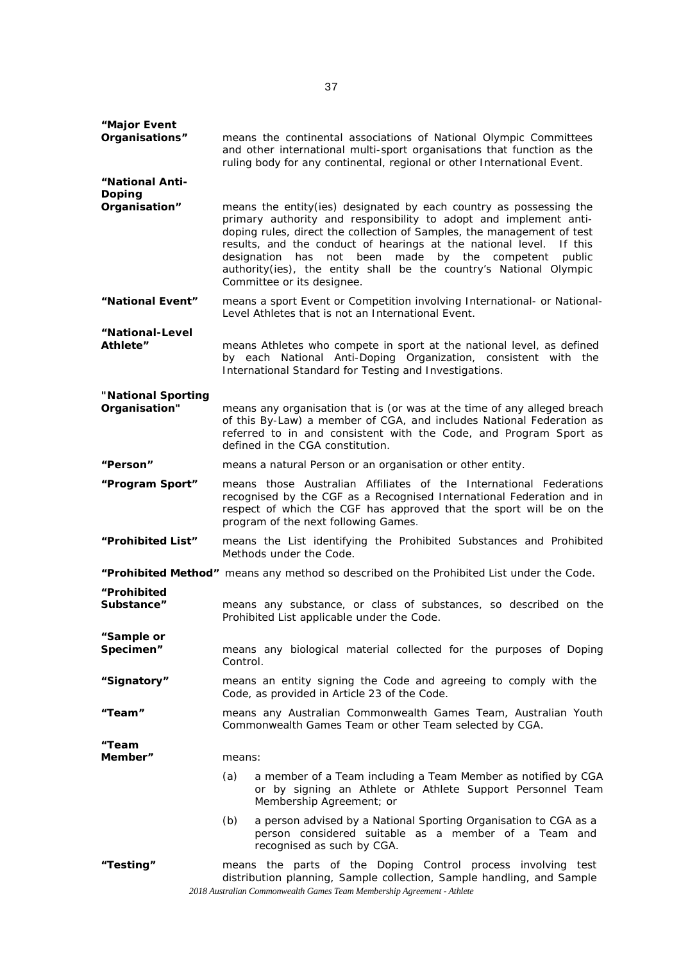| "Major Event                        |                                                                                                                                                                                                                                                                                                                                                                                                                                                                            |
|-------------------------------------|----------------------------------------------------------------------------------------------------------------------------------------------------------------------------------------------------------------------------------------------------------------------------------------------------------------------------------------------------------------------------------------------------------------------------------------------------------------------------|
| Organisations"                      | means the continental associations of National Olympic Committees<br>and other international multi-sport organisations that function as the<br>ruling body for any continental, regional or other International Event.                                                                                                                                                                                                                                                     |
| "National Anti-<br>Doping           |                                                                                                                                                                                                                                                                                                                                                                                                                                                                            |
| Organisation"                       | means the entity(ies) designated by each country as possessing the<br>primary authority and responsibility to adopt and implement anti-<br>doping rules, direct the collection of Samples, the management of test<br>results, and the conduct of hearings at the national level.<br>If this<br>designation<br>has<br>not been<br>made<br>by the<br>competent<br>public<br>authority(ies), the entity shall be the country's National Olympic<br>Committee or its designee. |
| "National Event"                    | means a sport Event or Competition involving International- or National-<br>Level Athletes that is not an International Event.                                                                                                                                                                                                                                                                                                                                             |
| "National-Level<br>Athlete″         | means Athletes who compete in sport at the national level, as defined<br>by each National Anti-Doping Organization, consistent with the<br>International Standard for Testing and Investigations.                                                                                                                                                                                                                                                                          |
| "National Sporting<br>Organisation" | means any organisation that is (or was at the time of any alleged breach<br>of this By-Law) a member of CGA, and includes National Federation as<br>referred to in and consistent with the Code, and Program Sport as<br>defined in the CGA constitution.                                                                                                                                                                                                                  |
| <b>"Person"</b>                     | means a natural <i>Person</i> or an organisation or other entity.                                                                                                                                                                                                                                                                                                                                                                                                          |
| "Program Sport"                     | means those Australian Affiliates of the International Federations<br>recognised by the CGF as a Recognised International Federation and in<br>respect of which the CGF has approved that the sport will be on the<br>program of the next following Games.                                                                                                                                                                                                                 |
| "Prohibited List"                   | means the List identifying the Prohibited Substances and Prohibited<br>Methods under the Code.                                                                                                                                                                                                                                                                                                                                                                             |
|                                     | "Prohibited Method" means any method so described on the Prohibited List under the Code.                                                                                                                                                                                                                                                                                                                                                                                   |
| "Prohibited<br>Substance"           | means any substance, or class of substances, so described on the<br>Prohibited List applicable under the Code.                                                                                                                                                                                                                                                                                                                                                             |
| "Sample or<br>Specimen"             | means any biological material collected for the purposes of Doping<br>Control.                                                                                                                                                                                                                                                                                                                                                                                             |
| "Signatory"                         | means an entity signing the Code and agreeing to comply with the<br>Code, as provided in Article 23 of the Code.                                                                                                                                                                                                                                                                                                                                                           |
| "Team"                              | means any Australian Commonwealth Games Team, Australian Youth<br>Commonwealth Games Team or other Team selected by CGA.                                                                                                                                                                                                                                                                                                                                                   |
| "Team<br>Member"                    | means:                                                                                                                                                                                                                                                                                                                                                                                                                                                                     |
|                                     | (a)<br>a member of a Team including a Team Member as notified by CGA<br>or by signing an Athlete or Athlete Support Personnel Team<br>Membership Agreement; or                                                                                                                                                                                                                                                                                                             |
|                                     | (b)<br>a person advised by a National Sporting Organisation to CGA as a<br>person considered suitable as a member of a Team and<br>recognised as such by CGA.                                                                                                                                                                                                                                                                                                              |
| "Testing"                           | means the parts of the <i>Doping Control</i> process involving test<br>distribution planning, Sample collection, Sample handling, and Sample<br>2018 Australian Commonwealth Games Team Membership Agreement - Athlete                                                                                                                                                                                                                                                     |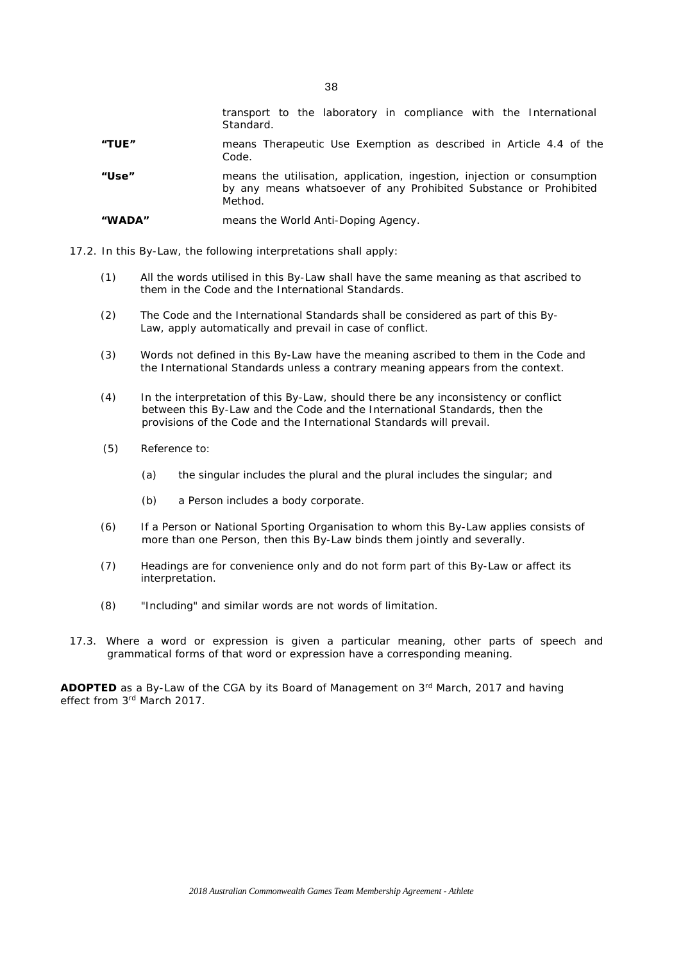|        | transport to the laboratory in compliance with the International<br>Standard.                                                                           |
|--------|---------------------------------------------------------------------------------------------------------------------------------------------------------|
| "TUE"  | means Therapeutic Use Exemption as described in Article 4.4 of the<br>Code.                                                                             |
| "Use"  | means the utilisation, application, ingestion, injection or consumption<br>by any means whatsoever of any Prohibited Substance or Prohibited<br>Method. |
| "WADA" | means the World Anti-Doping Agency.                                                                                                                     |

- 17.2. In this By-Law, the following interpretations shall apply:
	- (1) All the words utilised in this By-Law shall have the same meaning as that ascribed to them in the *Code* and the *International Standards*.
	- (2) The *Code* and the *International Standards* shall be considered as part of this By-Law, apply automatically and prevail in case of conflict.
	- (3) Words not defined in this By-Law have the meaning ascribed to them in the *Code* and the *International Standards* unless a contrary meaning appears from the context.
	- (4) In the interpretation of this By-Law, should there be any inconsistency or conflict between this By-Law and the *Code* and the *International Standards*, then the provisions of the *Code* and the *International Standards* will prevail.
	- (5) Reference to:
		- (a) the singular includes the plural and the plural includes the singular; and
		- (b) a *Person* includes a body corporate.
	- (6) If a *Person* or *National Sporting Organisation* to whom this By-Law applies consists of more than one *Person*, then this By-Law binds them jointly and severally.
	- (7) Headings are for convenience only and do not form part of this By-Law or affect its interpretation.
	- (8) "Including" and similar words are not words of limitation.
- 17.3. Where a word or expression is given a particular meaning, other parts of speech and grammatical forms of that word or expression have a corresponding meaning.

**ADOPTED** as a By-Law of the *CGA* by its Board of Management on 3rd March, 2017 and having effect from 3rd March 2017.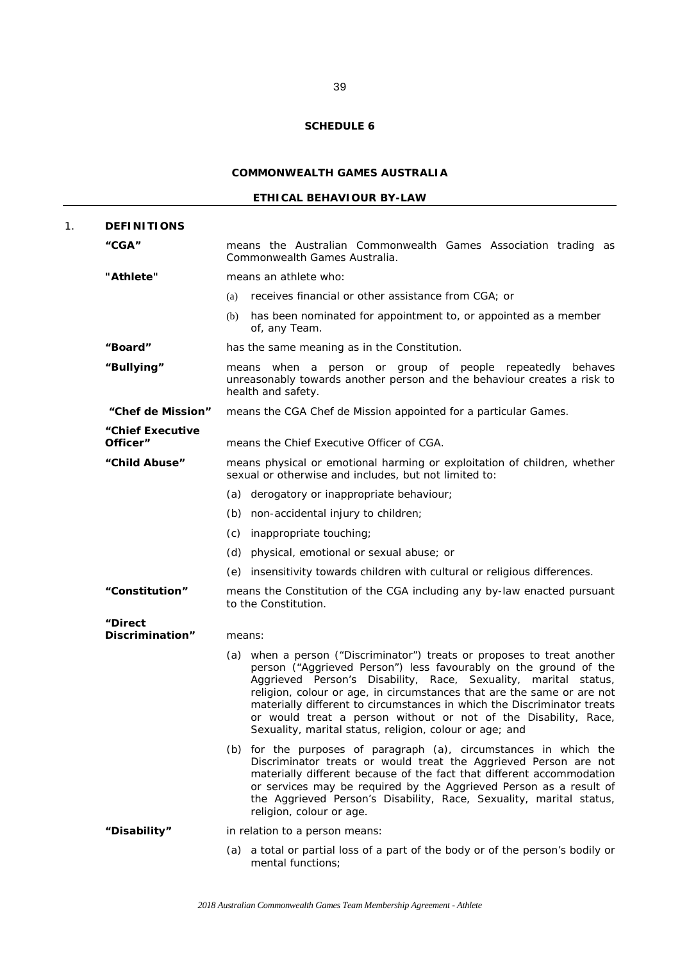# **COMMONWEALTH GAMES AUSTRALIA**

# **ETHICAL BEHAVIOUR BY-LAW**

| 1. | <b>DEFINITIONS</b>           |                                                                                                                                                                                                                                                                                                                                                                                                                                                                                                   |
|----|------------------------------|---------------------------------------------------------------------------------------------------------------------------------------------------------------------------------------------------------------------------------------------------------------------------------------------------------------------------------------------------------------------------------------------------------------------------------------------------------------------------------------------------|
|    | "CGA"                        | means the Australian Commonwealth Games Association trading as<br>Commonwealth Games Australia.                                                                                                                                                                                                                                                                                                                                                                                                   |
|    | "Athlete"                    | means an athlete who:                                                                                                                                                                                                                                                                                                                                                                                                                                                                             |
|    |                              | receives financial or other assistance from CGA; or<br>(a)                                                                                                                                                                                                                                                                                                                                                                                                                                        |
|    |                              | has been nominated for appointment to, or appointed as a member<br>(b)<br>of, any Team.                                                                                                                                                                                                                                                                                                                                                                                                           |
|    | "Board"                      | has the same meaning as in the Constitution.                                                                                                                                                                                                                                                                                                                                                                                                                                                      |
|    | "Bullying"                   | means when a person or group of people repeatedly behaves<br>unreasonably towards another person and the behaviour creates a risk to<br>health and safety.                                                                                                                                                                                                                                                                                                                                        |
|    | "Chef de Mission"            | means the CGA Chef de Mission appointed for a particular Games.                                                                                                                                                                                                                                                                                                                                                                                                                                   |
|    | "Chief Executive<br>Officer" | means the Chief Executive Officer of CGA.                                                                                                                                                                                                                                                                                                                                                                                                                                                         |
|    | "Child Abuse"                |                                                                                                                                                                                                                                                                                                                                                                                                                                                                                                   |
|    |                              | means physical or emotional harming or exploitation of children, whether<br>sexual or otherwise and includes, but not limited to:                                                                                                                                                                                                                                                                                                                                                                 |
|    |                              | derogatory or inappropriate behaviour;<br>(a)                                                                                                                                                                                                                                                                                                                                                                                                                                                     |
|    |                              | non-accidental injury to children;<br>(b)                                                                                                                                                                                                                                                                                                                                                                                                                                                         |
|    |                              | (c)<br>inappropriate touching;                                                                                                                                                                                                                                                                                                                                                                                                                                                                    |
|    |                              | physical, emotional or sexual abuse; or<br>(d)                                                                                                                                                                                                                                                                                                                                                                                                                                                    |
|    |                              | insensitivity towards children with cultural or religious differences.<br>(e)                                                                                                                                                                                                                                                                                                                                                                                                                     |
|    | "Constitution"               | means the Constitution of the CGA including any by-law enacted pursuant<br>to the Constitution.                                                                                                                                                                                                                                                                                                                                                                                                   |
|    | "Direct                      |                                                                                                                                                                                                                                                                                                                                                                                                                                                                                                   |
|    | Discrimination"              | means:                                                                                                                                                                                                                                                                                                                                                                                                                                                                                            |
|    |                              | (a) when a person ("Discriminator") treats or proposes to treat another<br>person ("Aggrieved Person") less favourably on the ground of the<br>Aggrieved Person's Disability, Race, Sexuality, marital status,<br>religion, colour or age, in circumstances that are the same or are not<br>materially different to circumstances in which the Discriminator treats<br>or would treat a person without or not of the Disability, Race,<br>Sexuality, marital status, religion, colour or age; and |
|    |                              | (b) for the purposes of paragraph (a), circumstances in which the<br>Discriminator treats or would treat the Aggrieved Person are not<br>materially different because of the fact that different accommodation<br>or services may be required by the Aggrieved Person as a result of<br>the Aggrieved Person's Disability, Race, Sexuality, marital status,<br>religion, colour or age.                                                                                                           |
|    | "Disability"                 | in relation to a person means:                                                                                                                                                                                                                                                                                                                                                                                                                                                                    |
|    |                              | (a) a total or partial loss of a part of the body or of the person's bodily or<br>mental functions;                                                                                                                                                                                                                                                                                                                                                                                               |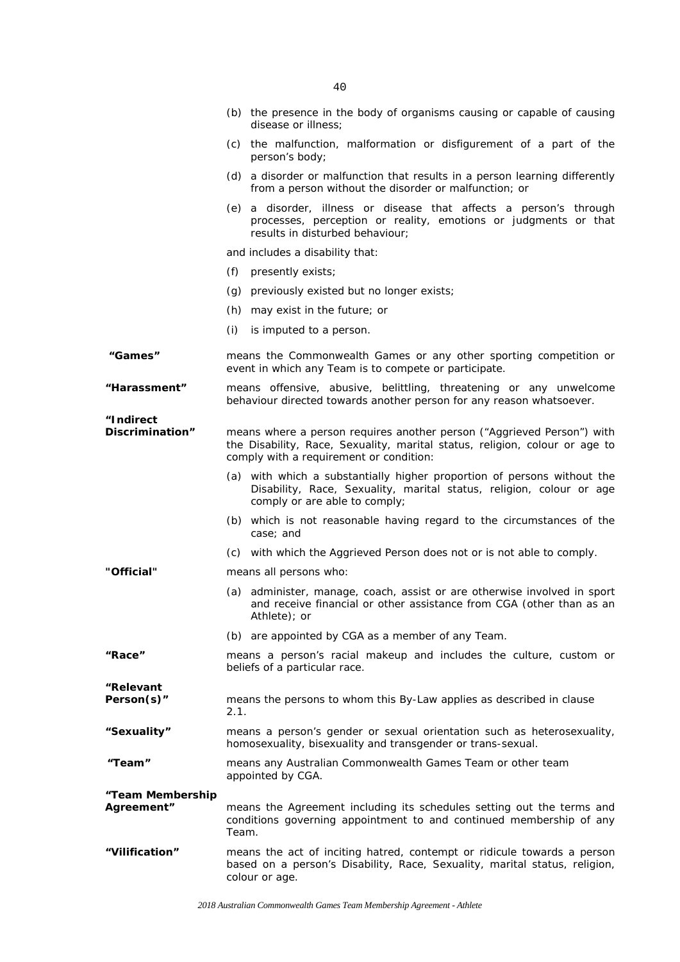|                                | 4 U                                                                                                                                                                                              |
|--------------------------------|--------------------------------------------------------------------------------------------------------------------------------------------------------------------------------------------------|
|                                | (b) the presence in the body of organisms causing or capable of causing<br>disease or illness;                                                                                                   |
|                                | (c) the malfunction, malformation or disfigurement of a part of the<br>person's body;                                                                                                            |
|                                | (d) a disorder or malfunction that results in a person learning differently<br>from a person without the disorder or malfunction; or                                                             |
|                                | (e) a disorder, illness or disease that affects a person's through<br>processes, perception or reality, emotions or judgments or that<br>results in disturbed behaviour;                         |
|                                | and includes a disability that:                                                                                                                                                                  |
|                                | presently exists;<br>(f)                                                                                                                                                                         |
|                                | (g) previously existed but no longer exists;                                                                                                                                                     |
|                                | (h) may exist in the future; or                                                                                                                                                                  |
|                                | (i)<br>is imputed to a person.                                                                                                                                                                   |
| "Games"                        | means the Commonwealth Games or any other sporting competition or<br>event in which any Team is to compete or participate.                                                                       |
| "Harassment"                   | means offensive, abusive, belittling, threatening or any unwelcome<br>behaviour directed towards another person for any reason whatsoever.                                                       |
| "Indirect<br>Discrimination"   | means where a person requires another person ("Aggrieved Person") with<br>the Disability, Race, Sexuality, marital status, religion, colour or age to<br>comply with a requirement or condition: |
|                                | (a) with which a substantially higher proportion of persons without the<br>Disability, Race, Sexuality, marital status, religion, colour or age<br>comply or are able to comply;                 |
|                                | (b) which is not reasonable having regard to the circumstances of the<br>case; and                                                                                                               |
|                                | (c) with which the Aggrieved Person does not or is not able to comply.                                                                                                                           |
| "Official"                     | means all persons who:                                                                                                                                                                           |
|                                | (a) administer, manage, coach, assist or are otherwise involved in sport<br>and receive financial or other assistance from CGA (other than as an<br>Athlete); or                                 |
|                                | (b) are appointed by CGA as a member of any Team.                                                                                                                                                |
| "Race"                         | means a person's racial makeup and includes the culture, custom or<br>beliefs of a particular race.                                                                                              |
| "Relevant<br>Person(s)"        | means the persons to whom this By-Law applies as described in clause<br>2.1.                                                                                                                     |
| "Sexuality"                    | means a person's gender or sexual orientation such as heterosexuality,<br>homosexuality, bisexuality and transgender or trans-sexual.                                                            |
| "Team"                         | means any Australian Commonwealth Games Team or other team<br>appointed by CGA.                                                                                                                  |
| "Team Membership<br>Agreement" | means the Agreement including its schedules setting out the terms and<br>conditions governing appointment to and continued membership of any<br>Team.                                            |
| "Vilification"                 | means the act of inciting hatred, contempt or ridicule towards a person<br>based on a person's Disability, Race, Sexuality, marital status, religion,<br>colour or age.                          |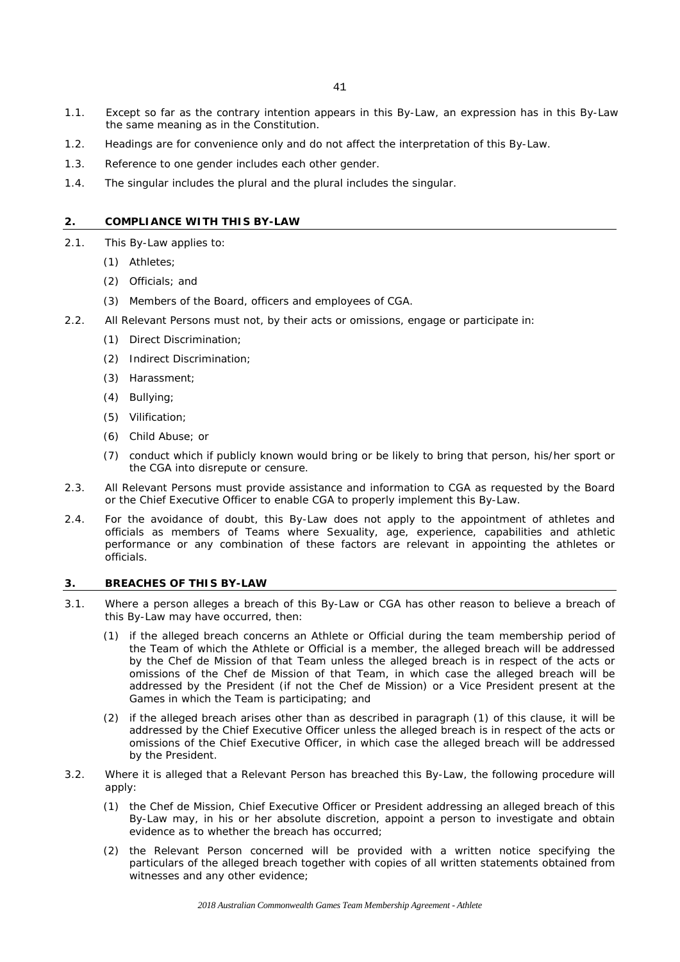- 1.1. Except so far as the contrary intention appears in this By-Law, an expression has in this By-Law the same meaning as in the Constitution.
- 1.2. Headings are for convenience only and do not affect the interpretation of this By-Law.
- 1.3. Reference to one gender includes each other gender.
- 1.4. The singular includes the plural and the plural includes the singular.

#### **2. COMPLIANCE WITH THIS BY-LAW**

- 2.1. This By-Law applies to:
	- (1) Athletes;
	- (2) Officials; and
	- (3) Members of the Board, officers and employees of CGA.
- 2.2. All Relevant Persons must not, by their acts or omissions, engage or participate in:
	- (1) Direct Discrimination;
	- (2) Indirect Discrimination;
	- (3) Harassment;
	- (4) Bullying;
	- (5) Vilification;
	- (6) Child Abuse; or
	- (7) conduct which if publicly known would bring or be likely to bring that person, his/her sport or the CGA into disrepute or censure.
- 2.3. All Relevant Persons must provide assistance and information to CGA as requested by the Board or the Chief Executive Officer to enable CGA to properly implement this By-Law.
- 2.4. For the avoidance of doubt, this By-Law does not apply to the appointment of athletes and officials as members of Teams where Sexuality, age, experience, capabilities and athletic performance or any combination of these factors are relevant in appointing the athletes or officials.

# **3. BREACHES OF THIS BY-LAW**

- 3.1. Where a person alleges a breach of this By-Law or CGA has other reason to believe a breach of this By-Law may have occurred, then:
	- (1) if the alleged breach concerns an Athlete or Official during the team membership period of the Team of which the Athlete or Official is a member, the alleged breach will be addressed by the Chef de Mission of that Team unless the alleged breach is in respect of the acts or omissions of the Chef de Mission of that Team, in which case the alleged breach will be addressed by the President (if not the Chef de Mission) or a Vice President present at the Games in which the Team is participating; and
	- (2) if the alleged breach arises other than as described in paragraph (1) of this clause, it will be addressed by the Chief Executive Officer unless the alleged breach is in respect of the acts or omissions of the Chief Executive Officer, in which case the alleged breach will be addressed by the President.
- 3.2. Where it is alleged that a Relevant Person has breached this By-Law, the following procedure will apply:
	- (1) the Chef de Mission, Chief Executive Officer or President addressing an alleged breach of this By-Law may, in his or her absolute discretion, appoint a person to investigate and obtain evidence as to whether the breach has occurred;
	- (2) the Relevant Person concerned will be provided with a written notice specifying the particulars of the alleged breach together with copies of all written statements obtained from witnesses and any other evidence;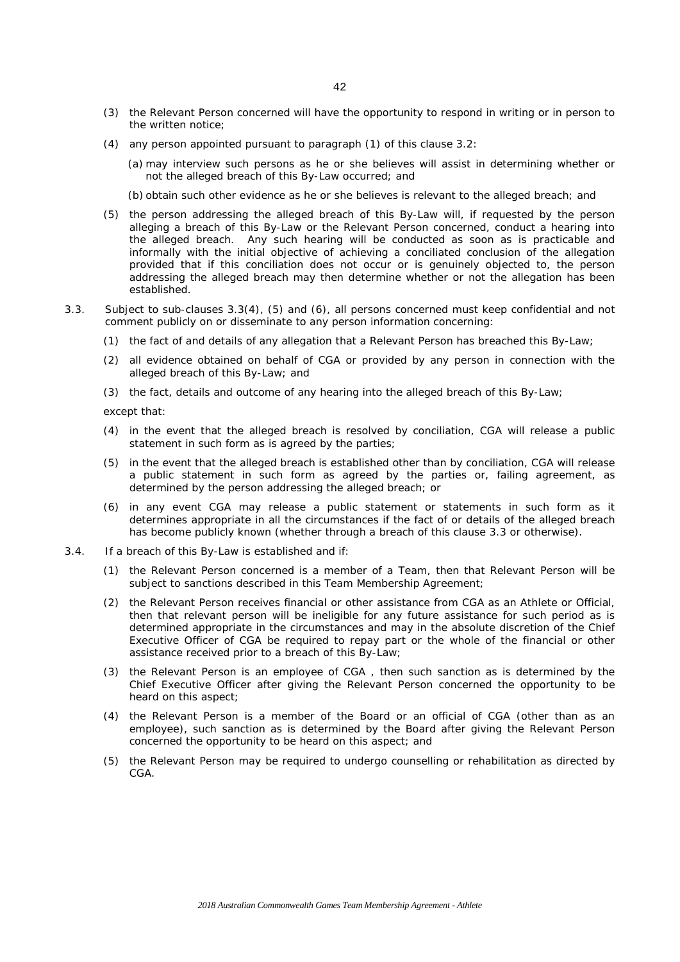- (3) the Relevant Person concerned will have the opportunity to respond in writing or in person to the written notice;
- (4) any person appointed pursuant to paragraph (1) of this clause 3.2:
	- (a) may interview such persons as he or she believes will assist in determining whether or not the alleged breach of this By-Law occurred; and
	- (b) obtain such other evidence as he or she believes is relevant to the alleged breach; and
- (5) the person addressing the alleged breach of this By-Law will, if requested by the person alleging a breach of this By-Law or the Relevant Person concerned, conduct a hearing into the alleged breach. Any such hearing will be conducted as soon as is practicable and informally with the initial objective of achieving a conciliated conclusion of the allegation provided that if this conciliation does not occur or is genuinely objected to, the person addressing the alleged breach may then determine whether or not the allegation has been established.
- 3.3. Subject to sub-clauses 3.3(4), (5) and (6), all persons concerned must keep confidential and not comment publicly on or disseminate to any person information concerning:
	- (1) the fact of and details of any allegation that a Relevant Person has breached this By-Law;
	- (2) all evidence obtained on behalf of CGA or provided by any person in connection with the alleged breach of this By-Law; and
	- (3) the fact, details and outcome of any hearing into the alleged breach of this By-Law;

except that:

- (4) in the event that the alleged breach is resolved by conciliation, CGA will release a public statement in such form as is agreed by the parties;
- (5) in the event that the alleged breach is established other than by conciliation, CGA will release a public statement in such form as agreed by the parties or, failing agreement, as determined by the person addressing the alleged breach; or
- (6) in any event CGA may release a public statement or statements in such form as it determines appropriate in all the circumstances if the fact of or details of the alleged breach has become publicly known (whether through a breach of this clause 3.3 or otherwise).
- 3.4. If a breach of this By-Law is established and if:
	- (1) the Relevant Person concerned is a member of a Team, then that Relevant Person will be subject to sanctions described in this Team Membership Agreement;
	- (2) the Relevant Person receives financial or other assistance from CGA as an Athlete or Official, then that relevant person will be ineligible for any future assistance for such period as is determined appropriate in the circumstances and may in the absolute discretion of the Chief Executive Officer of CGA be required to repay part or the whole of the financial or other assistance received prior to a breach of this By-Law;
	- (3) the Relevant Person is an employee of CGA , then such sanction as is determined by the Chief Executive Officer after giving the Relevant Person concerned the opportunity to be heard on this aspect;
	- (4) the Relevant Person is a member of the Board or an official of CGA (other than as an employee), such sanction as is determined by the Board after giving the Relevant Person concerned the opportunity to be heard on this aspect; and
	- (5) the Relevant Person may be required to undergo counselling or rehabilitation as directed by CGA.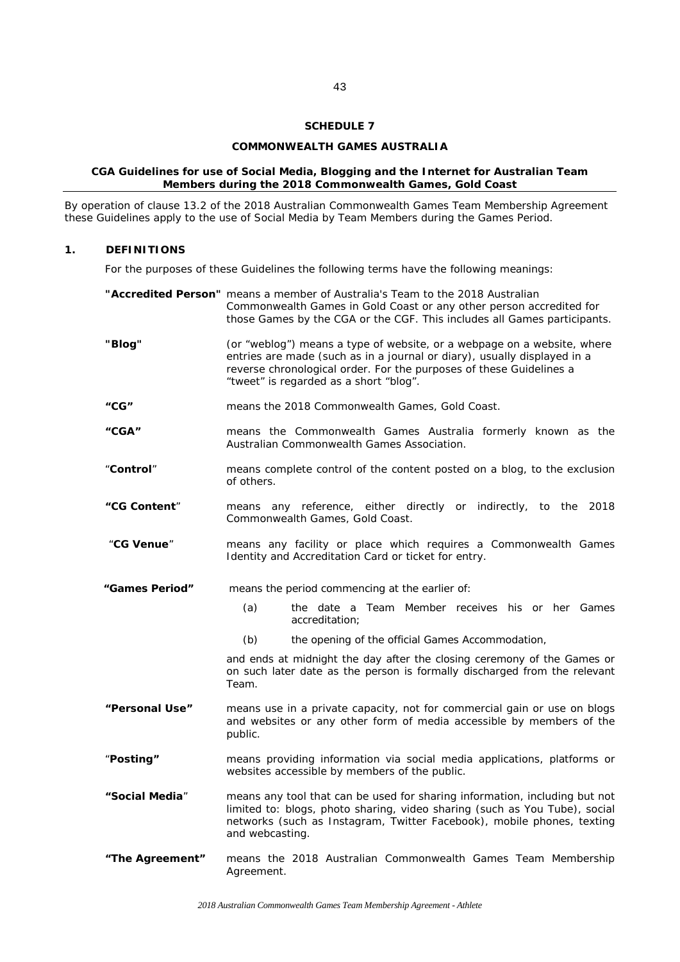# **COMMONWEALTH GAMES AUSTRALIA**

## **CGA Guidelines for use of Social Media, Blogging and the Internet for Australian Team Members during the 2018 Commonwealth Games, Gold Coast**

By operation of clause 13.2 of the 2018 Australian Commonwealth Games Team Membership Agreement these Guidelines apply to the use of Social Media by Team Members during the Games Period.

# **1. DEFINITIONS**

For the purposes of these Guidelines the following terms have the following meanings:

|                 | "Accredited Person" means a member of Australia's Team to the 2018 Australian<br>Commonwealth Games in Gold Coast or any other person accredited for<br>those Games by the CGA or the CGF. This includes all Games participants.                                     |
|-----------------|----------------------------------------------------------------------------------------------------------------------------------------------------------------------------------------------------------------------------------------------------------------------|
| "Blog"          | (or "weblog") means a type of website, or a webpage on a website, where<br>entries are made (such as in a journal or diary), usually displayed in a<br>reverse chronological order. For the purposes of these Guidelines a<br>"tweet" is regarded as a short "blog". |
| "CG"            | means the 2018 Commonwealth Games, Gold Coast.                                                                                                                                                                                                                       |
| "CGA"           | means the Commonwealth Games Australia formerly known as the<br>Australian Commonwealth Games Association.                                                                                                                                                           |
| "Control"       | means complete control of the content posted on a blog, to the exclusion<br>of others.                                                                                                                                                                               |
| "CG Content"    | means any reference, either directly or indirectly, to the 2018<br>Commonwealth Games, Gold Coast.                                                                                                                                                                   |
| "CG Venue"      | means any facility or place which requires a Commonwealth Games<br>Identity and Accreditation Card or ticket for entry.                                                                                                                                              |
| "Games Period"  | means the period commencing at the earlier of:                                                                                                                                                                                                                       |
|                 | (a)<br>the date a Team Member receives his or her Games<br>accreditation;                                                                                                                                                                                            |
|                 | (b)<br>the opening of the official Games Accommodation,                                                                                                                                                                                                              |
|                 | and ends at midnight the day after the closing ceremony of the Games or<br>on such later date as the person is formally discharged from the relevant<br>Team.                                                                                                        |
| "Personal Use"  | means use in a private capacity, not for commercial gain or use on blogs<br>and websites or any other form of media accessible by members of the<br>public.                                                                                                          |
| "Posting"       | means providing information via social media applications, platforms or<br>websites accessible by members of the public.                                                                                                                                             |
| "Social Media"  | means any tool that can be used for sharing information, including but not<br>limited to: blogs, photo sharing, video sharing (such as You Tube), social<br>networks (such as Instagram, Twitter Facebook), mobile phones, texting<br>and webcasting.                |
| "The Agreement" | means the 2018 Australian Commonwealth Games Team Membership<br>Agreement.                                                                                                                                                                                           |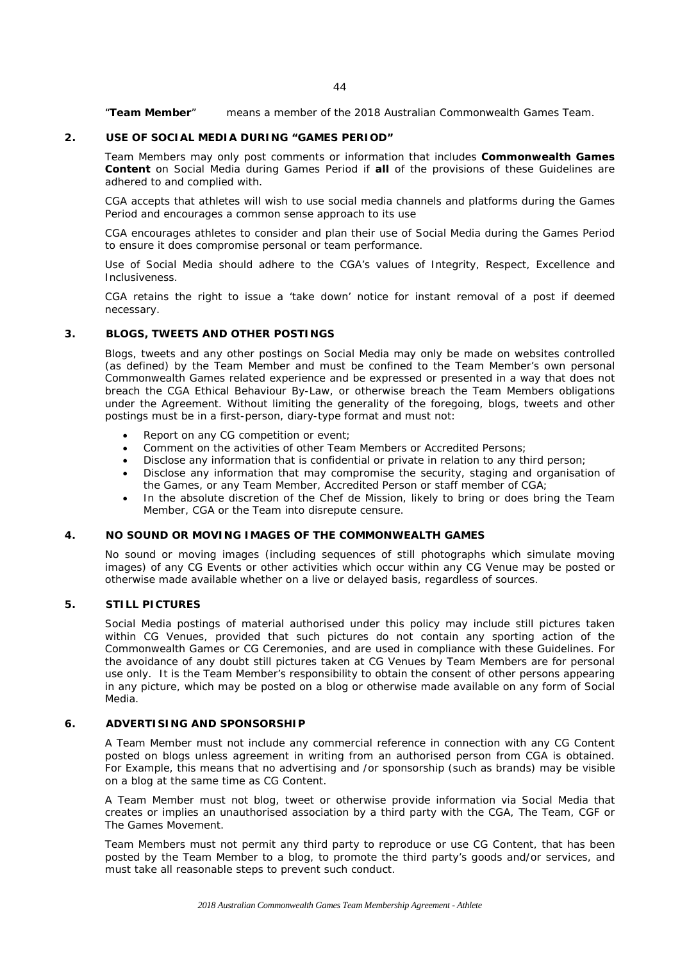"**Team Member**" means a member of the 2018 Australian Commonwealth Games Team.

# **2. USE OF SOCIAL MEDIA DURING "GAMES PERIOD"**

Team Members may only post comments or information that includes **Commonwealth Games Content** on Social Media during Games Period if **all** of the provisions of these Guidelines are adhered to and complied with.

CGA accepts that athletes will wish to use social media channels and platforms during the Games Period and encourages a common sense approach to its use

CGA encourages athletes to consider and plan their use of Social Media during the Games Period to ensure it does compromise personal or team performance.

Use of Social Media should adhere to the CGA's values of Integrity, Respect, Excellence and Inclusiveness.

CGA retains the right to issue a 'take down' notice for instant removal of a post if deemed necessary.

### **3. BLOGS, TWEETS AND OTHER POSTINGS**

Blogs, tweets and any other postings on Social Media may only be made on websites controlled (as defined) by the Team Member and must be confined to the Team Member's own personal Commonwealth Games related experience and be expressed or presented in a way that does not breach the CGA Ethical Behaviour By-Law, or otherwise breach the Team Members obligations under the Agreement. Without limiting the generality of the foregoing, blogs, tweets and other postings must be in a first-person, diary-type format and must not:

- Report on any CG competition or event;
- Comment on the activities of other Team Members or Accredited Persons;
- Disclose any information that is confidential or private in relation to any third person;
- Disclose any information that may compromise the security, staging and organisation of the Games, or any Team Member, Accredited Person or staff member of CGA;
- In the absolute discretion of the Chef de Mission, likely to bring or does bring the Team Member, CGA or the Team into disrepute censure.

#### **4. NO SOUND OR MOVING IMAGES OF THE COMMONWEALTH GAMES**

No sound or moving images (including sequences of still photographs which simulate moving images) of any CG Events or other activities which occur within any CG Venue may be posted or otherwise made available whether on a live or delayed basis, regardless of sources.

# **5. STILL PICTURES**

Social Media postings of material authorised under this policy may include still pictures taken within CG Venues, provided that such pictures do not contain any sporting action of the Commonwealth Games or CG Ceremonies, and are used in compliance with these Guidelines. For the avoidance of any doubt still pictures taken at CG Venues by Team Members are for personal use only. It is the Team Member's responsibility to obtain the consent of other persons appearing in any picture, which may be posted on a blog or otherwise made available on any form of Social Media.

# **6. ADVERTISING AND SPONSORSHIP**

A Team Member must not include any commercial reference in connection with any CG Content posted on blogs unless agreement in writing from an authorised person from CGA is obtained. For Example, this means that no advertising and /or sponsorship (such as brands) may be visible on a blog at the same time as CG Content.

A Team Member must not blog, tweet or otherwise provide information via Social Media that creates or implies an unauthorised association by a third party with the CGA, The Team, CGF or The Games Movement.

Team Members must not permit any third party to reproduce or use CG Content, that has been posted by the Team Member to a blog, to promote the third party's goods and/or services, and must take all reasonable steps to prevent such conduct.